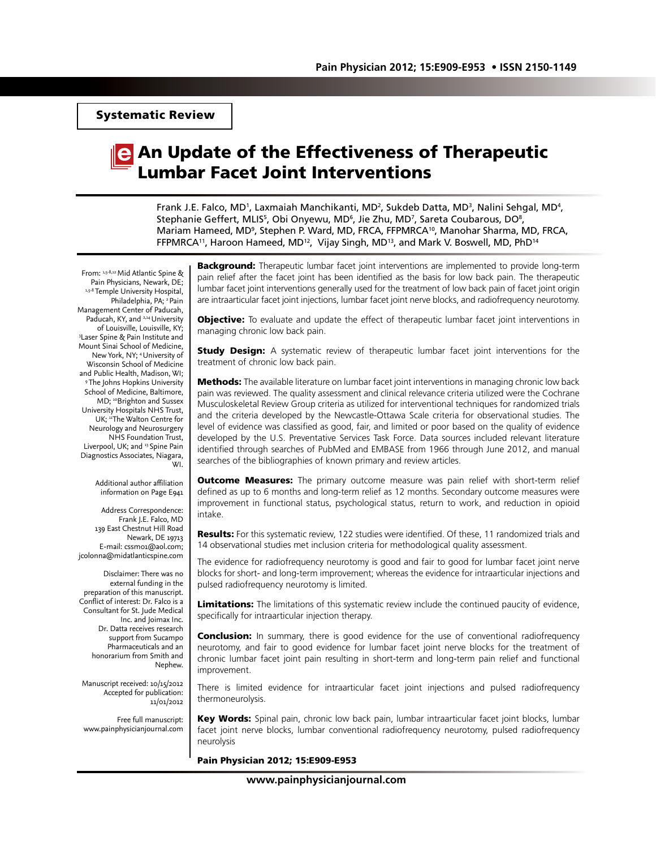Systematic Review

# An Update of the Effectiveness of Therapeutic Lumbar Facet Joint Interventions

Frank J.E. Falco, MD<sup>1</sup>, Laxmaiah Manchikanti, MD<sup>2</sup>, Sukdeb Datta, MD<sup>3</sup>, Nalini Sehgal, MD<sup>4</sup>, Stephanie Geffert, MLIS<sup>5</sup>, Obi Onyewu, MD<sup>6</sup>, Jie Zhu, MD<sup>7</sup>, Sareta Coubarous, DO<sup>8</sup>, Mariam Hameed, MD<sup>9</sup>, Stephen P. Ward, MD, FRCA, FFPMRCA<sup>10</sup>, Manohar Sharma, MD, FRCA, FFPMRCA<sup>11</sup>, Haroon Hameed, MD<sup>12</sup>, Vijay Singh, MD<sup>13</sup>, and Mark V. Boswell, MD, PhD<sup>14</sup>

From: 1,5-8,12 Mid Atlantic Spine & Pain Physicians, Newark, DE; 1,5-8 Temple University Hospital, Philadelphia, PA; <sup>2</sup> Pain Management Center of Paducah, Paducah, KY, and <sup>2,14</sup> University<br>of Louisville, Louisville, KY; of Louisville, Louisville, KY; 3 Laser Spine & Pain Institute and Mount Sinai School of Medicine, New York, NY; 4 University of Wisconsin School of Medicine and Public Health, Madison, WI; 9 The Johns Hopkins University School of Medicine, Baltimore, MD; <sup>10</sup>Brighton and Sussex University Hospitals NHS Trust, UK; <sup>11</sup>The Walton Centre for Neurology and Neurosurgery NHS Foundation Trust, Liverpool, UK; and <sup>13</sup> Spine Pain Diagnostics Associates, Niagara, WI.

> Additional author affiliation information on Page E941

Address Correspondence: Frank J.E. Falco, MD 139 East Chestnut Hill Road Newark, DE 19713 E-mail: cssm01@aol.com; jcolonna@midatlanticspine.com

Disclaimer: There was no external funding in the preparation of this manuscript. Conflict of interest: Dr. Falco is a Consultant for St. Jude Medical Inc. and Joimax Inc. Dr. Datta receives research support from Sucampo Pharmaceuticals and an honorarium from Smith and Nephew.

Manuscript received: 10/15/2012 Accepted for publication: 11/01/2012

Free full manuscript: www.painphysicianjournal.com **Background:** Therapeutic lumbar facet joint interventions are implemented to provide long-term pain relief after the facet joint has been identified as the basis for low back pain. The therapeutic lumbar facet joint interventions generally used for the treatment of low back pain of facet joint origin are intraarticular facet joint injections, lumbar facet joint nerve blocks, and radiofrequency neurotomy.

**Objective:** To evaluate and update the effect of therapeutic lumbar facet joint interventions in managing chronic low back pain.

**Study Design:** A systematic review of therapeutic lumbar facet joint interventions for the treatment of chronic low back pain.

Methods: The available literature on lumbar facet joint interventions in managing chronic low back pain was reviewed. The quality assessment and clinical relevance criteria utilized were the Cochrane Musculoskeletal Review Group criteria as utilized for interventional techniques for randomized trials and the criteria developed by the Newcastle-Ottawa Scale criteria for observational studies. The level of evidence was classified as good, fair, and limited or poor based on the quality of evidence developed by the U.S. Preventative Services Task Force. Data sources included relevant literature identified through searches of PubMed and EMBASE from 1966 through June 2012, and manual searches of the bibliographies of known primary and review articles.

**Outcome Measures:** The primary outcome measure was pain relief with short-term relief defined as up to 6 months and long-term relief as 12 months. Secondary outcome measures were improvement in functional status, psychological status, return to work, and reduction in opioid intake.

**Results:** For this systematic review, 122 studies were identified. Of these, 11 randomized trials and 14 observational studies met inclusion criteria for methodological quality assessment.

The evidence for radiofrequency neurotomy is good and fair to good for lumbar facet joint nerve blocks for short- and long-term improvement; whereas the evidence for intraarticular injections and pulsed radiofrequency neurotomy is limited.

Limitations: The limitations of this systematic review include the continued paucity of evidence, specifically for intraarticular injection therapy.

**Conclusion:** In summary, there is good evidence for the use of conventional radiofrequency neurotomy, and fair to good evidence for lumbar facet joint nerve blocks for the treatment of chronic lumbar facet joint pain resulting in short-term and long-term pain relief and functional improvement.

There is limited evidence for intraarticular facet joint injections and pulsed radiofrequency thermoneurolysis.

Key Words: Spinal pain, chronic low back pain, lumbar intraarticular facet joint blocks, lumbar facet joint nerve blocks, lumbar conventional radiofrequency neurotomy, pulsed radiofrequency neurolysis

#### Pain Physician 2012; 15:E909-E953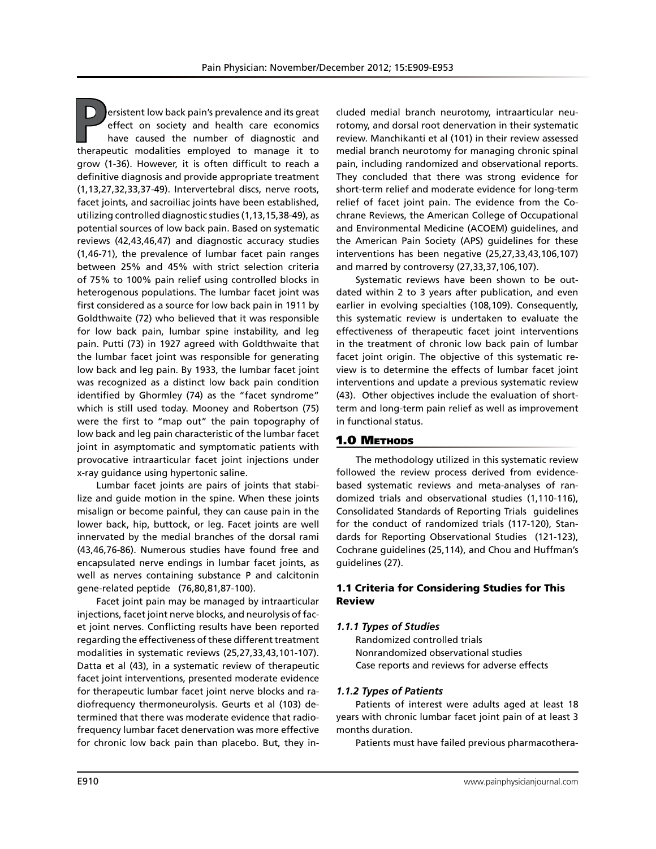**P**ersistent low back pain's prevalence and its great effect on society and health care economics have caused the number of diagnostic and therapeutic modalities employed to manage it to grow (1-36). However, it is often difficult to reach a definitive diagnosis and provide appropriate treatment (1,13,27,32,33,37-49). Intervertebral discs, nerve roots, facet joints, and sacroiliac joints have been established, utilizing controlled diagnostic studies (1,13,15,38-49), as potential sources of low back pain. Based on systematic reviews (42,43,46,47) and diagnostic accuracy studies (1,46-71), the prevalence of lumbar facet pain ranges between 25% and 45% with strict selection criteria of 75% to 100% pain relief using controlled blocks in heterogenous populations. The lumbar facet joint was first considered as a source for low back pain in 1911 by Goldthwaite (72) who believed that it was responsible for low back pain, lumbar spine instability, and leg pain. Putti (73) in 1927 agreed with Goldthwaite that the lumbar facet joint was responsible for generating low back and leg pain. By 1933, the lumbar facet joint was recognized as a distinct low back pain condition identified by Ghormley (74) as the "facet syndrome" which is still used today. Mooney and Robertson (75) were the first to "map out" the pain topography of low back and leg pain characteristic of the lumbar facet joint in asymptomatic and symptomatic patients with provocative intraarticular facet joint injections under x-ray guidance using hypertonic saline.

Lumbar facet joints are pairs of joints that stabilize and guide motion in the spine. When these joints misalign or become painful, they can cause pain in the lower back, hip, buttock, or leg. Facet joints are well innervated by the medial branches of the dorsal rami (43,46,76-86). Numerous studies have found free and encapsulated nerve endings in lumbar facet joints, as well as nerves containing substance P and calcitonin gene-related peptide (76,80,81,87-100).

Facet joint pain may be managed by intraarticular injections, facet joint nerve blocks, and neurolysis of facet joint nerves. Conflicting results have been reported regarding the effectiveness of these different treatment modalities in systematic reviews (25,27,33,43,101-107). Datta et al (43), in a systematic review of therapeutic facet joint interventions, presented moderate evidence for therapeutic lumbar facet joint nerve blocks and radiofrequency thermoneurolysis. Geurts et al (103) determined that there was moderate evidence that radiofrequency lumbar facet denervation was more effective for chronic low back pain than placebo. But, they in-

cluded medial branch neurotomy, intraarticular neurotomy, and dorsal root denervation in their systematic review. Manchikanti et al (101) in their review assessed medial branch neurotomy for managing chronic spinal pain, including randomized and observational reports. They concluded that there was strong evidence for short-term relief and moderate evidence for long-term relief of facet joint pain. The evidence from the Cochrane Reviews, the American College of Occupational and Environmental Medicine (ACOEM) guidelines, and the American Pain Society (APS) guidelines for these interventions has been negative (25,27,33,43,106,107) and marred by controversy (27,33,37,106,107).

Systematic reviews have been shown to be outdated within 2 to 3 years after publication, and even earlier in evolving specialties (108,109). Consequently, this systematic review is undertaken to evaluate the effectiveness of therapeutic facet joint interventions in the treatment of chronic low back pain of lumbar facet joint origin. The objective of this systematic review is to determine the effects of lumbar facet joint interventions and update a previous systematic review (43). Other objectives include the evaluation of shortterm and long-term pain relief as well as improvement in functional status.

#### 1.0 Methods

The methodology utilized in this systematic review followed the review process derived from evidencebased systematic reviews and meta-analyses of randomized trials and observational studies (1,110-116), Consolidated Standards of Reporting Trials guidelines for the conduct of randomized trials (117-120), Standards for Reporting Observational Studies (121-123), Cochrane guidelines (25,114), and Chou and Huffman's guidelines (27).

### 1.1 Criteria for Considering Studies for This Review

#### *1.1.1 Types of Studies*

Randomized controlled trials Nonrandomized observational studies Case reports and reviews for adverse effects

#### *1.1.2 Types of Patients*

Patients of interest were adults aged at least 18 years with chronic lumbar facet joint pain of at least 3 months duration.

Patients must have failed previous pharmacothera-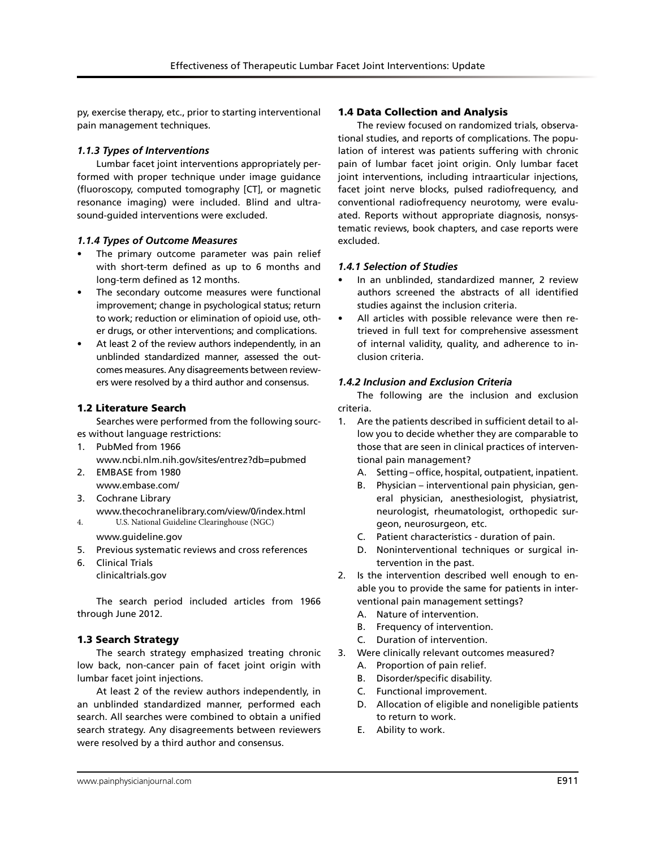py, exercise therapy, etc., prior to starting interventional pain management techniques.

# *1.1.3 Types of Interventions*

Lumbar facet joint interventions appropriately performed with proper technique under image guidance (fluoroscopy, computed tomography [CT], or magnetic resonance imaging) were included. Blind and ultrasound-guided interventions were excluded.

# *1.1.4 Types of Outcome Measures*

- The primary outcome parameter was pain relief with short-term defined as up to 6 months and long-term defined as 12 months.
- The secondary outcome measures were functional improvement; change in psychological status; return to work; reduction or elimination of opioid use, other drugs, or other interventions; and complications.
- At least 2 of the review authors independently, in an unblinded standardized manner, assessed the outcomes measures. Any disagreements between reviewers were resolved by a third author and consensus.

# 1.2 Literature Search

Searches were performed from the following sources without language restrictions:

- 1. PubMed from 1966 www.ncbi.nlm.nih.gov/sites/entrez?db=pubmed
- 2. EMBASE from 1980 www.embase.com/
- 3. Cochrane Library www.thecochranelibrary.com/view/0/index.html 4. U.S. National Guideline Clearinghouse (NGC)

www.guideline.gov

- 5. Previous systematic reviews and cross references
- 6. Clinical Trials clinicaltrials.gov

The search period included articles from 1966 through June 2012.

# 1.3 Search Strategy

The search strategy emphasized treating chronic low back, non-cancer pain of facet joint origin with lumbar facet joint injections.

At least 2 of the review authors independently, in an unblinded standardized manner, performed each search. All searches were combined to obtain a unified search strategy. Any disagreements between reviewers were resolved by a third author and consensus.

# 1.4 Data Collection and Analysis

The review focused on randomized trials, observational studies, and reports of complications. The population of interest was patients suffering with chronic pain of lumbar facet joint origin. Only lumbar facet joint interventions, including intraarticular injections, facet joint nerve blocks, pulsed radiofrequency, and conventional radiofrequency neurotomy, were evaluated. Reports without appropriate diagnosis, nonsystematic reviews, book chapters, and case reports were excluded.

# *1.4.1 Selection of Studies*

- In an unblinded, standardized manner, 2 review authors screened the abstracts of all identified studies against the inclusion criteria.
- All articles with possible relevance were then retrieved in full text for comprehensive assessment of internal validity, quality, and adherence to inclusion criteria.

# *1.4.2 Inclusion and Exclusion Criteria*

The following are the inclusion and exclusion criteria.

- 1. Are the patients described in sufficient detail to allow you to decide whether they are comparable to those that are seen in clinical practices of interventional pain management?
	- A. Setting office, hospital, outpatient, inpatient.
	- B. Physician interventional pain physician, general physician, anesthesiologist, physiatrist, neurologist, rheumatologist, orthopedic surgeon, neurosurgeon, etc.
	- C. Patient characteristics duration of pain.
	- D. Noninterventional techniques or surgical intervention in the past.
- 2. Is the intervention described well enough to enable you to provide the same for patients in interventional pain management settings?
	- A. Nature of intervention.
	- B. Frequency of intervention.
	- C. Duration of intervention.
- 3. Were clinically relevant outcomes measured?
	- A. Proportion of pain relief.
	- B. Disorder/specific disability.
	- C. Functional improvement.
	- D. Allocation of eligible and noneligible patients to return to work.
	- E. Ability to work.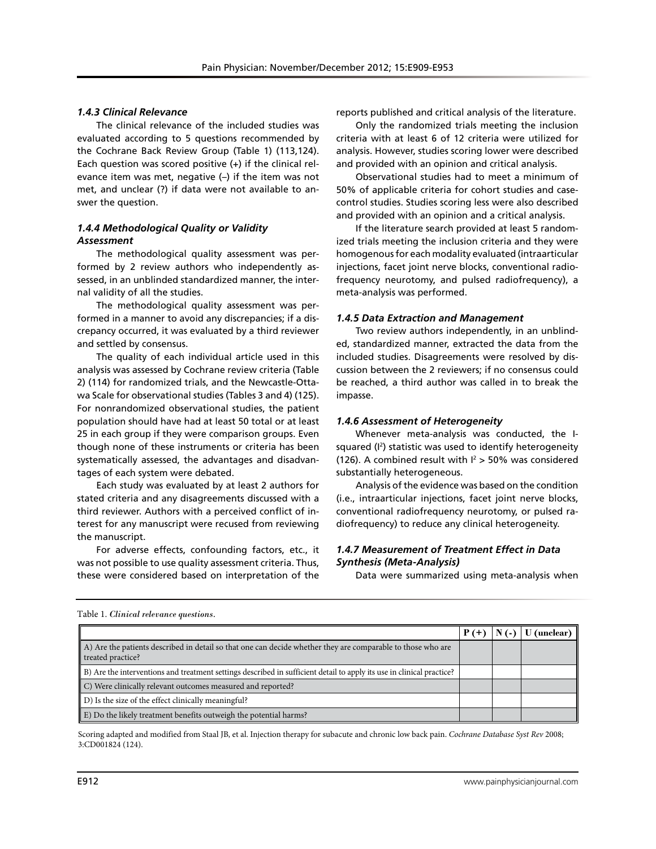### *1.4.3 Clinical Relevance*

The clinical relevance of the included studies was evaluated according to 5 questions recommended by the Cochrane Back Review Group (Table 1) (113,124). Each question was scored positive  $(+)$  if the clinical relevance item was met, negative (–) if the item was not met, and unclear (?) if data were not available to answer the question.

# *1.4.4 Methodological Quality or Validity Assessment*

The methodological quality assessment was performed by 2 review authors who independently assessed, in an unblinded standardized manner, the internal validity of all the studies.

The methodological quality assessment was performed in a manner to avoid any discrepancies; if a discrepancy occurred, it was evaluated by a third reviewer and settled by consensus.

The quality of each individual article used in this analysis was assessed by Cochrane review criteria (Table 2) (114) for randomized trials, and the Newcastle-Ottawa Scale for observational studies (Tables 3 and 4) (125). For nonrandomized observational studies, the patient population should have had at least 50 total or at least 25 in each group if they were comparison groups. Even though none of these instruments or criteria has been systematically assessed, the advantages and disadvantages of each system were debated.

Each study was evaluated by at least 2 authors for stated criteria and any disagreements discussed with a third reviewer. Authors with a perceived conflict of interest for any manuscript were recused from reviewing the manuscript.

For adverse effects, confounding factors, etc., it was not possible to use quality assessment criteria. Thus, these were considered based on interpretation of the

reports published and critical analysis of the literature.

Only the randomized trials meeting the inclusion criteria with at least 6 of 12 criteria were utilized for analysis. However, studies scoring lower were described and provided with an opinion and critical analysis.

Observational studies had to meet a minimum of 50% of applicable criteria for cohort studies and casecontrol studies. Studies scoring less were also described and provided with an opinion and a critical analysis.

If the literature search provided at least 5 randomized trials meeting the inclusion criteria and they were homogenous for each modality evaluated (intraarticular injections, facet joint nerve blocks, conventional radiofrequency neurotomy, and pulsed radiofrequency), a meta-analysis was performed.

#### *1.4.5 Data Extraction and Management*

Two review authors independently, in an unblinded, standardized manner, extracted the data from the included studies. Disagreements were resolved by discussion between the 2 reviewers; if no consensus could be reached, a third author was called in to break the impasse.

#### *1.4.6 Assessment of Heterogeneity*

Whenever meta-analysis was conducted, the Isquared (I2 ) statistic was used to identify heterogeneity (126). A combined result with  $I^2 > 50\%$  was considered substantially heterogeneous.

Analysis of the evidence was based on the condition (i.e., intraarticular injections, facet joint nerve blocks, conventional radiofrequency neurotomy, or pulsed radiofrequency) to reduce any clinical heterogeneity.

# *1.4.7 Measurement of Treatment Effect in Data Synthesis (Meta-Analysis)*

Data were summarized using meta-analysis when

|                                                                                                                                  |  | (unclear) |
|----------------------------------------------------------------------------------------------------------------------------------|--|-----------|
| A) Are the patients described in detail so that one can decide whether they are comparable to those who are<br>treated practice? |  |           |
| B) Are the interventions and treatment settings described in sufficient detail to apply its use in clinical practice?            |  |           |
| C) Were clinically relevant outcomes measured and reported?                                                                      |  |           |
| D) Is the size of the effect clinically meaningful?                                                                              |  |           |
| $\parallel$ E) Do the likely treatment benefits outweigh the potential harms?                                                    |  |           |

Table 1. *Clinical relevance questions.*

Scoring adapted and modified from Staal JB, et al. Injection therapy for subacute and chronic low back pain. *Cochrane Database Syst Rev* 2008; 3:CD001824 (124).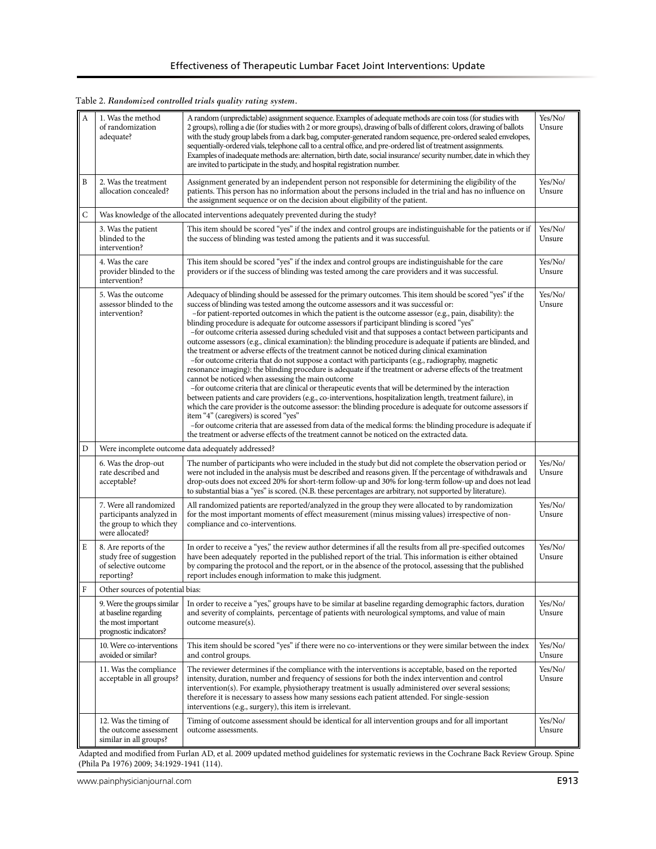| Table 2. Randomized controlled trials quality rating system. |  |
|--------------------------------------------------------------|--|
|--------------------------------------------------------------|--|

| А | A random (unpredictable) assignment sequence. Examples of adequate methods are coin toss (for studies with<br>1. Was the method<br>2 groups), rolling a die (for studies with 2 or more groups), drawing of balls of different colors, drawing of ballots<br>of randomization<br>with the study group labels from a dark bag, computer-generated random sequence, pre-ordered sealed envelopes,<br>adequate?<br>sequentially-ordered vials, telephone call to a central office, and pre-ordered list of treatment assignments.<br>Examples of inadequate methods are: alternation, birth date, social insurance/ security number, date in which they<br>are invited to participate in the study, and hospital registration number. |                                                                                                                                                                                                                                                                                                                                                                                                                                                                                                                                                                                                                                                                                                                                                                                                                                                                                                                                                                                                                                                                                                                                                                                                                                                                                                                                                                                                                                                                                                                                                                                                                                 | Yes/No/<br>Unsure |
|---|------------------------------------------------------------------------------------------------------------------------------------------------------------------------------------------------------------------------------------------------------------------------------------------------------------------------------------------------------------------------------------------------------------------------------------------------------------------------------------------------------------------------------------------------------------------------------------------------------------------------------------------------------------------------------------------------------------------------------------|---------------------------------------------------------------------------------------------------------------------------------------------------------------------------------------------------------------------------------------------------------------------------------------------------------------------------------------------------------------------------------------------------------------------------------------------------------------------------------------------------------------------------------------------------------------------------------------------------------------------------------------------------------------------------------------------------------------------------------------------------------------------------------------------------------------------------------------------------------------------------------------------------------------------------------------------------------------------------------------------------------------------------------------------------------------------------------------------------------------------------------------------------------------------------------------------------------------------------------------------------------------------------------------------------------------------------------------------------------------------------------------------------------------------------------------------------------------------------------------------------------------------------------------------------------------------------------------------------------------------------------|-------------------|
| B | 2. Was the treatment<br>allocation concealed?                                                                                                                                                                                                                                                                                                                                                                                                                                                                                                                                                                                                                                                                                      | Assignment generated by an independent person not responsible for determining the eligibility of the<br>patients. This person has no information about the persons included in the trial and has no influence on<br>the assignment sequence or on the decision about eligibility of the patient.                                                                                                                                                                                                                                                                                                                                                                                                                                                                                                                                                                                                                                                                                                                                                                                                                                                                                                                                                                                                                                                                                                                                                                                                                                                                                                                                | Yes/No/<br>Unsure |
| C |                                                                                                                                                                                                                                                                                                                                                                                                                                                                                                                                                                                                                                                                                                                                    | Was knowledge of the allocated interventions adequately prevented during the study?                                                                                                                                                                                                                                                                                                                                                                                                                                                                                                                                                                                                                                                                                                                                                                                                                                                                                                                                                                                                                                                                                                                                                                                                                                                                                                                                                                                                                                                                                                                                             |                   |
|   | 3. Was the patient<br>blinded to the<br>intervention?                                                                                                                                                                                                                                                                                                                                                                                                                                                                                                                                                                                                                                                                              | This item should be scored "yes" if the index and control groups are indistinguishable for the patients or if<br>the success of blinding was tested among the patients and it was successful.                                                                                                                                                                                                                                                                                                                                                                                                                                                                                                                                                                                                                                                                                                                                                                                                                                                                                                                                                                                                                                                                                                                                                                                                                                                                                                                                                                                                                                   | Yes/No/<br>Unsure |
|   | 4. Was the care<br>provider blinded to the<br>intervention?                                                                                                                                                                                                                                                                                                                                                                                                                                                                                                                                                                                                                                                                        | This item should be scored "yes" if the index and control groups are indistinguishable for the care<br>providers or if the success of blinding was tested among the care providers and it was successful.                                                                                                                                                                                                                                                                                                                                                                                                                                                                                                                                                                                                                                                                                                                                                                                                                                                                                                                                                                                                                                                                                                                                                                                                                                                                                                                                                                                                                       | Yes/No/<br>Unsure |
|   | 5. Was the outcome<br>assessor blinded to the<br>intervention?                                                                                                                                                                                                                                                                                                                                                                                                                                                                                                                                                                                                                                                                     | Adequacy of blinding should be assessed for the primary outcomes. This item should be scored "yes" if the<br>success of blinding was tested among the outcome assessors and it was successful or:<br>-for patient-reported outcomes in which the patient is the outcome assessor (e.g., pain, disability): the<br>blinding procedure is adequate for outcome assessors if participant blinding is scored "yes"<br>-for outcome criteria assessed during scheduled visit and that supposes a contact between participants and<br>outcome assessors (e.g., clinical examination): the blinding procedure is adequate if patients are blinded, and<br>the treatment or adverse effects of the treatment cannot be noticed during clinical examination<br>-for outcome criteria that do not suppose a contact with participants (e.g., radiography, magnetic<br>resonance imaging): the blinding procedure is adequate if the treatment or adverse effects of the treatment<br>cannot be noticed when assessing the main outcome<br>-for outcome criteria that are clinical or therapeutic events that will be determined by the interaction<br>between patients and care providers (e.g., co-interventions, hospitalization length, treatment failure), in<br>which the care provider is the outcome assessor: the blinding procedure is adequate for outcome assessors if<br>item "4" (caregivers) is scored "yes"<br>-for outcome criteria that are assessed from data of the medical forms: the blinding procedure is adequate if<br>the treatment or adverse effects of the treatment cannot be noticed on the extracted data. | Yes/No/<br>Unsure |
| D |                                                                                                                                                                                                                                                                                                                                                                                                                                                                                                                                                                                                                                                                                                                                    | Were incomplete outcome data adequately addressed?                                                                                                                                                                                                                                                                                                                                                                                                                                                                                                                                                                                                                                                                                                                                                                                                                                                                                                                                                                                                                                                                                                                                                                                                                                                                                                                                                                                                                                                                                                                                                                              |                   |
|   | 6. Was the drop-out<br>rate described and<br>acceptable?                                                                                                                                                                                                                                                                                                                                                                                                                                                                                                                                                                                                                                                                           | The number of participants who were included in the study but did not complete the observation period or<br>were not included in the analysis must be described and reasons given. If the percentage of withdrawals and<br>drop-outs does not exceed 20% for short-term follow-up and 30% for long-term follow-up and does not lead<br>to substantial bias a "yes" is scored. (N.B. these percentages are arbitrary, not supported by literature).                                                                                                                                                                                                                                                                                                                                                                                                                                                                                                                                                                                                                                                                                                                                                                                                                                                                                                                                                                                                                                                                                                                                                                              | Yes/No/<br>Unsure |
|   | 7. Were all randomized<br>participants analyzed in<br>the group to which they<br>were allocated?                                                                                                                                                                                                                                                                                                                                                                                                                                                                                                                                                                                                                                   | All randomized patients are reported/analyzed in the group they were allocated to by randomization<br>for the most important moments of effect measurement (minus missing values) irrespective of non-<br>compliance and co-interventions.                                                                                                                                                                                                                                                                                                                                                                                                                                                                                                                                                                                                                                                                                                                                                                                                                                                                                                                                                                                                                                                                                                                                                                                                                                                                                                                                                                                      | Yes/No/<br>Unsure |
| E | 8. Are reports of the<br>study free of suggestion<br>of selective outcome<br>reporting?                                                                                                                                                                                                                                                                                                                                                                                                                                                                                                                                                                                                                                            | In order to receive a "yes," the review author determines if all the results from all pre-specified outcomes<br>have been adequately reported in the published report of the trial. This information is either obtained<br>by comparing the protocol and the report, or in the absence of the protocol, assessing that the published<br>report includes enough information to make this judgment.                                                                                                                                                                                                                                                                                                                                                                                                                                                                                                                                                                                                                                                                                                                                                                                                                                                                                                                                                                                                                                                                                                                                                                                                                               | Yes/No/<br>Unsure |
| F | Other sources of potential bias:                                                                                                                                                                                                                                                                                                                                                                                                                                                                                                                                                                                                                                                                                                   |                                                                                                                                                                                                                                                                                                                                                                                                                                                                                                                                                                                                                                                                                                                                                                                                                                                                                                                                                                                                                                                                                                                                                                                                                                                                                                                                                                                                                                                                                                                                                                                                                                 |                   |
|   | 9. Were the groups similar<br>at baseline regarding<br>the most important<br>prognostic indicators?                                                                                                                                                                                                                                                                                                                                                                                                                                                                                                                                                                                                                                | In order to receive a "yes," groups have to be similar at baseline regarding demographic factors, duration<br>and severity of complaints, percentage of patients with neurological symptoms, and value of main<br>outcome measure(s).                                                                                                                                                                                                                                                                                                                                                                                                                                                                                                                                                                                                                                                                                                                                                                                                                                                                                                                                                                                                                                                                                                                                                                                                                                                                                                                                                                                           | Yes/No/<br>Unsure |
|   | 10. Were co-interventions<br>avoided or similar?                                                                                                                                                                                                                                                                                                                                                                                                                                                                                                                                                                                                                                                                                   | This item should be scored "yes" if there were no co-interventions or they were similar between the index<br>and control groups.                                                                                                                                                                                                                                                                                                                                                                                                                                                                                                                                                                                                                                                                                                                                                                                                                                                                                                                                                                                                                                                                                                                                                                                                                                                                                                                                                                                                                                                                                                | Yes/No/<br>Unsure |
|   | 11. Was the compliance<br>acceptable in all groups?                                                                                                                                                                                                                                                                                                                                                                                                                                                                                                                                                                                                                                                                                | The reviewer determines if the compliance with the interventions is acceptable, based on the reported<br>intensity, duration, number and frequency of sessions for both the index intervention and control<br>intervention(s). For example, physiotherapy treatment is usually administered over several sessions;<br>therefore it is necessary to assess how many sessions each patient attended. For single-session<br>interventions (e.g., surgery), this item is irrelevant.                                                                                                                                                                                                                                                                                                                                                                                                                                                                                                                                                                                                                                                                                                                                                                                                                                                                                                                                                                                                                                                                                                                                                | Yes/No/<br>Unsure |
|   | 12. Was the timing of<br>the outcome assessment<br>similar in all groups?                                                                                                                                                                                                                                                                                                                                                                                                                                                                                                                                                                                                                                                          | Timing of outcome assessment should be identical for all intervention groups and for all important<br>outcome assessments.                                                                                                                                                                                                                                                                                                                                                                                                                                                                                                                                                                                                                                                                                                                                                                                                                                                                                                                                                                                                                                                                                                                                                                                                                                                                                                                                                                                                                                                                                                      | Yes/No/<br>Unsure |

Adapted and modified from Furlan AD, et al. 2009 updated method guidelines for systematic reviews in the Cochrane Back Review Group. Spine (Phila Pa 1976) 2009; 34:1929-1941 (114).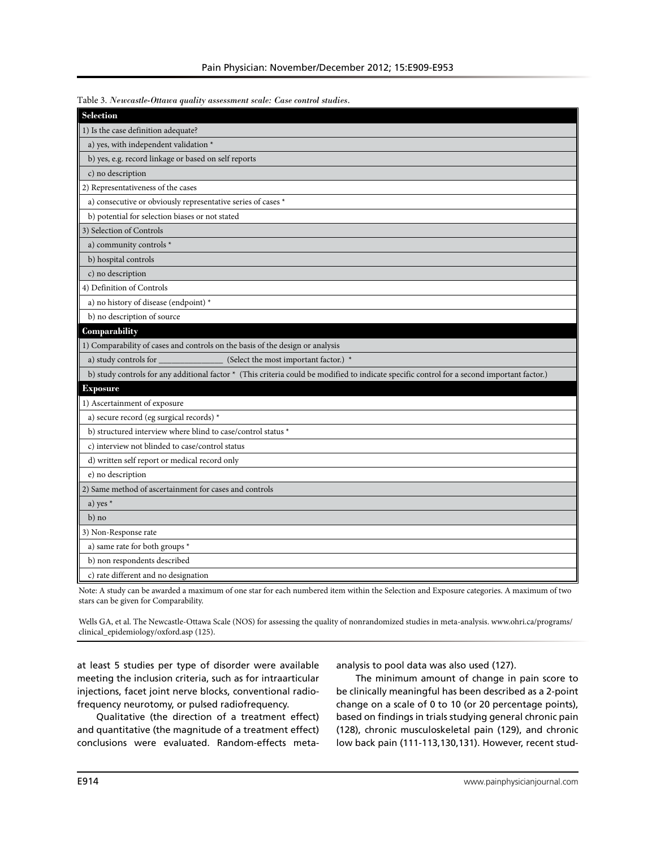| Table 3. Newcastle-Ottawa quality assessment scale: Case control studies. |  |
|---------------------------------------------------------------------------|--|
|                                                                           |  |

| Selection                                                                                                                                   |
|---------------------------------------------------------------------------------------------------------------------------------------------|
| 1) Is the case definition adequate?                                                                                                         |
| a) yes, with independent validation *                                                                                                       |
| b) yes, e.g. record linkage or based on self reports                                                                                        |
| c) no description                                                                                                                           |
| 2) Representativeness of the cases                                                                                                          |
| a) consecutive or obviously representative series of cases *                                                                                |
| b) potential for selection biases or not stated                                                                                             |
| 3) Selection of Controls                                                                                                                    |
| a) community controls *                                                                                                                     |
| b) hospital controls                                                                                                                        |
| c) no description                                                                                                                           |
| 4) Definition of Controls                                                                                                                   |
| a) no history of disease (endpoint) *                                                                                                       |
| b) no description of source                                                                                                                 |
| Comparability                                                                                                                               |
| 1) Comparability of cases and controls on the basis of the design or analysis                                                               |
| (Select the most important factor.) *<br>a) study controls for _                                                                            |
| b) study controls for any additional factor * (This criteria could be modified to indicate specific control for a second important factor.) |
| <b>Exposure</b>                                                                                                                             |
| 1) Ascertainment of exposure                                                                                                                |
| a) secure record (eg surgical records) *                                                                                                    |
| b) structured interview where blind to case/control status *                                                                                |
| c) interview not blinded to case/control status                                                                                             |
| d) written self report or medical record only                                                                                               |
| e) no description                                                                                                                           |
| 2) Same method of ascertainment for cases and controls                                                                                      |
| a) yes $*$                                                                                                                                  |
| $b)$ no                                                                                                                                     |
| 3) Non-Response rate                                                                                                                        |
| a) same rate for both groups *                                                                                                              |
| b) non respondents described                                                                                                                |
| c) rate different and no designation                                                                                                        |

Note: A study can be awarded a maximum of one star for each numbered item within the Selection and Exposure categories. A maximum of two stars can be given for Comparability.

Wells GA, et al. The Newcastle-Ottawa Scale (NOS) for assessing the quality of nonrandomized studies in meta-analysis. www.ohri.ca/programs/ clinical\_epidemiology/oxford.asp (125).

at least 5 studies per type of disorder were available meeting the inclusion criteria, such as for intraarticular injections, facet joint nerve blocks, conventional radiofrequency neurotomy, or pulsed radiofrequency.

Qualitative (the direction of a treatment effect) and quantitative (the magnitude of a treatment effect) conclusions were evaluated. Random-effects metaanalysis to pool data was also used (127).

The minimum amount of change in pain score to be clinically meaningful has been described as a 2-point change on a scale of 0 to 10 (or 20 percentage points), based on findings in trials studying general chronic pain (128), chronic musculoskeletal pain (129), and chronic low back pain (111-113,130,131). However, recent stud-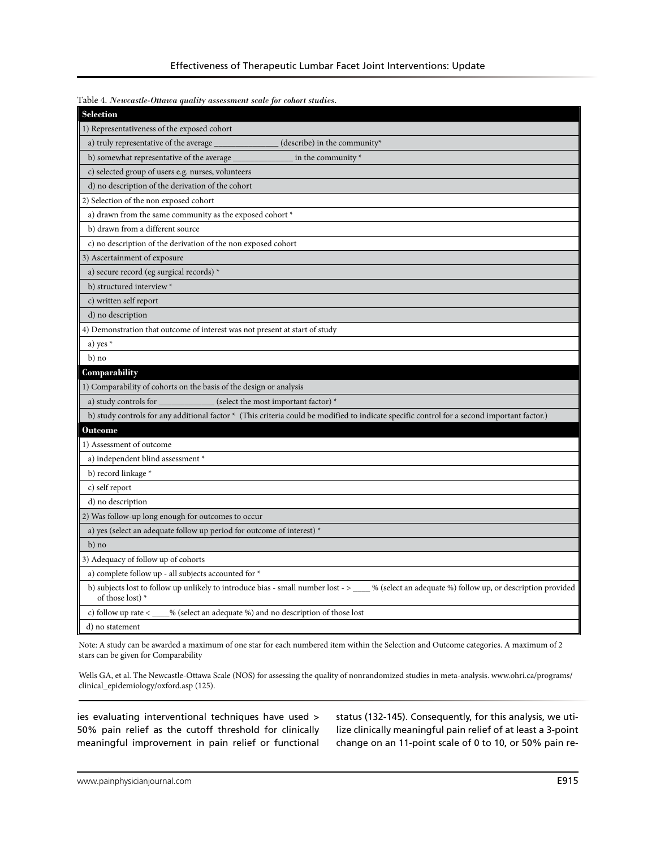| Table 4. Newcastle-Ottawa quality assessment scale for cohort studies.                                                                                               |
|----------------------------------------------------------------------------------------------------------------------------------------------------------------------|
| <b>Selection</b>                                                                                                                                                     |
| 1) Representativeness of the exposed cohort                                                                                                                          |
| a) truly representative of the average<br>(describe) in the community*                                                                                               |
| b) somewhat representative of the average<br>in the community $*$                                                                                                    |
| c) selected group of users e.g. nurses, volunteers                                                                                                                   |
| d) no description of the derivation of the cohort                                                                                                                    |
| 2) Selection of the non exposed cohort                                                                                                                               |
| a) drawn from the same community as the exposed cohort *                                                                                                             |
| b) drawn from a different source                                                                                                                                     |
| c) no description of the derivation of the non exposed cohort                                                                                                        |
| 3) Ascertainment of exposure                                                                                                                                         |
| a) secure record (eg surgical records) *                                                                                                                             |
| b) structured interview *                                                                                                                                            |
| c) written self report                                                                                                                                               |
| d) no description                                                                                                                                                    |
| 4) Demonstration that outcome of interest was not present at start of study                                                                                          |
| a) yes $*$                                                                                                                                                           |
| $b)$ no                                                                                                                                                              |
| Comparability                                                                                                                                                        |
| 1) Comparability of cohorts on the basis of the design or analysis                                                                                                   |
| (select the most important factor) *<br>a) study controls for                                                                                                        |
| b) study controls for any additional factor * (This criteria could be modified to indicate specific control for a second important factor.)                          |
| <b>Outcome</b>                                                                                                                                                       |
| 1) Assessment of outcome                                                                                                                                             |
| a) independent blind assessment *                                                                                                                                    |
| b) record linkage *                                                                                                                                                  |
| c) self report                                                                                                                                                       |
| d) no description                                                                                                                                                    |
| 2) Was follow-up long enough for outcomes to occur                                                                                                                   |
| a) yes (select an adequate follow up period for outcome of interest) *                                                                                               |
| $b)$ no                                                                                                                                                              |
| 3) Adequacy of follow up of cohorts                                                                                                                                  |
| a) complete follow up - all subjects accounted for *                                                                                                                 |
| b) subjects lost to follow up unlikely to introduce bias - small number lost -> ____ % (select an adequate %) follow up, or description provided<br>of those lost) * |
| c) follow up rate $\lt$<br>% (select an adequate %) and no description of those lost                                                                                 |
| d) no statement                                                                                                                                                      |

Note: A study can be awarded a maximum of one star for each numbered item within the Selection and Outcome categories. A maximum of 2 stars can be given for Comparability

Wells GA, et al. The Newcastle-Ottawa Scale (NOS) for assessing the quality of nonrandomized studies in meta-analysis. www.ohri.ca/programs/ clinical\_epidemiology/oxford.asp (125).

ies evaluating interventional techniques have used > 50% pain relief as the cutoff threshold for clinically meaningful improvement in pain relief or functional status (132-145). Consequently, for this analysis, we utilize clinically meaningful pain relief of at least a 3-point change on an 11-point scale of 0 to 10, or 50% pain re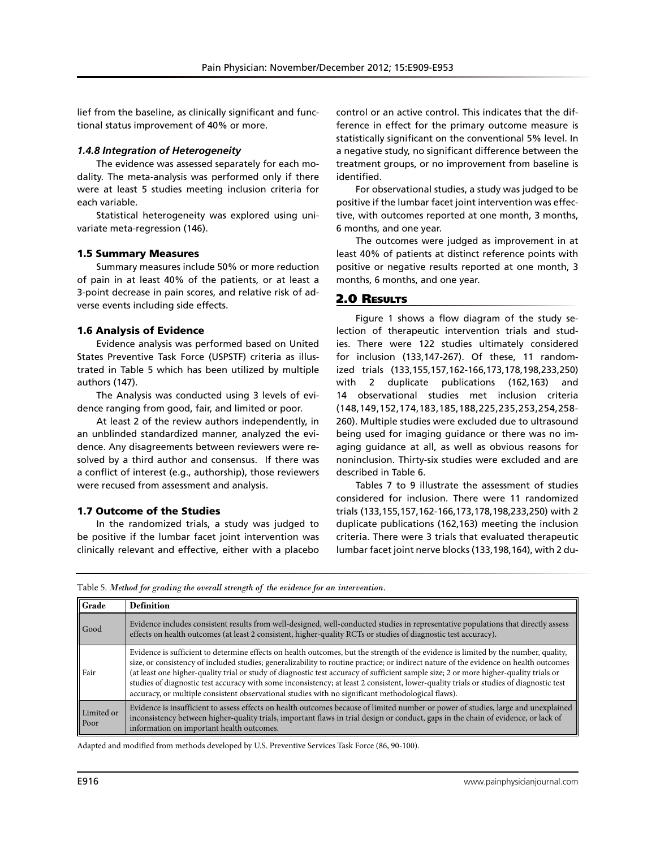lief from the baseline, as clinically significant and functional status improvement of 40% or more.

### *1.4.8 Integration of Heterogeneity*

The evidence was assessed separately for each modality. The meta-analysis was performed only if there were at least 5 studies meeting inclusion criteria for each variable.

Statistical heterogeneity was explored using univariate meta-regression (146).

# 1.5 Summary Measures

Summary measures include 50% or more reduction of pain in at least 40% of the patients, or at least a 3-point decrease in pain scores, and relative risk of adverse events including side effects.

# 1.6 Analysis of Evidence

Evidence analysis was performed based on United States Preventive Task Force (USPSTF) criteria as illustrated in Table 5 which has been utilized by multiple authors (147).

The Analysis was conducted using 3 levels of evidence ranging from good, fair, and limited or poor.

At least 2 of the review authors independently, in an unblinded standardized manner, analyzed the evidence. Any disagreements between reviewers were resolved by a third author and consensus. If there was a conflict of interest (e.g., authorship), those reviewers were recused from assessment and analysis.

# 1.7 Outcome of the Studies

In the randomized trials, a study was judged to be positive if the lumbar facet joint intervention was clinically relevant and effective, either with a placebo

control or an active control. This indicates that the difference in effect for the primary outcome measure is statistically significant on the conventional 5% level. In a negative study, no significant difference between the treatment groups, or no improvement from baseline is identified.

For observational studies, a study was judged to be positive if the lumbar facet joint intervention was effective, with outcomes reported at one month, 3 months, 6 months, and one year.

The outcomes were judged as improvement in at least 40% of patients at distinct reference points with positive or negative results reported at one month, 3 months, 6 months, and one year.

# 2.0 Results

Figure 1 shows a flow diagram of the study selection of therapeutic intervention trials and studies. There were 122 studies ultimately considered for inclusion (133,147-267). Of these, 11 randomized trials (133,155,157,162-166,173,178,198,233,250) with 2 duplicate publications (162,163) and 14 observational studies met inclusion criteria (148,149,152,174,183,185,188,225,235,253,254,258- 260). Multiple studies were excluded due to ultrasound being used for imaging guidance or there was no imaging guidance at all, as well as obvious reasons for noninclusion. Thirty-six studies were excluded and are described in Table 6.

Tables 7 to 9 illustrate the assessment of studies considered for inclusion. There were 11 randomized trials (133,155,157,162-166,173,178,198,233,250) with 2 duplicate publications (162,163) meeting the inclusion criteria. There were 3 trials that evaluated therapeutic lumbar facet joint nerve blocks (133,198,164), with 2 du-

Table 5. *Method for grading the overall strength of the evidence for an intervention.*

| Grade              | <b>Definition</b>                                                                                                                                                                                                                                                                                                                                                                                                                                                                                                                                                                                                                                                    |
|--------------------|----------------------------------------------------------------------------------------------------------------------------------------------------------------------------------------------------------------------------------------------------------------------------------------------------------------------------------------------------------------------------------------------------------------------------------------------------------------------------------------------------------------------------------------------------------------------------------------------------------------------------------------------------------------------|
| Good               | Evidence includes consistent results from well-designed, well-conducted studies in representative populations that directly assess<br>effects on health outcomes (at least 2 consistent, higher-quality RCTs or studies of diagnostic test accuracy).                                                                                                                                                                                                                                                                                                                                                                                                                |
| Fair               | Evidence is sufficient to determine effects on health outcomes, but the strength of the evidence is limited by the number, quality,<br>size, or consistency of included studies; generalizability to routine practice; or indirect nature of the evidence on health outcomes<br>(at least one higher-quality trial or study of diagnostic test accuracy of sufficient sample size; 2 or more higher-quality trials or<br>studies of diagnostic test accuracy with some inconsistency; at least 2 consistent, lower-quality trials or studies of diagnostic test<br>accuracy, or multiple consistent observational studies with no significant methodological flaws). |
| Limited or<br>Poor | Evidence is insufficient to assess effects on health outcomes because of limited number or power of studies, large and unexplained<br>inconsistency between higher-quality trials, important flaws in trial design or conduct, gaps in the chain of evidence, or lack of<br>information on important health outcomes.                                                                                                                                                                                                                                                                                                                                                |

Adapted and modified from methods developed by U.S. Preventive Services Task Force (86, 90-100).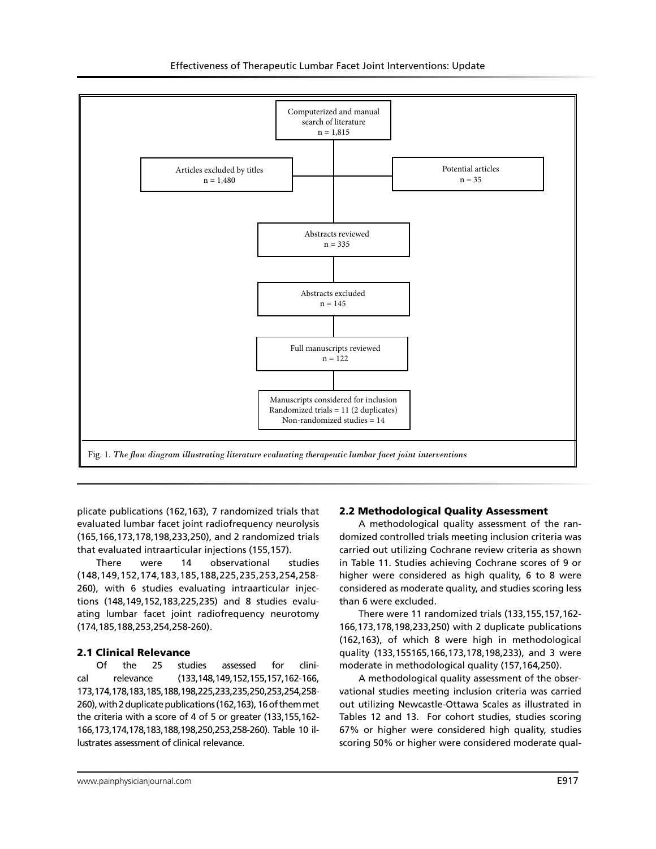

plicate publications (162,163), 7 randomized trials that evaluated lumbar facet joint radiofrequency neurolysis (165,166,173,178,198,233,250), and 2 randomized trials that evaluated intraarticular injections (155,157).

There were 14 observational studies (148,149,152,174,183,185,188,225,235,253,254,258- 260), with 6 studies evaluating intraarticular injections (148,149,152,183,225,235) and 8 studies evaluating lumbar facet joint radiofrequency neurotomy (174,185,188,253,254,258-260).

#### 2.1 Clinical Relevance

Of the 25 studies assessed for clinical relevance (133,148,149,152,155,157,162-166, 173,174,178,183,185,188,198,225,233,235,250,253,254,258- 260), with 2 duplicate publications (162,163), 16 of them met the criteria with a score of 4 of 5 or greater (133,155,162- 166,173,174,178,183,188,198,250,253,258-260). Table 10 illustrates assessment of clinical relevance.

# 2.2 Methodological Quality Assessment

A methodological quality assessment of the randomized controlled trials meeting inclusion criteria was carried out utilizing Cochrane review criteria as shown in Table 11. Studies achieving Cochrane scores of 9 or higher were considered as high quality, 6 to 8 were considered as moderate quality, and studies scoring less than 6 were excluded.

There were 11 randomized trials (133,155,157,162- 166,173,178,198,233,250) with 2 duplicate publications (162,163), of which 8 were high in methodological quality (133,155165,166,173,178,198,233), and 3 were moderate in methodological quality (157,164,250).

A methodological quality assessment of the observational studies meeting inclusion criteria was carried out utilizing Newcastle-Ottawa Scales as illustrated in Tables 12 and 13. For cohort studies, studies scoring 67% or higher were considered high quality, studies scoring 50% or higher were considered moderate qual-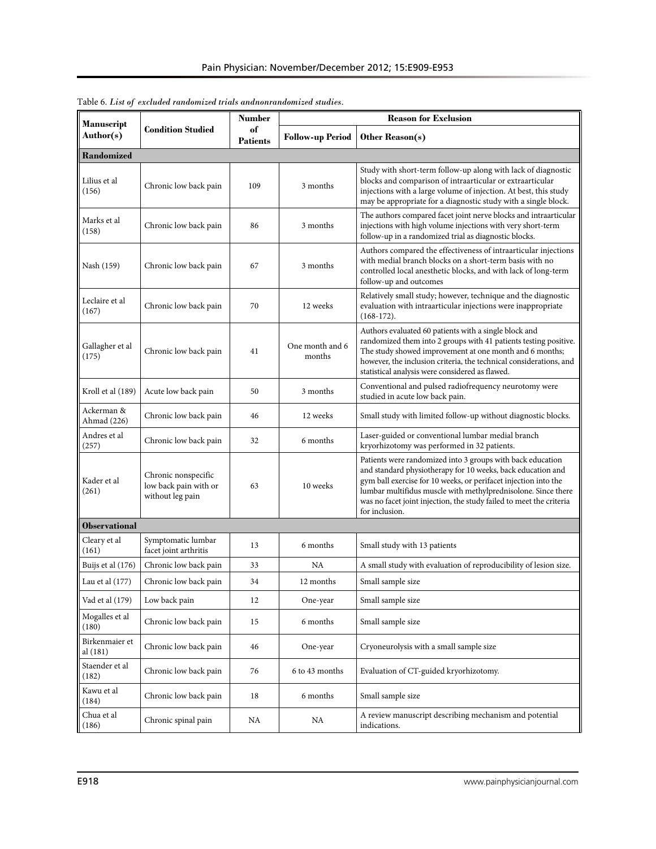| Manuscript                 |                                                                  | <b>Number</b>         | <b>Reason for Exclusion</b>                              |                                                                                                                                                                                                                                                                                                                                                        |  |
|----------------------------|------------------------------------------------------------------|-----------------------|----------------------------------------------------------|--------------------------------------------------------------------------------------------------------------------------------------------------------------------------------------------------------------------------------------------------------------------------------------------------------------------------------------------------------|--|
| Author(s)                  | <b>Condition Studied</b>                                         | of<br><b>Patients</b> | <b>Follow-up Period</b>                                  | Other Reason(s)                                                                                                                                                                                                                                                                                                                                        |  |
| Randomized                 |                                                                  |                       |                                                          |                                                                                                                                                                                                                                                                                                                                                        |  |
| Lilius et al<br>(156)      | Chronic low back pain                                            | 109                   | 3 months                                                 | Study with short-term follow-up along with lack of diagnostic<br>blocks and comparison of intraarticular or extraarticular<br>injections with a large volume of injection. At best, this study<br>may be appropriate for a diagnostic study with a single block.                                                                                       |  |
| Marks et al<br>(158)       | Chronic low back pain                                            | 86                    | 3 months                                                 | The authors compared facet joint nerve blocks and intraarticular<br>injections with high volume injections with very short-term<br>follow-up in a randomized trial as diagnostic blocks.                                                                                                                                                               |  |
| Nash (159)                 | Chronic low back pain                                            | 67                    | 3 months                                                 | Authors compared the effectiveness of intraarticular injections<br>with medial branch blocks on a short-term basis with no<br>controlled local anesthetic blocks, and with lack of long-term<br>follow-up and outcomes                                                                                                                                 |  |
| Leclaire et al<br>(167)    | Chronic low back pain                                            | 70                    | 12 weeks                                                 | Relatively small study; however, technique and the diagnostic<br>evaluation with intraarticular injections were inappropriate<br>$(168-172).$                                                                                                                                                                                                          |  |
| Gallagher et al<br>(175)   | Chronic low back pain                                            | 41                    | One month and 6<br>months                                | Authors evaluated 60 patients with a single block and<br>randomized them into 2 groups with 41 patients testing positive.<br>The study showed improvement at one month and 6 months;<br>however, the inclusion criteria, the technical considerations, and<br>statistical analysis were considered as flawed.                                          |  |
| Kroll et al (189)          | Acute low back pain                                              | 50                    | 3 months                                                 | Conventional and pulsed radiofrequency neurotomy were<br>studied in acute low back pain.                                                                                                                                                                                                                                                               |  |
| Ackerman &<br>Ahmad (226)  | Chronic low back pain                                            | 46                    | 12 weeks                                                 | Small study with limited follow-up without diagnostic blocks.                                                                                                                                                                                                                                                                                          |  |
| Andres et al<br>(257)      | Chronic low back pain                                            | 32                    | 6 months                                                 | Laser-guided or conventional lumbar medial branch<br>kryorhizotomy was performed in 32 patients.                                                                                                                                                                                                                                                       |  |
| Kader et al<br>(261)       | Chronic nonspecific<br>low back pain with or<br>without leg pain | 63                    | 10 weeks                                                 | Patients were randomized into 3 groups with back education<br>and standard physiotherapy for 10 weeks, back education and<br>gym ball exercise for 10 weeks, or perifacet injection into the<br>lumbar multifidus muscle with methylprednisolone. Since there<br>was no facet joint injection, the study failed to meet the criteria<br>for inclusion. |  |
| <b>Observational</b>       |                                                                  |                       |                                                          |                                                                                                                                                                                                                                                                                                                                                        |  |
| Cleary et al<br>(161)      | Symptomatic lumbar<br>facet joint arthritis                      | 13                    | 6 months                                                 | Small study with 13 patients                                                                                                                                                                                                                                                                                                                           |  |
| Buijs et al (176)          | Chronic low back pain                                            | 33                    | NA                                                       | A small study with evaluation of reproducibility of lesion size.                                                                                                                                                                                                                                                                                       |  |
| Lau et al $(177)$          | Chronic low back pain                                            | 34                    | 12 months                                                | Small sample size                                                                                                                                                                                                                                                                                                                                      |  |
| Vad et al (179)            | Low back pain                                                    | 12                    | One-year                                                 | Small sample size                                                                                                                                                                                                                                                                                                                                      |  |
| Mogalles et al<br>(180)    | Chronic low back pain                                            | 15                    | 6 months                                                 | Small sample size                                                                                                                                                                                                                                                                                                                                      |  |
| Birkenmaier et<br>al (181) | Chronic low back pain                                            | 46                    | One-year                                                 | Cryoneurolysis with a small sample size                                                                                                                                                                                                                                                                                                                |  |
| Staender et al<br>(182)    | Chronic low back pain                                            | 76                    | Evaluation of CT-guided kryorhizotomy.<br>6 to 43 months |                                                                                                                                                                                                                                                                                                                                                        |  |
| Kawu et al<br>(184)        | Chronic low back pain                                            | 18                    | 6 months<br>Small sample size                            |                                                                                                                                                                                                                                                                                                                                                        |  |
| Chua et al<br>(186)        | Chronic spinal pain                                              | NA                    | NA                                                       | A review manuscript describing mechanism and potential<br>indications.                                                                                                                                                                                                                                                                                 |  |

Table 6. *List of excluded randomized trials andnonrandomized studies.*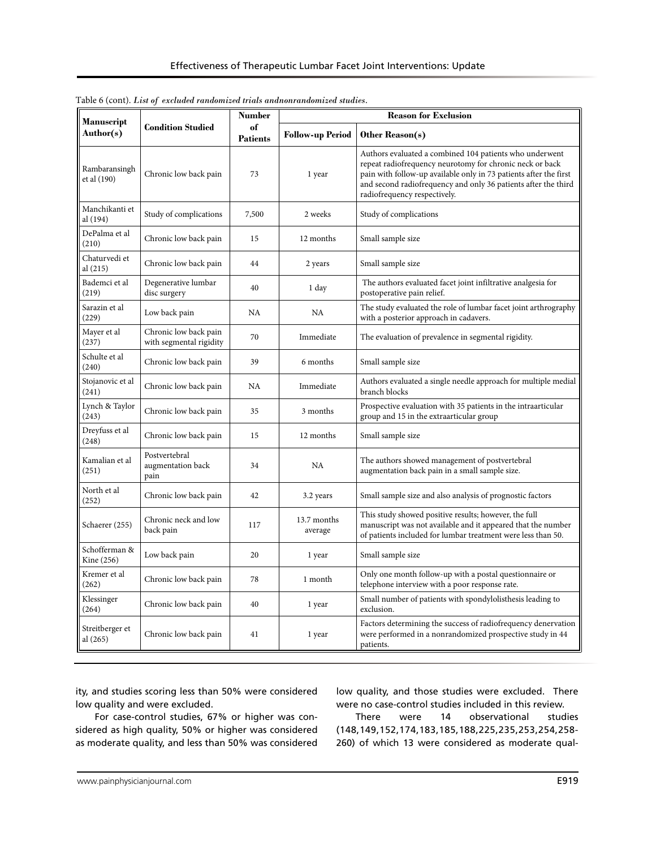| <b>Manuscript</b><br><b>Condition Studied</b><br>Author(s) |                                                  | Number                |                         | <b>Reason for Exclusion</b>                                                                                                                                                                                                                                                                |  |
|------------------------------------------------------------|--------------------------------------------------|-----------------------|-------------------------|--------------------------------------------------------------------------------------------------------------------------------------------------------------------------------------------------------------------------------------------------------------------------------------------|--|
|                                                            |                                                  | of<br><b>Patients</b> | <b>Follow-up Period</b> | Other Reason(s)                                                                                                                                                                                                                                                                            |  |
| Rambaransingh<br>et al (190)                               | Chronic low back pain                            | 73                    | 1 year                  | Authors evaluated a combined 104 patients who underwent<br>repeat radiofrequency neurotomy for chronic neck or back<br>pain with follow-up available only in 73 patients after the first<br>and second radiofrequency and only 36 patients after the third<br>radiofrequency respectively. |  |
| Manchikanti et<br>al (194)                                 | Study of complications                           | 7,500                 | 2 weeks                 | Study of complications                                                                                                                                                                                                                                                                     |  |
| DePalma et al<br>(210)                                     | Chronic low back pain                            | 15                    | 12 months               | Small sample size                                                                                                                                                                                                                                                                          |  |
| Chaturvedi et<br>al (215)                                  | Chronic low back pain                            | 44                    | 2 years                 | Small sample size                                                                                                                                                                                                                                                                          |  |
| Bademci et al<br>(219)                                     | Degenerative lumbar<br>disc surgery              | 40                    | 1 day                   | The authors evaluated facet joint infiltrative analgesia for<br>postoperative pain relief.                                                                                                                                                                                                 |  |
| Sarazin et al<br>(229)                                     | Low back pain                                    | NA                    | NA                      | The study evaluated the role of lumbar facet joint arthrography<br>with a posterior approach in cadavers.                                                                                                                                                                                  |  |
| Mayer et al<br>(237)                                       | Chronic low back pain<br>with segmental rigidity | 70                    | Immediate               | The evaluation of prevalence in segmental rigidity.                                                                                                                                                                                                                                        |  |
| Schulte et al<br>(240)                                     | Chronic low back pain                            | 39                    | 6 months                | Small sample size                                                                                                                                                                                                                                                                          |  |
| Stojanovic et al<br>(241)                                  | Chronic low back pain                            | NA                    | Immediate               | Authors evaluated a single needle approach for multiple medial<br>branch blocks                                                                                                                                                                                                            |  |
| Lynch & Taylor<br>(243)                                    | Chronic low back pain                            | 35                    | 3 months                | Prospective evaluation with 35 patients in the intraarticular<br>group and 15 in the extraarticular group                                                                                                                                                                                  |  |
| Dreyfuss et al<br>(248)                                    | Chronic low back pain                            | 15                    | 12 months               | Small sample size                                                                                                                                                                                                                                                                          |  |
| Kamalian et al<br>(251)                                    | Postvertebral<br>augmentation back<br>pain       | 34                    | NA                      | The authors showed management of postvertebral<br>augmentation back pain in a small sample size.                                                                                                                                                                                           |  |
| North et al<br>(252)                                       | Chronic low back pain                            | 42                    | 3.2 years               | Small sample size and also analysis of prognostic factors                                                                                                                                                                                                                                  |  |
| Schaerer (255)                                             | Chronic neck and low<br>back pain                | 117                   | 13.7 months<br>average  | This study showed positive results; however, the full<br>manuscript was not available and it appeared that the number<br>of patients included for lumbar treatment were less than 50.                                                                                                      |  |
| Schofferman &<br>Kine (256)                                | Low back pain                                    | 20                    | 1 year                  | Small sample size                                                                                                                                                                                                                                                                          |  |
| Kremer et al<br>(262)                                      | Chronic low back pain                            | 78                    | 1 month                 | Only one month follow-up with a postal questionnaire or<br>telephone interview with a poor response rate.                                                                                                                                                                                  |  |
| Klessinger<br>(264)                                        | Chronic low back pain                            | 40                    | 1 year                  | Small number of patients with spondylolisthesis leading to<br>exclusion.                                                                                                                                                                                                                   |  |
| Streitberger et<br>al (265)                                | Chronic low back pain                            | 41                    | 1 year                  | Factors determining the success of radiofrequency denervation<br>were performed in a nonrandomized prospective study in 44<br>patients.                                                                                                                                                    |  |

Table 6 (cont). *List of excluded randomized trials andnonrandomized studies.*

ity, and studies scoring less than 50% were considered low quality and were excluded.

For case-control studies, 67% or higher was considered as high quality, 50% or higher was considered as moderate quality, and less than 50% was considered low quality, and those studies were excluded. There were no case-control studies included in this review.

There were 14 observational studies (148,149,152,174,183,185,188,225,235,253,254,258- 260) of which 13 were considered as moderate qual-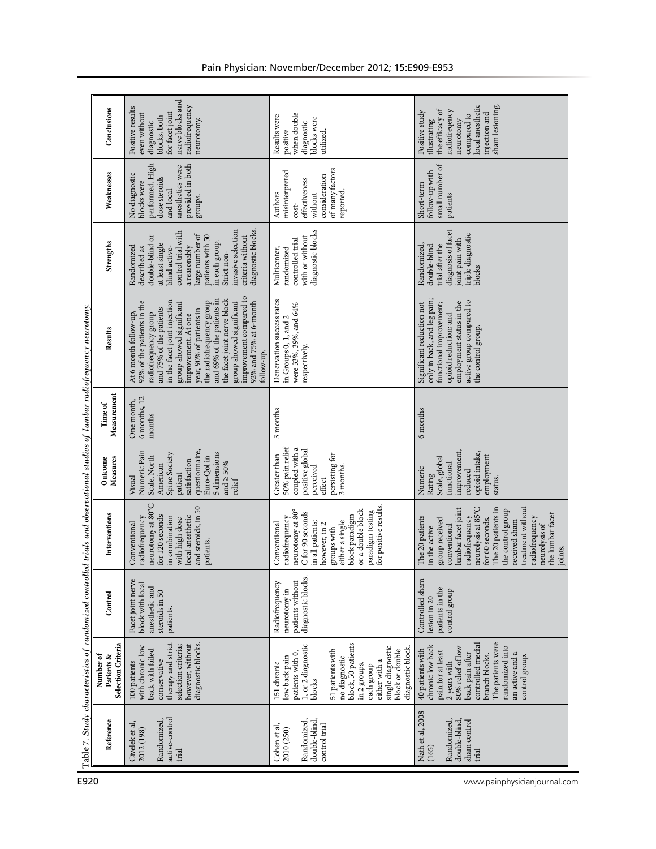|                                                                         | Condusions                                    | nerve blocks and<br>radiofrequency<br>Positive results<br>for facet joint<br>even without<br>blocks, both<br>neurotomy.<br>diagnostic                                                                                                                                                                                                                                                                         | when double<br>Results were<br>blocks were<br>diagnostic<br>positive<br>utilized.                                                                                                                                                                      | local anesthetic<br>sham lesioning.<br>the efficacy of<br>radiofreqency<br>Positive study<br>injection and<br>compared to<br>illustrating<br>neurotomy                                                                                                                                                 |  |  |
|-------------------------------------------------------------------------|-----------------------------------------------|---------------------------------------------------------------------------------------------------------------------------------------------------------------------------------------------------------------------------------------------------------------------------------------------------------------------------------------------------------------------------------------------------------------|--------------------------------------------------------------------------------------------------------------------------------------------------------------------------------------------------------------------------------------------------------|--------------------------------------------------------------------------------------------------------------------------------------------------------------------------------------------------------------------------------------------------------------------------------------------------------|--|--|
|                                                                         | Weaknesses                                    | provided in both<br>performed. High<br>anesthetics were<br>No diagnostic<br>dose steroids<br>blocks were<br>and local<br>groups.                                                                                                                                                                                                                                                                              | of many factors<br>misinterpreted<br>consideration<br>effectiveness<br>reported.<br>Authors<br>without<br>$cost-$                                                                                                                                      | small number of<br>follow-up with<br>Short-term<br>patients                                                                                                                                                                                                                                            |  |  |
|                                                                         | <b>Strengths</b>                              | diagnostic blocks.<br>invasive selection<br>control trial with<br>large number of<br>patients with 50<br>criteria without<br>double-blind or<br>in each group.<br>at least single<br>a reasonably<br>Randomized<br>blind active-<br>described as<br>Strict non-                                                                                                                                               | diagnostic blocks<br>with or without<br>controlled trial<br>randomized<br>Multicenter,                                                                                                                                                                 | diagnosis of facet<br>triple diagnostic<br>joint pain with<br>trial after the<br>double-blind<br>Randomized<br>blocks                                                                                                                                                                                  |  |  |
| ed trials and observational studies of lumbar radiofrequency neurotomy. | Results                                       | improvement compared to<br>and 69% of the patients in<br>the facet joint nerve block<br>in the facet joint injection<br>the radiofrequency group<br>92% of the patients in the<br>group showed significant<br>92% and 75% at 6-month<br>group showed significant<br>and 75% of the patients<br>year, 90% of patients in<br>At 6 month follow-up,<br>radiofrequency group<br>improvement. At one<br>follow-up. | Denervation success rates<br>were 33%, 39%, and 64%<br>in Groups 0, 1, and 2<br>respectively.                                                                                                                                                          | only in back, and leg pain;<br>active group compared to<br>employment status in the<br>Significant reduction not<br>functional improvement;<br>opioid reduction; and<br>the control group.                                                                                                             |  |  |
|                                                                         | Measurement<br>l'ime of                       | 6 months, 12<br>One month,<br>months                                                                                                                                                                                                                                                                                                                                                                          | 3 months                                                                                                                                                                                                                                               | 6 months                                                                                                                                                                                                                                                                                               |  |  |
|                                                                         | Outcome<br>Measures                           | questionnaire,<br>Numeric Pain<br>5 dimensions<br>Spine Society<br>Scale, North<br>Euro-Qol in<br>satisfaction<br>and $\geq 50\%$<br>American<br>patient<br>Visual<br>relief                                                                                                                                                                                                                                  | 50% pain relief<br>coupled with a<br>positive global<br>persisting for<br>Greater than<br>perceived<br>3 months.<br>effect                                                                                                                             | improvement,<br>opioid intake,<br>employment<br>Scale, global<br>functional<br>Numeric<br>reduced<br>Rating<br>status.                                                                                                                                                                                 |  |  |
|                                                                         | Interventions                                 | neurotomy at 80°C<br>and steroids, in 50<br>for 120 seconds<br>local anesthetic<br>radiofrequency<br>in combination<br>with high dose<br>Conventional<br>patients.                                                                                                                                                                                                                                            | for positive results.<br>neurotomy at 80°<br>or a double block<br>paradigm testing<br>C for 90 seconds<br>block paradigm<br>radiofrequency<br>either a single<br>in all patients;<br>Conventional<br>however, in 2<br>groups with                      | treatment without<br>neurolysis at 85°C<br>The 20 patients in<br>lumbar facet joint<br>the control group<br>the lumbar facet<br>The 20 patients<br>radiofrequency<br>radiofrequency<br>for 60 seconds.<br>group received<br>received sham<br>neurolysis of<br>conventional<br>in the active<br>joints. |  |  |
|                                                                         | Control                                       | Facet joint nerve<br>block with local<br>anesthetic and<br>steroids in 50<br>patients.                                                                                                                                                                                                                                                                                                                        | diagnostic blocks.<br>patients without<br>Radiofrequency<br>neurotomy in                                                                                                                                                                               | Controlled sham<br>patients in the<br>control group<br>lesion in 20                                                                                                                                                                                                                                    |  |  |
| Table 7. Study characteristics of randomized controll                   | Selection Criteria<br>Number of<br>Patients & | therapy and strict<br>diagnostic blocks.<br>however, without<br>with chronic low<br>selection criteria;<br>back with failed<br>conservative<br>100 patients                                                                                                                                                                                                                                                   | block, 50 patients<br>1, or 2 diagnostic<br>single diagnostic<br>diagnostic block<br>51 patients with<br>block or double<br>patients with 0,<br>low back pain<br>no diagnostic<br>either with a<br>151 chronic<br>in 2 groups,<br>each group<br>blocks | The patients were<br>controlled medial<br>chronic low back<br>randomized into<br>80% relief of low<br>40 patients with<br>pain for at least<br>back pain after<br>an active and a<br>branch blocks.<br>control group.<br>2 years with                                                                  |  |  |
|                                                                         | Reference                                     | active-control<br>Randomized,<br>Civelek et al,<br>2012 (198)<br>trial                                                                                                                                                                                                                                                                                                                                        | double-blind,<br>Randomized,<br>control trial<br>Cohen et al,<br>2010 (250)                                                                                                                                                                            | Nath et al, 2008<br>Randomized,<br>double-blind<br>sham control<br>(165)<br>trial                                                                                                                                                                                                                      |  |  |
| E920                                                                    | www.painphysicianjournal.com                  |                                                                                                                                                                                                                                                                                                                                                                                                               |                                                                                                                                                                                                                                                        |                                                                                                                                                                                                                                                                                                        |  |  |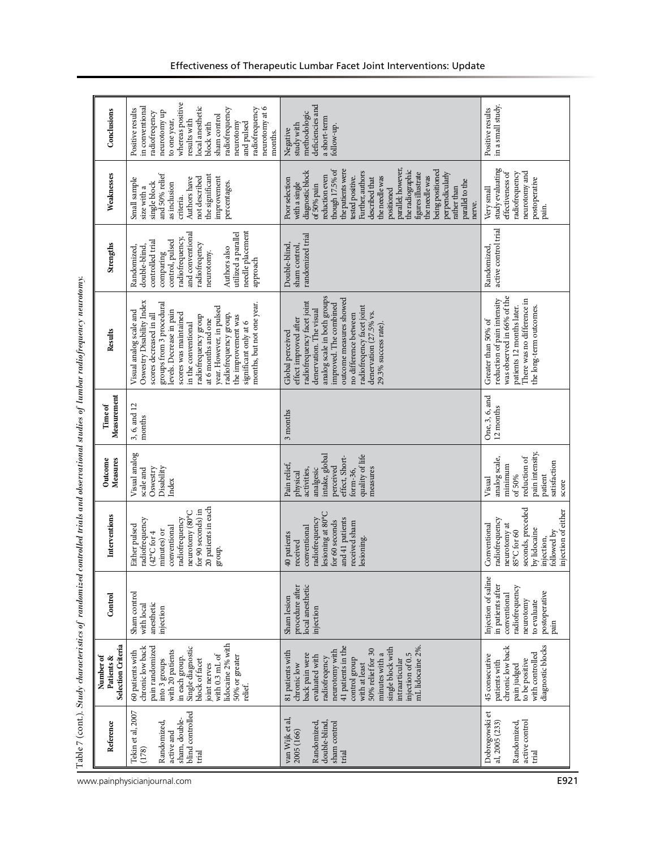| Conclusions                                   | whereas positive<br>local anesthetic<br>in conventional<br>radiofrequency<br>neurotomy at 6<br>radiofrequency<br>Positive results<br>neurotomy up<br>radiofreqency<br>sham control<br>to one year,<br>results with<br>neurotomy<br>and pulsed<br>block with<br>months.                                                                                                   | deficiencies and<br>methodologic<br>a short-term<br>study with<br>follow-up.<br>Negative                                                                                                                                                                                                                                                                                                    | in a small study.<br>Positive results                                                                                                                                  |
|-----------------------------------------------|--------------------------------------------------------------------------------------------------------------------------------------------------------------------------------------------------------------------------------------------------------------------------------------------------------------------------------------------------------------------------|---------------------------------------------------------------------------------------------------------------------------------------------------------------------------------------------------------------------------------------------------------------------------------------------------------------------------------------------------------------------------------------------|------------------------------------------------------------------------------------------------------------------------------------------------------------------------|
| Weaknesses                                    | and 50% relief<br>the significant<br>improvement<br>not described<br>Authors have<br>Small sample<br>percentages.<br>as inclusion<br>single block<br>size with a<br>criteria.                                                                                                                                                                                            | parallel; however,<br>the radiographic<br>though 17.5% of<br>the patients were<br>being positioned<br>diagnostic block<br>Further, authors<br>figures illustrate<br>perpendicularly<br>reduction even<br>the needle was<br>tested positive.<br>the needle was<br>described that<br>Poor selection<br>parallel to the<br>with a single<br>of 50% pain<br>rather than<br>positioned<br>nerve. | study evaluating<br>radiofrequency<br>neurotomy and<br>effectiveness of<br>postoperative<br>Very small<br>pain.                                                        |
| Strengths                                     | needle placement<br>utilized a parallel<br>and conventional<br>radiofrequency,<br>control, pulsed<br>controlled trial<br>radiofreqency<br>Randomized,<br>double-blind,<br>Authors also<br>neurotomy.<br>comparing<br>approach                                                                                                                                            | randomized trial<br>Double-blind,<br>sham control,                                                                                                                                                                                                                                                                                                                                          | active control trial<br>Randomized,                                                                                                                                    |
| Results                                       | Oswestry Disability Index<br>groups from 3 procedural<br>months, but not one year.<br>year. However, in pulsed<br>levels. Decrease in pain<br>Visual analog scale and<br>scores decreased in all<br>scores was maintained<br>radiofrequency group,<br>the improvement was<br>radiofrequency group<br>at 6 months and one<br>significant only at 6<br>in the conventional | analog scale in both groups<br>outcome measures showed<br>radiofrequency facet joint<br>improved. The combined<br>radiofreqency facet joint<br>denervation. The visual<br>denervation (27.5% vs.<br>no difference between<br>effect improved after<br>29.3% success rate).<br>Global perceived                                                                                              | was observed in 66% of the<br>reduction of pain intensity<br>There was no difference in<br>patients 12 months later.<br>the long-term outcomes.<br>Greater than 50% of |
| Measurement<br>Time of                        | 3, 6, and 12<br>months                                                                                                                                                                                                                                                                                                                                                   | 3 months                                                                                                                                                                                                                                                                                                                                                                                    | One, 3, 6, and<br>12 months                                                                                                                                            |
| Measures<br>Outcome                           | Visual analog<br>Disability<br>Oswestry<br>scale and<br>Index                                                                                                                                                                                                                                                                                                            | intake, global<br>quality of life<br>effect, Short-<br>Pain relief,<br>perceived<br>measures<br>analgesic<br>form-36,<br>activities,<br>physical                                                                                                                                                                                                                                            | pain intensity,<br>reduction of<br>analog scale,<br>satisfaction<br>minimum<br>of 50%<br>patient<br>Visual<br>score                                                    |
| Interventions                                 | 20 patients in each<br>for 90 seconds) in<br>neurotomy (80°C<br>radiofrequency<br>radiofrequency<br>Either pulsed<br>conventional<br>minutes) or<br>$(42^{\circ}$ C for 4<br>group.                                                                                                                                                                                      | lesioning at 80°C<br>and 41 patients<br>radiofrequency<br>for 60 seconds<br>received sham<br>conventional<br>40 patients<br>lesioning.<br>received                                                                                                                                                                                                                                          | seconds, preceded<br>injection of either<br>radiofrequency<br>Conventional<br>neurotomy at<br>by lidocaine<br>85°C for 60<br>followed by<br>injection,                 |
| Control                                       | Sham control<br>anesthetic<br>with local<br>injection                                                                                                                                                                                                                                                                                                                    | local anesthetic<br>procedure after<br>Sham lesion<br>injection                                                                                                                                                                                                                                                                                                                             | Injection of saline<br>in patients after<br>radiofrequency<br>postoperative<br>conventional<br>neurotomy<br>to evaluate<br>pain                                        |
| Selection Criteria<br>Number of<br>Patients & | lidocaine 2% with<br>pain randomized<br>Single diagnostic<br>chronic low back<br>with 20 patients<br>60 patients with<br>with $0.3$ mL of<br>50% or greater<br>in each group.<br>into 3 groups<br>block of facet<br>joint nerves<br>relief.                                                                                                                              | 41 patients in the<br>mL lidocaine 2%.<br>single block with<br>50% relief for 30<br>neurotomy with<br>81 patients with<br>injection of 0.5<br>back pain were<br>minutes with a<br>evaluated with<br>radiofreqency<br>control group<br>intraarticular<br>chronic low<br>with at least                                                                                                        | diagnostic blocks<br>chronic low back<br>with controlled<br>45 consecutive<br>to be positive<br>patients with<br>pain judged                                           |
| Reference                                     | blind controlled<br>Tekin et al, 2007<br>sham, double-<br>Randomized,<br>active and<br>(178)<br>trial                                                                                                                                                                                                                                                                    | van Wijk et al,<br>double-blind,<br>Randomized,<br>sham control<br>2005 (166)<br>trial                                                                                                                                                                                                                                                                                                      | Dobrogowski et<br>active control<br>al, 2005 (233)<br>Randomized,<br>trial                                                                                             |

www.painphysicianjournal.com **E921**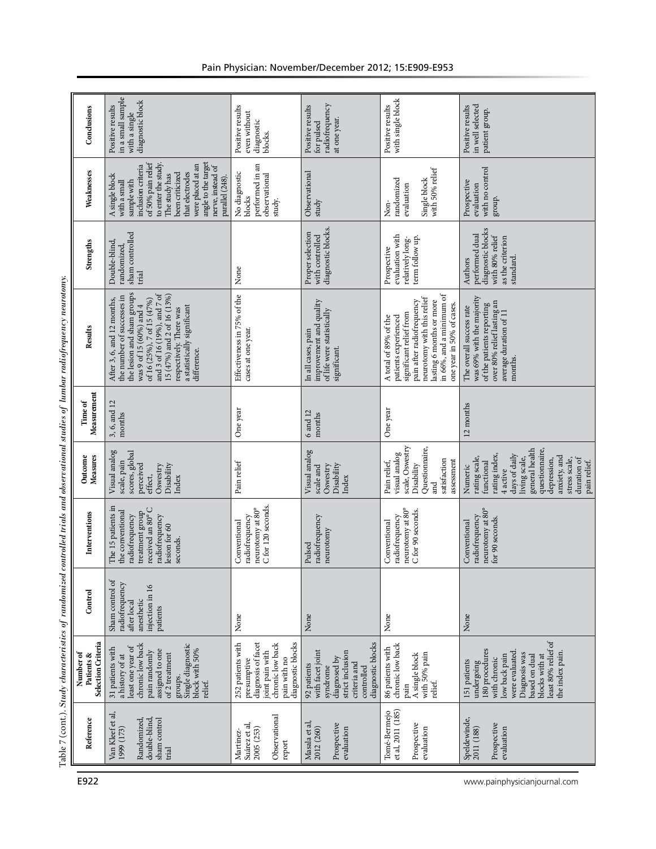|                                                                                                                                     | Conclusions                                   | in a small sample<br>diagnostic block<br>Positive results<br>with a single                                                                                                                                                                                                            | Positive results<br>even without<br>diagnostic<br>blocks.                                                                          | radiofrequency<br>Positive results<br>at one year.<br>for pulsed                                                                   | with single block<br>Positive results                                                                                                                                                                                    | in well selected<br>Positive results<br>patient group.                                                                                                                                                                   |
|-------------------------------------------------------------------------------------------------------------------------------------|-----------------------------------------------|---------------------------------------------------------------------------------------------------------------------------------------------------------------------------------------------------------------------------------------------------------------------------------------|------------------------------------------------------------------------------------------------------------------------------------|------------------------------------------------------------------------------------------------------------------------------------|--------------------------------------------------------------------------------------------------------------------------------------------------------------------------------------------------------------------------|--------------------------------------------------------------------------------------------------------------------------------------------------------------------------------------------------------------------------|
|                                                                                                                                     | Weaknesses                                    | to enter the study.<br>of 50% pain relief<br>angle to the target<br>were placed at an<br>inclusion criteria<br>nerve, instead of<br>that electrodes<br>been criticized<br>The study has<br>A single block<br>parallel (248).<br>sample with<br>with a small                           | performed in an<br>No diagnostic<br>observational<br>blocks<br>study.                                                              | Observational<br>study                                                                                                             | with 50% relief<br>Single block<br>randomized<br>evaluation<br>Non-                                                                                                                                                      | with no control<br>Prospective<br>evaluation<br>group.                                                                                                                                                                   |
|                                                                                                                                     | Strengths                                     | sham controlled<br>Double-blind,<br>randomized<br>trial                                                                                                                                                                                                                               | None                                                                                                                               | diagnostic blocks.<br>Proper selection<br>with controlled                                                                          | evaluation with<br>term follow up.<br>relatively long-<br>Prospective                                                                                                                                                    | diagnostic blocks<br>performed dual<br>with 80% relief<br>as the criterion<br>standard.<br>Authors                                                                                                                       |
|                                                                                                                                     | Results                                       | the lesion and sham groups<br>and 3 of 16 (19%), and 7 of<br>15 (47%) and 2 of 16 (13%)<br>the number of successes in<br>After 3, 6, and 12 months,<br>of 16 (25%), 7 of 15 (47%)<br>was 9 of 15 (60%) and 4<br>a statistically significant<br>respectively. There was<br>difference. | Effectiveness in 75% of the<br>cases at one year.                                                                                  | improvement and quality<br>of life were statistically<br>In all cases, pain<br>significant.                                        | in 66%, and a minimum of<br>neurotomy with this relief<br>pain after radiofrequency<br>lasting 6 months or more<br>one year in 50% of cases.<br>significant relief from<br>A total of 89% of the<br>patients experienced | was 69% with the majority<br>over 80% relief lasting an<br>average duration of 11<br>of the patients reporting<br>The overall success rate<br>months.                                                                    |
| Table 7 (cont.). Sudy characteristics of randomized controlled trials and observational studies of lumbar radiofrequency neurotomy. | Measurement<br>Time of                        | 3, 6, and 12<br>months                                                                                                                                                                                                                                                                | One year                                                                                                                           | 6 and 12<br>months                                                                                                                 | One year                                                                                                                                                                                                                 | 12 months                                                                                                                                                                                                                |
|                                                                                                                                     | Measures<br>Outcome                           | Visual analog<br>scores, global<br>scale, pain<br>perceived<br>Disability<br>Oswestry<br>effect,<br>Index                                                                                                                                                                             | Pain relief                                                                                                                        | Visual analog<br>Disability<br>Oswestry<br>scale and<br>Index                                                                      | scale, Oswestry<br>Questionnaire,<br>visual analog<br>satisfaction<br>assessment<br>Pain relief,<br>Disability<br>ម្លា<br>ម                                                                                              | general health<br>questionnaire,<br>rating index,<br>days of daily<br>anxiety, and<br>rating scale,<br>living scale,<br>depression,<br>duration of<br>stress scale,<br>pain relief.<br>functional<br>Numeric<br>4 active |
|                                                                                                                                     | Interventions                                 | The 15 patients in<br>received an 80° C<br>the conventional<br>treatment group<br>radiofrequency<br>radiofrequency<br>lesion for 60<br>seconds.                                                                                                                                       | C for 120 seconds.<br>neurotomy at 80°<br>radiofrequency<br>Conventional                                                           | radiofrequency<br>neurotomy<br>Pulsed                                                                                              | neurotomy at 80°<br>C for 90 seconds.<br>radiofrequency<br>Conventional                                                                                                                                                  | neurotomy at 80°<br>radiofrequency<br>for 90 seconds.<br>Conventional                                                                                                                                                    |
|                                                                                                                                     | Control                                       | Sham control of<br>radiofrequency<br>injection in 16<br>anesthetic<br>after local<br>patients                                                                                                                                                                                         | None                                                                                                                               | None                                                                                                                               | None                                                                                                                                                                                                                     | None                                                                                                                                                                                                                     |
|                                                                                                                                     | Selection Criteria<br>Patients &<br>Number of | chronic low back<br>Single diagnostic<br>block with 50%<br>least one year of<br>31 patients with<br>assigned to one<br>pain randomly<br>of 2 treatment<br>a history of at<br>groups.<br>relief.                                                                                       | diagnosis of facet<br>chronic low back<br>diagnostic blocks<br>252 patients with<br>joint pain with<br>presumptive<br>pain with no | diagnostic blocks<br>with facet joint<br>strict inclusion<br>diagnosed by<br>criteria and<br>92 patients<br>syndrome<br>controlled | chronic low back<br>86 patients with<br>A single block<br>with 50% pain<br>relief.<br>pain                                                                                                                               | least 80% relief of<br>180 procedures<br>were evaluated<br>the index pain.<br>Diagnosis was<br>blocks with at<br>low back pain<br>based on dual<br>with chronic<br>151 patients<br>undergoing                            |
|                                                                                                                                     | Reference                                     | Van Kleef et al,<br>double-blind<br>sham control<br>Randomized<br>1999 (173)<br>trial                                                                                                                                                                                                 | Observational<br>Suárez et al,<br>2005 (253)<br>Martinez<br>report                                                                 | Masala et al<br>Prospective<br>2012 (260)<br>evaluation                                                                            | et al, 2011 (185)<br>Tomé-Bernejo<br>Prospective<br>evaluation                                                                                                                                                           | Speldewinde,<br>Prospective<br>2011 (188)<br>evaluation                                                                                                                                                                  |
|                                                                                                                                     | E922                                          |                                                                                                                                                                                                                                                                                       |                                                                                                                                    |                                                                                                                                    |                                                                                                                                                                                                                          | www.painphysicianjournal.com                                                                                                                                                                                             |

# Pain Physician: November/December 2012; 15:E909-E953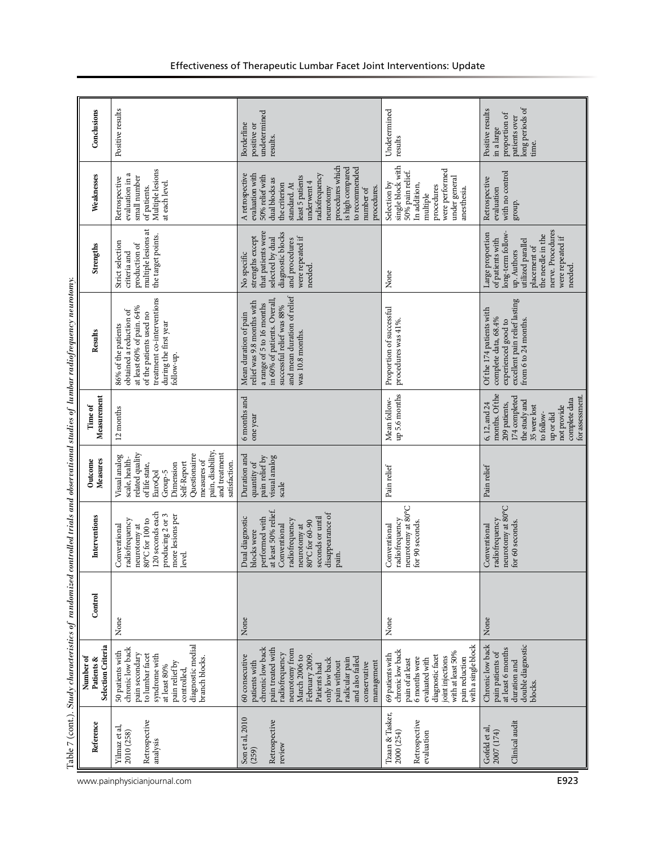|                              |                                                              | Table 7 (cont.). Study characteristics of randomized                                                                                                                                                                                                               |         |                                                                                                                                                                                               |                                                                                                                                                                                                               |                                                                                                                                                                                  | controlled trials and observational studies of lumbar radiofrequency neurotomy.                                                                                                                 |                                                                                                                                                                                        |                                                                                                                                                                                                                                                                  |                                                                                              |  |
|------------------------------|--------------------------------------------------------------|--------------------------------------------------------------------------------------------------------------------------------------------------------------------------------------------------------------------------------------------------------------------|---------|-----------------------------------------------------------------------------------------------------------------------------------------------------------------------------------------------|---------------------------------------------------------------------------------------------------------------------------------------------------------------------------------------------------------------|----------------------------------------------------------------------------------------------------------------------------------------------------------------------------------|-------------------------------------------------------------------------------------------------------------------------------------------------------------------------------------------------|----------------------------------------------------------------------------------------------------------------------------------------------------------------------------------------|------------------------------------------------------------------------------------------------------------------------------------------------------------------------------------------------------------------------------------------------------------------|----------------------------------------------------------------------------------------------|--|
|                              | Reference                                                    | Selection Criteria<br>Number of<br>Patients &                                                                                                                                                                                                                      | Control | Interventions                                                                                                                                                                                 | Measures<br>Outcome                                                                                                                                                                                           | Measurement<br>Time of                                                                                                                                                           | Results                                                                                                                                                                                         | Strengths                                                                                                                                                                              | Weaknesses                                                                                                                                                                                                                                                       | Conclusions                                                                                  |  |
| www.painphysicianjournal.com | Retrospective<br>Yilmaz et al,<br>2010 (258)<br>analysis     | diagnostic medial<br>chronic low back<br>50 patients with<br>pain secondary<br>to lumbar facet<br>syndrome with<br>branch blocks.<br>pain relief by<br>at least $80\%$<br>controlled,                                                                              | None    | 120 seconds each<br>producing 2 or 3<br>more lesions per<br>80°C for 100 to<br>radiofrequency<br>Conventional<br>neurotomy at<br>level.                                                       | pain, disability,<br>and treatment<br>Questionairre<br>related quality<br>Visual analog<br>scale, health-<br>measures of<br>Self-Report<br>satisfaction.<br>of life state,<br>Dimension<br>EuroQol<br>Group-5 | 12 months                                                                                                                                                                        | treatment co-interventions<br>at least 60% of pain. 64%<br>obtained a reduction of<br>of the patients used no<br>during the first year<br>86% of the patients<br>follow-up.                     | multiple lesions at<br>the target points.<br>Strict selection<br>production of<br>criteria and                                                                                         | Multiple lesions<br>evaluation in a<br>small number<br>Retrospective<br>at each level.<br>of patients.                                                                                                                                                           | Positive results                                                                             |  |
|                              | Son et al, 2010<br>Retrospective<br>review<br>(259)          | chronic low back<br>pain treated with<br>neurotomy from<br>radiofrequency<br>60 consecutive<br>March 2006 to<br>February 2009<br>and also failed<br>radicular pain<br>only low back<br>patients with<br>pain without<br>management<br>conservative<br>Patients had | None    | at least 50% relief.<br>disappearance of<br>Dual diagnostic<br>seconds or until<br>performed with<br>radiofrequency<br>80°C for 60-90<br>Conventional<br>neurotomy at<br>blocks were<br>pain. | Duration and<br>pain relief by<br>visual analog<br>quantity of<br>scale                                                                                                                                       | 6 months and<br>one year                                                                                                                                                         | and mean duration of relief<br>in 60% of patients. Overall<br>relief was 9.8 months with<br>a range of 5 to 16 months<br>successful relief was 88%<br>Mean duration of pain<br>was 10.8 months. | that patients were<br>diagnostic blocks<br>strengths except<br>were repeated if<br>selected by dual<br>and procedures<br>No specific<br>needed.                                        | procedures which<br>is high compared<br>to recommended<br>radiofrequency<br>evaluation with<br>A retrospective<br>50% relief with<br>least 5 patients<br>dual blocks as<br>underwent 4<br>the criterion<br>standard. At<br>neurotomy<br>procedures.<br>number of | undetermined<br>Borderline<br>positive or<br>results.                                        |  |
|                              | Tzaan & Tasker,<br>Retrospective<br>2000 (254)<br>evaluation | with a single block<br>chronic low back<br>with at least 50%<br>69 patients with<br>diagnostic facet<br>joint injections<br>6 months were<br>pain reduction<br>pain of at least<br>evaluated with                                                                  | None    | neurotomy at 80°C<br>radiofrequency<br>for 90 seconds.<br>Conventional                                                                                                                        | Pain relief                                                                                                                                                                                                   | up 5.6 months<br>Mean follow-                                                                                                                                                    | Proportion of successful<br>procedures was 41%.                                                                                                                                                 | None                                                                                                                                                                                   | single block with<br>50% pain relief.<br>were performed<br>under general<br>Selection by<br>In addition,<br>procedures<br>anesthesia.<br>multiple                                                                                                                | Undetermined<br>results                                                                      |  |
| E923                         | Clinical audit<br>Gofeld et al,<br>2007 (174)                | double diagnostic<br>Chronic low back<br>at least 6 months<br>pain patients of<br>duration and<br>blocks.                                                                                                                                                          | None    | neurotomy at 80°C<br>radiofrequency<br>for 60 seconds.<br>Conventional                                                                                                                        | Pain relief                                                                                                                                                                                                   | months. Of the<br>for assessment.<br>174 completed<br>complete data<br>the study and<br>209 patients,<br>6, 12, and 24<br>35 were lost<br>not provide<br>to follow-<br>up or did | excellent pain relief lasting<br>Of the 174 patients with<br>complete data, 68.4%<br>experienced good to<br>from 6 to 24 months.                                                                | nerve. Procedures<br>long-term follow-<br>Large proportion<br>the needle in the<br>were repeated if<br>of patients with<br>utilized parallel<br>placement of<br>up. Authors<br>needed. | with no control<br>Retrospective<br>evaluation<br>group.                                                                                                                                                                                                         | long periods of<br>Positive results<br>proportion of<br>patients over<br>in a large<br>time. |  |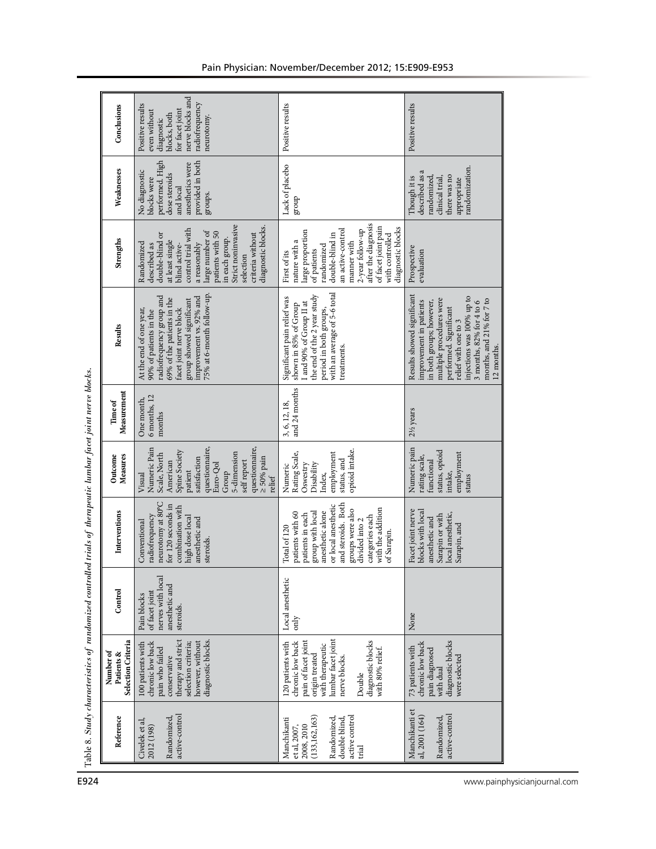| Conclusions                                   | nerve blocks and<br>radiofrequency<br>Positive results<br>for facet joint<br>even without<br>blocks, both<br>neurotomy.<br>diagnostic                                                                                                                         | Positive results                                                                                                                                                                                                                                | Positive results                                                                                                                                                                                                                                                            |
|-----------------------------------------------|---------------------------------------------------------------------------------------------------------------------------------------------------------------------------------------------------------------------------------------------------------------|-------------------------------------------------------------------------------------------------------------------------------------------------------------------------------------------------------------------------------------------------|-----------------------------------------------------------------------------------------------------------------------------------------------------------------------------------------------------------------------------------------------------------------------------|
| Weaknesses                                    | performed. High<br>provided in both<br>anesthetics were<br>No diagnostic<br>dose steroids<br>blocks were<br>and local<br>groups.                                                                                                                              | Lack of placebo<br>dno.fa                                                                                                                                                                                                                       | randomization.<br>described as a<br>there was no<br>randomized,<br>clinical trial,<br>Though it is<br>appropriate                                                                                                                                                           |
| Strengths                                     | Strict noninvasive<br>diagnostic blocks.<br>control trial with<br>large number of<br>patients with 50<br>double-blind or<br>criteria without<br>in each group.<br>at least single<br>a reasonably<br>Randomized<br>described as<br>blind active-<br>selection | after the diagnosis<br>of facet joint pain<br>diagnostic blocks<br>an active-control<br>2-year follow-up<br>large proportion<br>double-blind in<br>with controlled<br>manner with<br>nature with a<br>randomized<br>of patients<br>First of its | Prospective<br>evaluation                                                                                                                                                                                                                                                   |
| Results                                       | 75% at 6-month follow-up.<br>radiofrequency group and<br>improvement vs. 92% and<br>69% of the patients in the<br>group showed significant<br>facet joint nerve block<br>At the end of one year,<br>90% of patients in the                                    | with an average of 5-6 total<br>the end of the 2 year study<br>Significant pain relief was<br>shown in 85% of Group<br>I and 90% of Group II at<br>period in both groups,<br>treatments.                                                        | Results showed significant<br>injections was 100% up to<br>multiple procedures were<br>months, and 21% for 7 to<br>$3$ months, $82\%$ for $4$ to $6$<br>improvement in patients<br>in both groups; however,<br>performed. Significant<br>relief with one to 3<br>12 months. |
| Measurement<br>Time of                        | 6 months, 12<br>One month,<br>months                                                                                                                                                                                                                          | and 24 months<br>3, 6, 12, 18,                                                                                                                                                                                                                  | $2\frac{1}{2}$ years                                                                                                                                                                                                                                                        |
| Measures<br>Outcome                           | questionnaire,<br>questionnaire,<br>Numeric Pain<br>Spine Society<br>5-dimension<br>Scale, North<br>$\geq 50\%$ pain<br>satisfaction<br>self report<br>American<br>Euro-Qol<br>patient<br>Group<br>Visual<br>relief                                           | opioid intake.<br>employment<br>Rating Scale,<br>status, and<br>Disability<br>Oswestry<br>Numeric<br>Index,                                                                                                                                     | Numeric pain<br>status, opioid<br>employment<br>rating scale,<br>functional<br>intake,<br>status                                                                                                                                                                            |
| Interventions                                 | neurotomy at 80°C<br>for 120 seconds in<br>combination with<br>radiofrequency<br>high dose local<br>anesthetic and<br>Conventional<br>steroids.                                                                                                               | and steroids. Both<br>or local anesthetic<br>with the addition<br>groups were also<br>anesthetic alone<br>group with local<br>patients with 60<br>patients in each<br>categories each<br>divided into 2<br>Total of 120<br>of Sarapin.          | Facet joint nerve<br>blocks with local<br>local anesthetic,<br>Sarapin or with<br>anesthetic and<br>Sarapin, and                                                                                                                                                            |
| Control                                       | nerves with local<br>anesthetic and<br>of facet joint<br>Pain blocks<br>steroids.                                                                                                                                                                             | Local anesthetic<br>only                                                                                                                                                                                                                        | None                                                                                                                                                                                                                                                                        |
| Selection Criteria<br>Number of<br>Patients & | diagnostic blocks.<br>therapy and strict<br>chronic low back<br>however, without<br>selection criteria;<br>100 patients with<br>pain who failed<br>conservative                                                                                               | lumbar facet joint<br>pain of facet joint<br>diagnostic blocks<br>chronic low back<br>120 patients with<br>with therapeutic<br>with 80% relief.<br>origin treated<br>nerve blocks.<br>Double                                                    | diagnostic blocks<br>chronic low back<br>73 patients with<br>pain diagnosed<br>were selected<br>with dual                                                                                                                                                                   |
| Reference                                     | active-control<br>Randomized,<br>Civelek et al,<br>2012 (198)                                                                                                                                                                                                 | (133, 162, 163)<br>active control<br>Randomized<br>double blind,<br>Manchikanti<br>2008, 2010<br>et al, 2007,<br>trial                                                                                                                          | Manchikanti et<br>active-control<br>al, 2001 (164)<br>Randomized,                                                                                                                                                                                                           |
|                                               |                                                                                                                                                                                                                                                               |                                                                                                                                                                                                                                                 | www.painphysicianjournal.com                                                                                                                                                                                                                                                |

# Pain Physician: November/December 2012; 15:E909-E953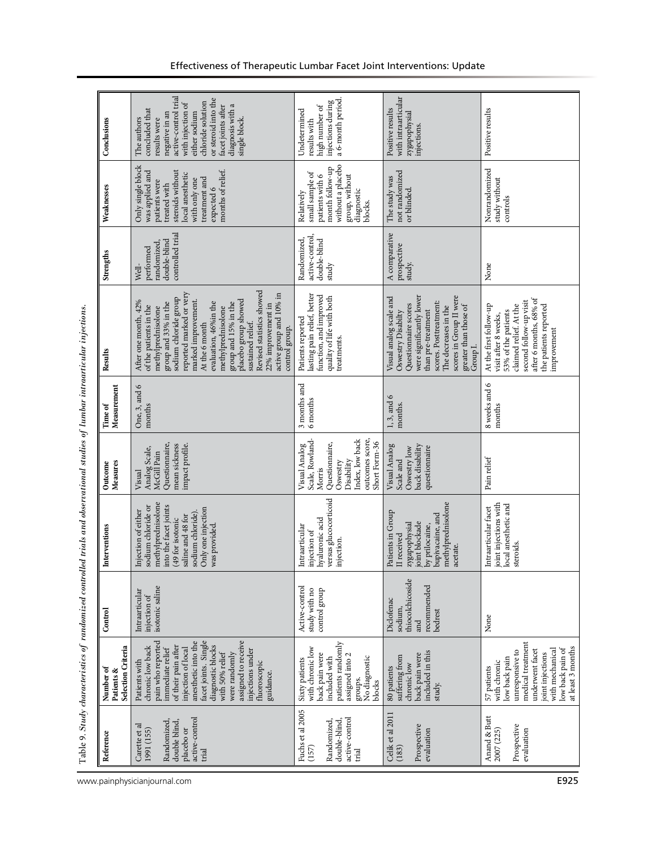|                                                                         | Conclusions                                   | active-control trial<br>or steroid into the<br>chloride solution<br>with injection of<br>diagnosis with a<br>facet joints after<br>concluded that<br>either sodium<br>negative in an<br>single block.<br>The authors<br>results were                                                                                                                                                                           | injections during<br>a 6-month period.<br>high number of<br>Undetermined<br>results with                                                            | with intraarticular<br>Positive results<br>zygapophysial<br>injections.                                                                                                                                                                   | Positive results                                                                                                                                                                            |
|-------------------------------------------------------------------------|-----------------------------------------------|----------------------------------------------------------------------------------------------------------------------------------------------------------------------------------------------------------------------------------------------------------------------------------------------------------------------------------------------------------------------------------------------------------------|-----------------------------------------------------------------------------------------------------------------------------------------------------|-------------------------------------------------------------------------------------------------------------------------------------------------------------------------------------------------------------------------------------------|---------------------------------------------------------------------------------------------------------------------------------------------------------------------------------------------|
|                                                                         | Weaknesses                                    | Only single block<br>months of relief.<br>was applied and<br>steroids without<br>local anesthetic<br>with only one<br>treatment and<br>patients were<br>treated with<br>expected 6                                                                                                                                                                                                                             | without a placebo<br>month follow-up<br>small sample of<br>group, without<br>patients with 6<br>diagnostic<br>Relatively<br>blocks.                 | not randomized<br>The study was<br>or blinded.                                                                                                                                                                                            | Nonrandomized<br>study without<br>controls                                                                                                                                                  |
|                                                                         | Strengths                                     | controlled trial<br>double-blind<br>randomized,<br>performed<br>Well-                                                                                                                                                                                                                                                                                                                                          | active-control<br>Randomized,<br>double-blind<br>study                                                                                              | A comparative<br>prospective<br>study.                                                                                                                                                                                                    | $\rm None$                                                                                                                                                                                  |
|                                                                         | Results                                       | Revised statistics showed<br>reported marked or very<br>active group and 10% in<br>sodium chloride group<br>placebo group showed<br>marked improvement.<br>After one month, 42%<br>group and 15% in the<br>group and 33% in the<br>evaluation, 46% in the<br>22% improvement in<br>of the patients in the<br>methylprednisolone<br>methylprednisolone<br>At the 6 month<br>sustained relief.<br>control group. | lasting pain relief, better<br>function, and improved<br>quality of life with both<br>Patients reported<br>treatments.                              | scores in Group II were<br>were significantly lower<br>Visual analog scale and<br>scores. Posttreatment:<br>Questionnaire scores<br>greater than those of<br>The decreases in the<br>than pre-treatment<br>Oswestry Disabilty<br>Group I. | after 6 months, 68% of<br>second follow-up visit<br>the patients reported<br>At the first follow-up<br>claimed relief. At the<br>53% of the patients<br>visit after 8 weeks,<br>improvement |
|                                                                         | Measurement<br>Time of                        | One, 3, and 6<br>months                                                                                                                                                                                                                                                                                                                                                                                        | 3 months and<br>6 months                                                                                                                            | $1, 3,$ and $6$<br>months.                                                                                                                                                                                                                | 8 weeks and 6<br>months                                                                                                                                                                     |
|                                                                         | Measures<br>Outcome                           | Questionnaire,<br>mean sickness<br>impact profile.<br>Analog Scale,<br>McGill Pain<br>Visual                                                                                                                                                                                                                                                                                                                   | Index, low back<br>outcomes score,<br>Scale, Rowland-<br>Short Form-36<br>Questionnaire,<br>Visual Analog<br>Disability<br>Oswestry<br>Morris       | back disability<br>Visual Analog<br>Oswestry low<br>questionnaire<br>Scale and                                                                                                                                                            | Pain relief                                                                                                                                                                                 |
| ed trials and observational studies of lumbar intraarticular injections | Interventions                                 | methylprednisolone<br>into the facet joints<br>sodium chloride or<br>Only one injection<br>Injection of either<br>sodium chloride)<br>saline and 48 for<br>(49 for isotonic<br>was provided.                                                                                                                                                                                                                   | versus glucocorticoid<br>hyaluronic acid<br>Intraarticular<br>injection of<br>injection.                                                            | methylprednisolone<br>Patients in Group<br>bupivacaine, and<br>joint blockade<br>zygapophysial<br>by prilocaine,<br>II received<br>acetate.                                                                                               | joint injections with<br>local anesthetic and<br>Intraarticular facet<br>steroids.                                                                                                          |
|                                                                         | Control                                       | isotonic saline<br>Intraarticular<br>injection of                                                                                                                                                                                                                                                                                                                                                              | Active-control<br>study with no<br>control group                                                                                                    | thiocolchicoside<br>recommended<br>Diclofenac<br>sodium.<br>bedrest<br>and                                                                                                                                                                | None                                                                                                                                                                                        |
| Table 9. Study characteristics of randomized control                    | Selection Criteria<br>Number of<br>Patients & | facet joints. Single<br>assigned to receive<br>anesthetic into the<br>pain who reported<br>of their pain after<br>diagnostic blocks<br>chronic low back<br>immediate relief<br>injection of local<br>injections under<br>with 50% relief<br>were randomly<br>Patients with<br>fluoroscopic<br>guidance.                                                                                                        | patients randomly<br>with chronic low<br>back pain were<br>assigned into 2<br>No diagnostic<br>included with<br>Sixty patients<br>groups.<br>blocks | included in this<br>back pain were<br>suffering from<br>chronic low<br>80 patients<br>study.                                                                                                                                              | medical treatment<br>at least 3 months<br>low back pain of<br>underwent facet<br>with mechanical<br>unresponsive to<br>joint injections<br>low back pain<br>with chronic<br>57 patients     |
|                                                                         | Reference                                     | active-control<br>double blind,<br>Randomized<br>Carette et al<br>placebo or<br>1991 (155)<br>trial                                                                                                                                                                                                                                                                                                            | Fuchs et al 2005<br>active-control<br>Randomized,<br>double-blind<br>(157)<br>trial                                                                 | Celik et al 2011<br>Prospective<br>evaluation<br>(183)                                                                                                                                                                                    | Anand & Butt<br>Prospective<br>2007 (225)<br>evaluation                                                                                                                                     |
|                                                                         |                                               | www.painphysicianjournal.com                                                                                                                                                                                                                                                                                                                                                                                   |                                                                                                                                                     |                                                                                                                                                                                                                                           | E925                                                                                                                                                                                        |

|                                                                                        |   | Ì                    |
|----------------------------------------------------------------------------------------|---|----------------------|
|                                                                                        |   |                      |
|                                                                                        |   | j                    |
|                                                                                        |   |                      |
|                                                                                        |   |                      |
|                                                                                        |   |                      |
|                                                                                        |   |                      |
|                                                                                        |   |                      |
|                                                                                        |   |                      |
|                                                                                        |   |                      |
|                                                                                        |   |                      |
|                                                                                        |   |                      |
|                                                                                        |   |                      |
|                                                                                        |   |                      |
|                                                                                        |   |                      |
|                                                                                        |   |                      |
|                                                                                        |   |                      |
|                                                                                        |   |                      |
|                                                                                        |   |                      |
|                                                                                        |   |                      |
|                                                                                        |   |                      |
|                                                                                        |   | ï                    |
|                                                                                        |   |                      |
|                                                                                        |   |                      |
|                                                                                        |   |                      |
|                                                                                        |   | i                    |
|                                                                                        |   |                      |
|                                                                                        |   | l                    |
|                                                                                        |   | ׇ֠                   |
|                                                                                        |   |                      |
|                                                                                        |   |                      |
|                                                                                        |   |                      |
| ֖֖֖֖֪֪֪֪֪֪֪֦֧֪֪֪֪֪֪֪֪֪֪֪֪֪֪֪֪֪֪֪֪֪֪֪֪֪֪֛֪֪֛֚֚֚֚֚֚֚֚֚֚֚֚֚֚֚֚֚֚֚֚֚֬֡֡֡֬֝֬֝֓֞֡֡֝֬֬֝֬֝֬֓֝֬ |   |                      |
|                                                                                        |   |                      |
|                                                                                        |   |                      |
|                                                                                        |   | i                    |
|                                                                                        |   |                      |
|                                                                                        |   |                      |
|                                                                                        |   | $\ddot{\phantom{a}}$ |
|                                                                                        |   |                      |
|                                                                                        |   |                      |
|                                                                                        |   |                      |
|                                                                                        |   |                      |
|                                                                                        |   | i                    |
|                                                                                        |   |                      |
|                                                                                        |   |                      |
|                                                                                        |   |                      |
|                                                                                        |   |                      |
|                                                                                        |   |                      |
|                                                                                        |   |                      |
|                                                                                        |   |                      |
|                                                                                        |   |                      |
|                                                                                        |   |                      |
|                                                                                        |   |                      |
|                                                                                        |   |                      |
|                                                                                        |   |                      |
|                                                                                        |   |                      |
|                                                                                        |   |                      |
|                                                                                        |   |                      |
|                                                                                        |   |                      |
|                                                                                        |   |                      |
|                                                                                        |   |                      |
|                                                                                        |   |                      |
|                                                                                        |   | l                    |
|                                                                                        |   |                      |
|                                                                                        | F | ׇ֚֘                  |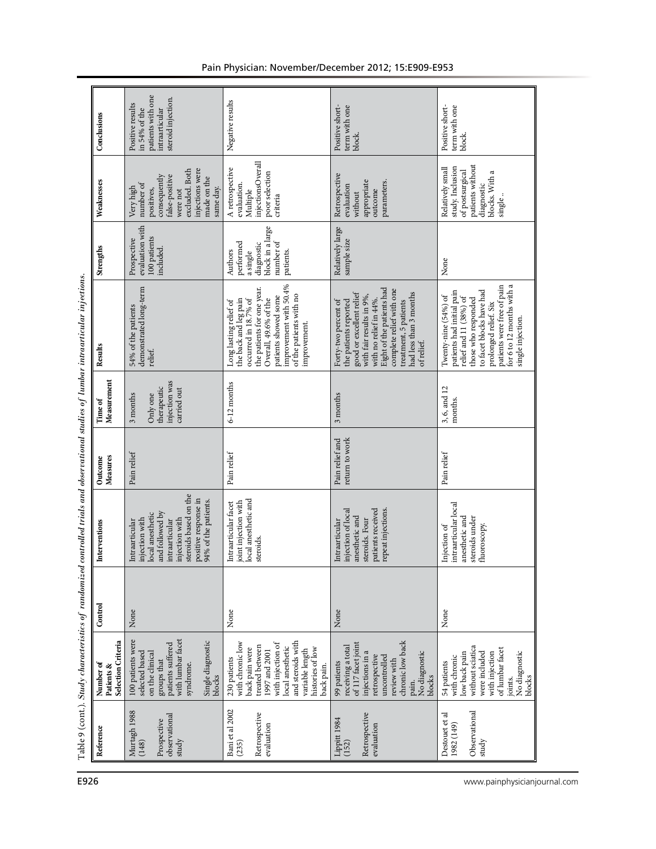| Conclusions                                   | patients with one<br>steroid injection.<br>Positive results<br>intraarticular<br>in 54% of the                                                                                       | Negative results                                                                                                                                                                                                               | term with one<br>Positive short-<br>block.                                                                                                                                                                                                                | Positive short-<br>term with one<br>block.                                                                                                                                                                                              |
|-----------------------------------------------|--------------------------------------------------------------------------------------------------------------------------------------------------------------------------------------|--------------------------------------------------------------------------------------------------------------------------------------------------------------------------------------------------------------------------------|-----------------------------------------------------------------------------------------------------------------------------------------------------------------------------------------------------------------------------------------------------------|-----------------------------------------------------------------------------------------------------------------------------------------------------------------------------------------------------------------------------------------|
| Weaknesses                                    | injections were<br>excluded. Both<br>consequently<br>false-positive<br>made on the<br>number of<br>Very high<br>same day.<br>were not<br>positives,                                  | injectionsOverall<br>A retrospective<br>poor selection<br>evaluation.<br>Multiple<br>criteria                                                                                                                                  | Retrospective<br>appropriate<br>parameters.<br>evaluation<br>outcome<br>without                                                                                                                                                                           | patients without<br>Relatively small<br>study. Inclusion<br>of postsurgical<br>blocks. With a<br>diagnostic<br>single.                                                                                                                  |
| Strengths                                     | evaluation with<br>100 patients<br>Prospective<br>included.                                                                                                                          | block in a large<br>number of<br>performed<br>diagnostic<br>Authors<br>patients.<br>a single                                                                                                                                   | Relatively large<br>sample size                                                                                                                                                                                                                           | None                                                                                                                                                                                                                                    |
| Results                                       | demonstrated long-term<br>54% of the patients<br>relief.                                                                                                                             | improvement with 50.4%<br>the patients for one year.<br>of the patients with no<br>patients showed some<br>the back and leg pain<br>occurred in $18.7\%$ of<br>Overall, 49.6% of the<br>Long lasting relief of<br>improvement. | Eight of the patients had<br>complete relief with one<br>good or excellent relief<br>had less than 3 months<br>with fair results in 9%,<br>with no relief in 44%.<br>treatment, 5 patients<br>Forty-two percent of<br>the patients reported<br>of relief. | patients were free of pain<br>for 6 to 12 months with a<br>to facet blocks have had<br>patients had initial pain<br>Twenty-nine (54%) of<br>relief and 11 (38%) of<br>those who responded<br>prolonged relief. Six<br>single injection. |
| Measurement<br>Time of                        | injection was<br>therapeutic<br>carried out<br>Only one<br>3 months                                                                                                                  | 6-12 months                                                                                                                                                                                                                    | 3 months                                                                                                                                                                                                                                                  | $3, 6,$ and $12$ months.                                                                                                                                                                                                                |
| Measures<br>Outcome                           | Pain relief                                                                                                                                                                          | Pain relief                                                                                                                                                                                                                    | return to work<br>Pain relief and                                                                                                                                                                                                                         | Pain relief                                                                                                                                                                                                                             |
| Interventions                                 | steroids based on the<br>positive response in<br>94% of the patients.<br>and followed by<br>local anesthetic<br>injection with<br>injection with<br>intraarticular<br>Intraarticular | local anesthetic and<br>joint injection with<br>Intraarticular facet<br>steroids.                                                                                                                                              | repeat injections.<br>patients received<br>injection of local<br>anesthetic and<br>steroids. Four<br>Intraarticular                                                                                                                                       | intraarticular local<br>anesthetic and<br>steroids under<br>fluoroscopy.<br>Injection of                                                                                                                                                |
| Control                                       | None                                                                                                                                                                                 | None                                                                                                                                                                                                                           | None                                                                                                                                                                                                                                                      | None                                                                                                                                                                                                                                    |
| Selection Criteria<br>Number of<br>Patients & | 100 patients were<br>with lumbar facet<br>Single diagnostic<br>patients suffered<br>selected based<br>on the clinical<br>groups that<br>syndrome.<br>blocks                          | and steroids with<br>with chronic low<br>with injection of<br>treated between<br>local anesthetic<br>back pain were<br>histories of low<br>variable length<br>1997 and 2001<br>230 patients<br>back pain.                      | chronic low back<br>of 117 facet joint<br>receiving a total<br>injections in a<br>No diagnostic<br>retrospective<br>uncontrolled<br>review with<br>99 patients<br>blocks<br>pain.                                                                         | without sciatica<br>of lumbar facet<br>were included<br>low back pain<br>No diagnostic<br>with injection<br>with chronic<br>54 patients<br>blocks<br>joints.                                                                            |
| Reference                                     | Murtagh 1988<br>observational<br>Prospective<br>study<br>(148)                                                                                                                       | Bani et al 2002<br>Retrospective<br>evaluation<br>(235)                                                                                                                                                                        | Retrospective<br>Lippitt 1984<br>(152)<br>evaluation                                                                                                                                                                                                      | Observational<br>Destouet et al<br>1982 (149)<br>study                                                                                                                                                                                  |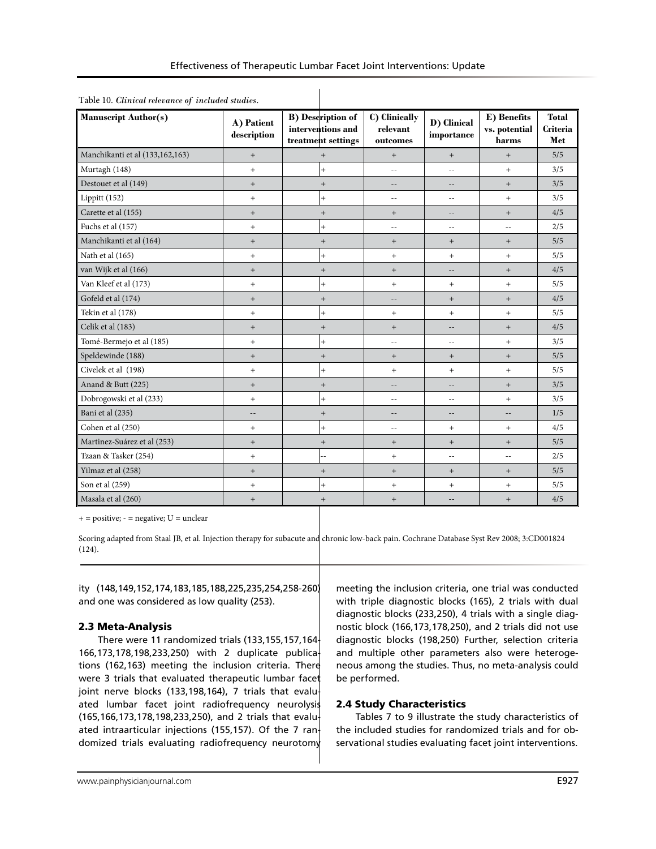| Effectiveness of Therapeutic Lumbar Facet Joint Interventions: Update |  |  |  |
|-----------------------------------------------------------------------|--|--|--|
|-----------------------------------------------------------------------|--|--|--|

| <b>Manuscript Author(s)</b>     | A) Patient<br>description        | <b>B</b> ) Description of<br>interventions and<br>treatment settings | C) Clinically<br>relevant<br>outcomes | D) Clinical<br>importance | E) Benefits<br>vs. potential<br>harms | <b>Total</b><br><b>Criteria</b><br>Met |
|---------------------------------|----------------------------------|----------------------------------------------------------------------|---------------------------------------|---------------------------|---------------------------------------|----------------------------------------|
| Manchikanti et al (133,162,163) | $\qquad \qquad +$                | $+$                                                                  | $^{+}$                                | $^{+}$                    | $^{+}$                                | 5/5                                    |
| Murtagh (148)                   | $\ddot{}$                        | $\ddot{}$                                                            | $\overline{a}$                        | $-1$                      | $+$                                   | 3/5                                    |
| Destouet et al (149)            | $\ddot{}$                        | $+$                                                                  | $- -$                                 | --                        | $^{+}$                                | 3/5                                    |
| Lippitt (152)                   | $\ddot{}$                        | $+$                                                                  | $-$                                   | --                        | $+$                                   | 3/5                                    |
| Carette et al (155)             | $\, +$                           | $+$                                                                  | $+$                                   | $\overline{\phantom{a}}$  | $^{+}$                                | 4/5                                    |
| Fuchs et al (157)               | $\ddot{}$                        | $+$                                                                  | $-$                                   | $-1$                      | $\sim$ $-$                            | 2/5                                    |
| Manchikanti et al (164)         | $\begin{array}{c} + \end{array}$ | $^{+}$                                                               | $^+$                                  | $^{+}$                    | $^{+}$                                | 5/5                                    |
| Nath et al (165)                | $\ddot{}$                        | $\ddot{}$                                                            | $+$                                   | $^{+}$                    | $+$                                   | 5/5                                    |
| van Wijk et al (166)            | $\, +$                           | $+$                                                                  | $+$                                   | $-1$                      | $^{+}$                                | 4/5                                    |
| Van Kleef et al (173)           | $\ddot{}$                        | $+$                                                                  | $+$                                   | $+$                       | $+$                                   | 5/5                                    |
| Gofeld et al (174)              | $^{+}$                           | $^{+}$                                                               | $\overline{\phantom{m}}$              | $^{+}$                    | $^{+}$                                | 4/5                                    |
| Tekin et al (178)               | $^{+}$                           | $\ddot{}$                                                            | $\qquad \qquad +$                     | $+$                       | $\, +$                                | 5/5                                    |
| Celik et al (183)               | $^{+}$                           | $+$                                                                  | $+$                                   | --                        | $^{+}$                                | 4/5                                    |
| Tomé-Bermejo et al (185)        | $^{+}$                           | $+$                                                                  | $- -$                                 | $-1$                      | $+$                                   | 3/5                                    |
| Speldewinde (188)               | $\, +$                           | $^{+}$                                                               | $+$                                   | $^{+}$                    | $^{+}$                                | 5/5                                    |
| Civelek et al (198)             | $^{+}$                           | $+$                                                                  | $+$                                   | $+$                       | $+$                                   | 5/5                                    |
| Anand & Butt (225)              | $\, +$                           | $^+$                                                                 | --                                    | $-$                       | $^{\mathrm{+}}$                       | 3/5                                    |
| Dobrogowski et al (233)         | $^{+}$                           | $\ddot{}$                                                            | $\sim$                                | $-$                       | $+$                                   | 3/5                                    |
| Bani et al (235)                | --                               | $+$                                                                  | $\overline{\phantom{m}}$              | $\overline{\phantom{m}}$  | $\frac{1}{2}$                         | 1/5                                    |
| Cohen et al (250)               | $^{+}$                           | $\ddot{}$                                                            | $\overline{\phantom{a}}$ .            | $\ddot{}$                 | $\qquad \qquad +$                     | 4/5                                    |
| Martinez-Suárez et al (253)     | $^{+}$                           | $^{+}$                                                               | $^{+}$                                | $^{+}$                    | $^{+}$                                | 5/5                                    |
| Tzaan & Tasker (254)            | $\ddot{}$                        | ÷                                                                    | $+$                                   | $- -$                     | $\overline{\phantom{m}}$              | 2/5                                    |
| Yilmaz et al (258)              | $\, +$                           | $+$                                                                  | $+$                                   | $\qquad \qquad +$         | $^{+}$                                | 5/5                                    |
| Son et al (259)                 | $^{+}$                           | $\ddot{}$                                                            | $+$                                   | $+$                       | $\qquad \qquad +$                     | 5/5                                    |
| Masala et al (260)              | $^{+}$                           | $^{+}$                                                               | $+$                                   | --                        | $^+$                                  | 4/5                                    |

 $+$  = positive;  $-$  = negative;  $U$  = unclear

Scoring adapted from Staal JB, et al. Injection therapy for subacute and chronic low-back pain. Cochrane Database Syst Rev 2008; 3:CD001824 (124).

ity (148,149,152,174,183,185,188,225,235,254,258-260) and one was considered as low quality (253).

# 2.3 Meta-Analysis

There were 11 randomized trials (133,155,157,164- 166,173,178,198,233,250) with 2 duplicate publications (162,163) meeting the inclusion criteria. There were 3 trials that evaluated therapeutic lumbar facet joint nerve blocks (133,198,164), 7 trials that evaluated lumbar facet joint radiofrequency neurolysis (165,166,173,178,198,233,250), and 2 trials that evaluated intraarticular injections (155,157). Of the 7 randomized trials evaluating radiofrequency neurotomy

meeting the inclusion criteria, one trial was conducted with triple diagnostic blocks (165), 2 trials with dual diagnostic blocks (233,250), 4 trials with a single diagnostic block (166,173,178,250), and 2 trials did not use diagnostic blocks (198,250) Further, selection criteria and multiple other parameters also were heterogeneous among the studies. Thus, no meta-analysis could be performed.

# 2.4 Study Characteristics

Tables 7 to 9 illustrate the study characteristics of the included studies for randomized trials and for observational studies evaluating facet joint interventions.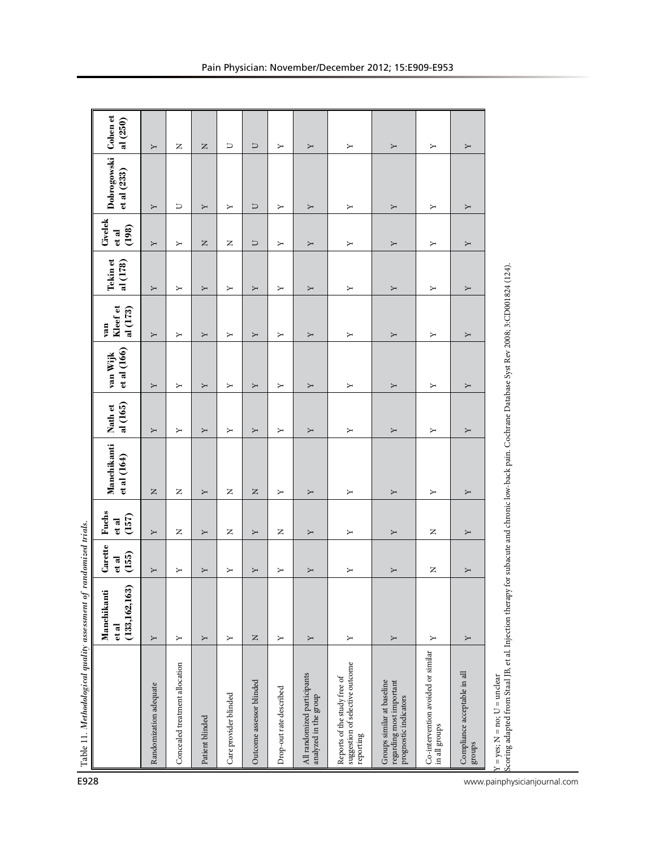| E928                         | Table 11. Methodological quality assessment of randomized trials.                                                                                                                |                                         |                                            |                         |                                              |                     |                         |                             |                      |                           |                            |                      |
|------------------------------|----------------------------------------------------------------------------------------------------------------------------------------------------------------------------------|-----------------------------------------|--------------------------------------------|-------------------------|----------------------------------------------|---------------------|-------------------------|-----------------------------|----------------------|---------------------------|----------------------------|----------------------|
|                              |                                                                                                                                                                                  | (133, 162, 163)<br>Manchikanti<br>et al | Carette<br>et al<br>(155)                  | Fuchs<br>(157)<br>et al | Manchikanti<br>et al (164)                   | al (165)<br>Nath et | et al (166)<br>van Wijk | Kleef et<br>al (173)<br>van | Tekin et<br>al (178) | Civelek<br>(198)<br>et al | Dobrogowski<br>et al (233) | Cohen et<br>al (250) |
|                              | Randomization adequate                                                                                                                                                           | Σ                                       | Υ                                          | Υ                       | $\square$                                    | Σ                   | Υ                       | Σ                           | Υ                    | Σ                         | Υ                          | Υ                    |
|                              | Concealed treatment allocation                                                                                                                                                   | Σ                                       | Σ                                          | Z                       | Z                                            | Σ                   | Σ                       | Y                           | Y                    | Σ                         | U                          | Z                    |
|                              | Patient blinded                                                                                                                                                                  | Υ                                       | Υ                                          | Υ                       | Υ                                            | Υ                   | Υ                       | Υ                           | Υ                    | $\mathsf{z}$              | Υ                          | $\mathsf{z}$         |
|                              | Care provider blinded                                                                                                                                                            | Σ                                       | Υ                                          | Z                       | $\mathsf{z}$                                 | Υ                   | Υ                       | Σ                           | Υ                    | $\simeq$                  | Υ                          | U                    |
|                              | Outcome assessor blinded                                                                                                                                                         | Z                                       | Υ                                          | Υ                       | $\mathsf{z}% _{0}\!\left( \mathsf{z}\right)$ | Υ                   | Υ                       | Υ                           | Υ                    | U                         | $\Box$                     | U                    |
|                              | Drop-out rate described                                                                                                                                                          | Υ                                       | Υ                                          | z                       | Υ                                            | Υ                   | Υ                       | Υ                           | Υ                    | Υ                         | Υ                          | Υ                    |
|                              | All randomized participants<br>analyzed in the group                                                                                                                             | Υ                                       | Υ                                          | Υ                       | Υ                                            | Υ                   | Υ                       | Υ                           | Υ                    | Υ                         | Υ                          | Υ                    |
|                              | suggestion of selective outcome<br>Reports of the study free of<br>reporting                                                                                                     | Υ                                       | Υ                                          | Υ                       | Υ                                            | Υ                   | Υ                       | Y                           | Υ                    | Υ                         | Υ                          | Υ                    |
|                              | Groups similar at baseline<br>regarding most important<br>prognostic indicators                                                                                                  | Υ                                       | Υ                                          | Υ                       | Υ                                            | Υ                   | Υ                       | Υ                           | Υ                    | Υ                         | Υ                          | Υ                    |
|                              | Co-intervention avoided or similar<br>in all groups                                                                                                                              | Σ                                       | $\mathsf{z}% _{0}\left( \mathsf{z}\right)$ | Z                       | Υ                                            | Σ                   | Σ                       | Y                           | Y                    | Y                         | Σ                          | Σ                    |
|                              | Compliance acceptable in all<br>groups                                                                                                                                           | Υ                                       | Υ                                          | Υ                       | Υ                                            | Υ                   | Υ                       | Y                           | Υ                    | Υ                         | Υ                          | Υ                    |
| www.painphysicianjournal.com | Scoring adapted from Staal JB, et al. Injection therapy for subacute and chronic low-back pain. Cochrane Database Syst Rev 2008; 3:CD001824 (124).<br>$= yes; N = no; U = under$ |                                         |                                            |                         |                                              |                     |                         |                             |                      |                           |                            |                      |
|                              |                                                                                                                                                                                  |                                         |                                            |                         |                                              |                     |                         |                             |                      |                           |                            |                      |
|                              |                                                                                                                                                                                  |                                         |                                            |                         |                                              |                     |                         |                             |                      |                           |                            |                      |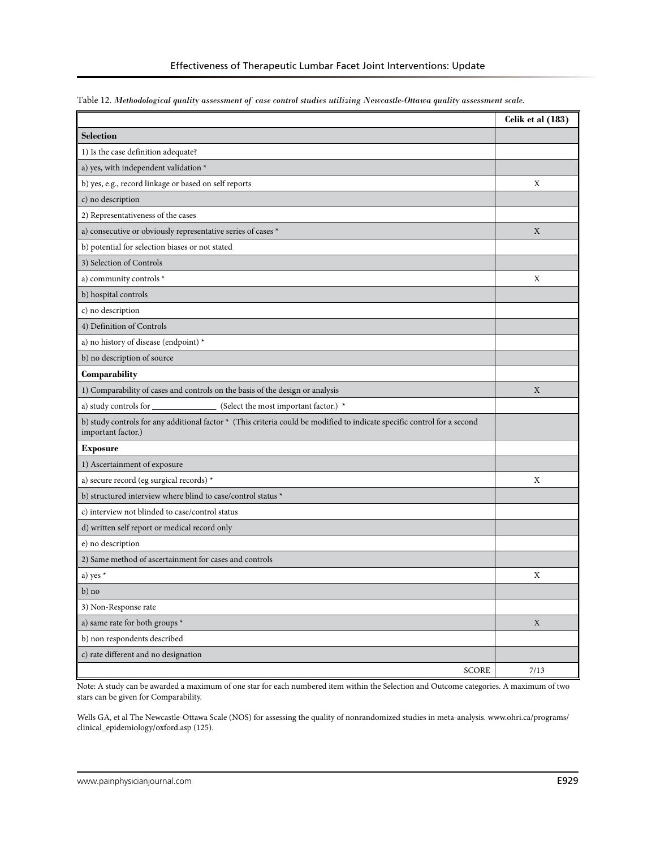|                                                                                                                                                | Celik et al (183) |
|------------------------------------------------------------------------------------------------------------------------------------------------|-------------------|
| <b>Selection</b>                                                                                                                               |                   |
| 1) Is the case definition adequate?                                                                                                            |                   |
| a) yes, with independent validation *                                                                                                          |                   |
| b) yes, e.g., record linkage or based on self reports                                                                                          | X                 |
| c) no description                                                                                                                              |                   |
| 2) Representativeness of the cases                                                                                                             |                   |
| a) consecutive or obviously representative series of cases *                                                                                   | $\mathbf X$       |
| b) potential for selection biases or not stated                                                                                                |                   |
| 3) Selection of Controls                                                                                                                       |                   |
| a) community controls *                                                                                                                        | X                 |
| b) hospital controls                                                                                                                           |                   |
| c) no description                                                                                                                              |                   |
| 4) Definition of Controls                                                                                                                      |                   |
| a) no history of disease (endpoint) *                                                                                                          |                   |
| b) no description of source                                                                                                                    |                   |
| Comparability                                                                                                                                  |                   |
| 1) Comparability of cases and controls on the basis of the design or analysis                                                                  | X                 |
| a) study controls for _<br>(Select the most important factor.) *                                                                               |                   |
| b) study controls for any additional factor * (This criteria could be modified to indicate specific control for a second<br>important factor.) |                   |
| <b>Exposure</b>                                                                                                                                |                   |
| 1) Ascertainment of exposure                                                                                                                   |                   |
| a) secure record (eg surgical records) *                                                                                                       | X                 |
| b) structured interview where blind to case/control status *                                                                                   |                   |
| c) interview not blinded to case/control status                                                                                                |                   |
| d) written self report or medical record only                                                                                                  |                   |
| e) no description                                                                                                                              |                   |
| 2) Same method of ascertainment for cases and controls                                                                                         |                   |
| a) yes *                                                                                                                                       | X                 |
| b) no                                                                                                                                          |                   |
| 3) Non-Response rate                                                                                                                           |                   |
| a) same rate for both groups $^\star$                                                                                                          | $\mathbf X$       |
| b) non respondents described                                                                                                                   |                   |
| c) rate different and no designation                                                                                                           |                   |
| SCORE                                                                                                                                          | 7/13              |

Table 12. *Methodological quality assessment of case control studies utilizing Newcastle-Ottawa quality assessment scale.* 

Note: A study can be awarded a maximum of one star for each numbered item within the Selection and Outcome categories. A maximum of two stars can be given for Comparability.

Wells GA, et al The Newcastle-Ottawa Scale (NOS) for assessing the quality of nonrandomized studies in meta-analysis. www.ohri.ca/programs/ clinical\_epidemiology/oxford.asp (125).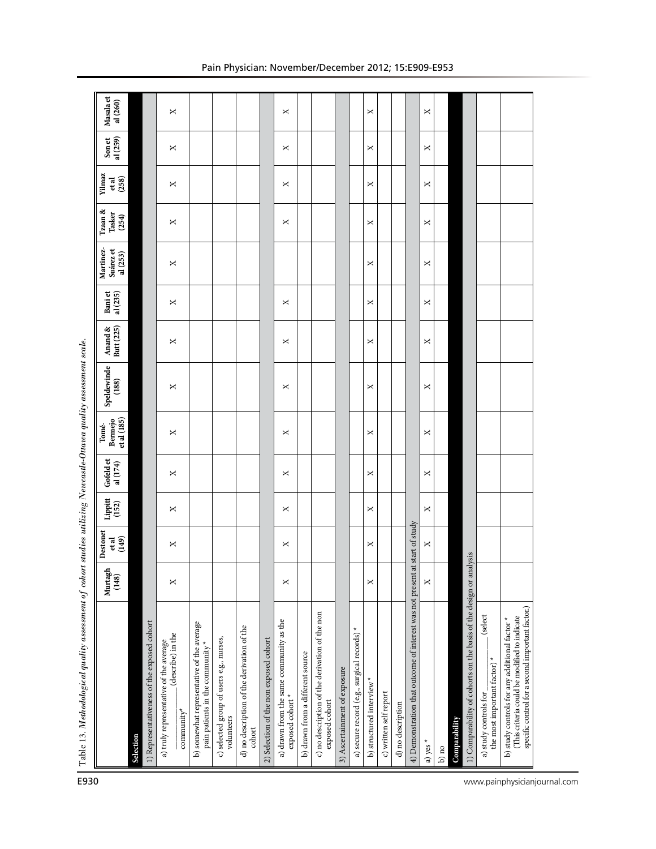| Anand &<br>Butt $(225)$<br>Speldewinde<br>(188)<br>et al (185)<br>Bermejo<br>Tomé-<br>Gofeld et<br>al (174)<br>Lippitt<br>(152)<br>Destouet<br>(149)<br>etal |           |                                             | ×<br>×<br>×<br>×<br>×<br>×                                                |                                                                               |                                                        |                                                      |                                        | ×<br>×<br>×<br>×<br>×<br>×<br>×                            |                                  |                                                                  |                              |                                             | ×<br>×<br>×<br>×<br>×<br>×<br>× |                        |                   | start of study                                               | ×<br>×<br>×<br>×<br>×<br>×<br>× |         |               |                                                                    |                                                                             |                                                                                                                                                   |  |
|--------------------------------------------------------------------------------------------------------------------------------------------------------------|-----------|---------------------------------------------|---------------------------------------------------------------------------|-------------------------------------------------------------------------------|--------------------------------------------------------|------------------------------------------------------|----------------------------------------|------------------------------------------------------------|----------------------------------|------------------------------------------------------------------|------------------------------|---------------------------------------------|---------------------------------|------------------------|-------------------|--------------------------------------------------------------|---------------------------------|---------|---------------|--------------------------------------------------------------------|-----------------------------------------------------------------------------|---------------------------------------------------------------------------------------------------------------------------------------------------|--|
| Murtagh<br>(148)                                                                                                                                             |           |                                             | ×                                                                         |                                                                               |                                                        |                                                      |                                        | ×                                                          |                                  |                                                                  |                              |                                             | ×                               |                        |                   |                                                              | ×                               |         |               |                                                                    |                                                                             |                                                                                                                                                   |  |
|                                                                                                                                                              | Selection | 1) Representativeness of the exposed cohort | (describe) in the<br>a) truly representative of the average<br>community* | b) somewhat representative of the average<br>pain patients in the community * | c) selected group of users e.g., nurses,<br>volunteers | d) no description of the derivation of the<br>cohort | 2) Selection of the non exposed cohort | a) drawn from the same community as the<br>exposed cohort* | b) drawn from a different source | c) no description of the derivation of the non<br>exposed cohort | 3) Ascertainment of exposure | a) secure record (e.g., surgical records) * | b) structured interview         | c) written self report | d) no description | 4) Demonstration that outcome of interest was not present at | a) yes *                        | $b)$ no | Comparability | 1) Comparability of cohorts on the basis of the design or analysis | (select<br>the most important factor) <sup>*</sup><br>a) study controls for | specific control for a second important factor.)<br>(This criteria could be modified to indicate<br>b) study controls for any additional factor * |  |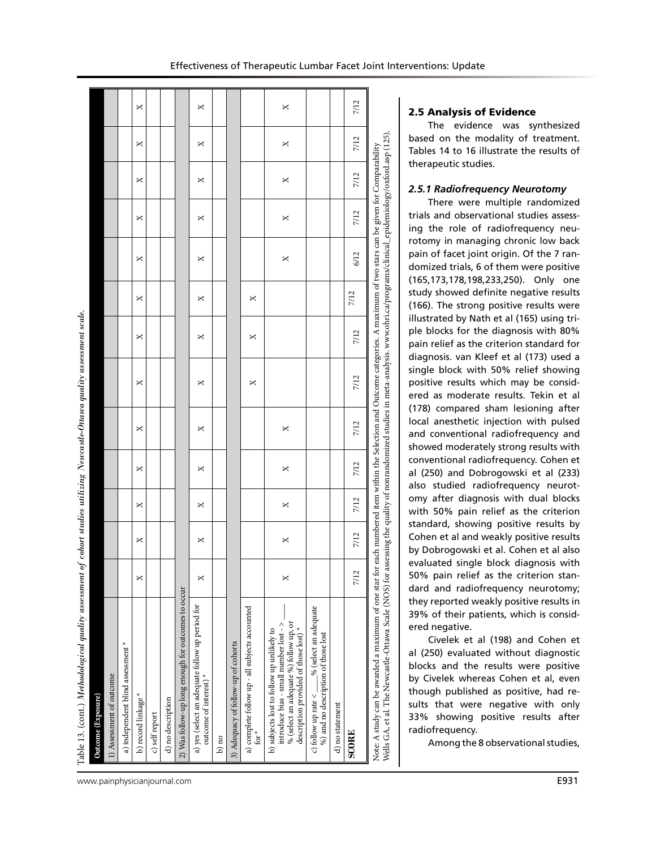| Table 13. (cont.) Methodological quality assessment of cohort studies utilizing Newcastle-Ottawa quality assessment scale. |   |   |   |   |            |   |   |   |   |   |   |   |   |
|----------------------------------------------------------------------------------------------------------------------------|---|---|---|---|------------|---|---|---|---|---|---|---|---|
| Outcome (Exposure)                                                                                                         |   |   |   |   |            |   |   |   |   |   |   |   |   |
| 1) Assessment of outcome                                                                                                   |   |   |   |   |            |   |   |   |   |   |   |   |   |
| a) independent blind assessment *                                                                                          |   |   |   |   |            |   |   |   |   |   |   |   |   |
| b) record linkage*                                                                                                         | × | × | × | × | ×          | × | × | × | × | × | × | × | × |
| c) self report                                                                                                             |   |   |   |   |            |   |   |   |   |   |   |   |   |
| d) no description                                                                                                          |   |   |   |   |            |   |   |   |   |   |   |   |   |
| 2) Was follow-up long enough for outcomes to occur                                                                         |   |   |   |   |            |   |   |   |   |   |   |   |   |
| a) yes (select an adequate follow up period for<br>outcome of interest) <sup>*</sup>                                       |   | × | × | × | ×          | × | × | × | × | × | × | × | × |
| $b)$ no                                                                                                                    |   |   |   |   |            |   |   |   |   |   |   |   |   |
| 3) Adequacy of follow-up of cohorts                                                                                        |   |   |   |   |            |   |   |   |   |   |   |   |   |
| a) complete follow up - all subjects accounted<br>.<br>ان                                                                  |   |   |   |   |            | × | × | × |   |   |   |   |   |
| introduce bias - small number lost - ><br>b) subjects lost to follow up unlikely to                                        |   | ř | ř | ř | $\ddot{ }$ |   |   |   | Y | ř | ř | v | v |

# 2.5 Analysis of Evidence

The evidence was synthesized based on the modality of treatment. Tables 14 to 16 illustrate the results of therapeutic studies.

### *2.5.1 Radiofrequency Neurotomy*

There were multiple randomized trials and observational studies assessing the role of radiofrequency neurotomy in managing chronic low back pain of facet joint origin. Of the 7 randomized trials, 6 of them were positive (165,173,178,198,233,250). Only one study showed definite negative results (166). The strong positive results were illustrated by Nath et al (165) using triple blocks for the diagnosis with 80% pain relief as the criterion standard for diagnosis. van Kleef et al (173) used a single block with 50% relief showing positive results which may be considered as moderate results. Tekin et al (178) compared sham lesioning after local anesthetic injection with pulsed and conventional radiofrequency and showed moderately strong results with conventional radiofrequency. Cohen et al (250) and Dobrogowski et al (233) also studied radiofrequency neurotomy after diagnosis with dual blocks with 50% pain relief as the criterion standard, showing positive results by Cohen et al and weakly positive results by Dobrogowski et al. Cohen et al also evaluated single block diagnosis with 50% pain relief as the criterion standard and radiofrequency neurotomy; they reported weakly positive results in 39% of their patients, which is considered negative.

Civelek et al (198) and Cohen et al (250) evaluated without diagnostic blocks and the results were positive by Civelek whereas Cohen et al, even though published as positive, had results that were negative with only 33% showing positive results after radiofrequency.

Among the 8 observational studies,

 $7/12$ 

 $7/12$ 

 $7/12$ 

 $7/12$ 

 $\overline{a}$  $\tilde{\mathcal{S}}$ 

 $7/12$ 

 $7/12$ 

 $7/12$ 

% (select an adequate %) follow up, or description provided of those lost) \*

ē

description provided of those lost)

(select an adequate %) follow up, or

c) follow up rate  $\lt -\_\infty$ % (select an adequate %) and no description of those lost

c) follow up

follow up rate  $<$   $\_\_\%$  (select an adequate  $\%$  ) and no description of those lost

d) no statement

SCORE

d) no statement

 $\Join$ 

 $\overline{\mathbf{x}}$ 

 $\overline{\mathbf{x}}$ 

 $\Join$ 

 $\ltimes$ 

**SCORE** 7/12 7/12 7/12 7/12 7/12 7/12 7/12 7/12 6/12 7/12 7/12 7/12 7/12

 $7/12$ 

 $7/12$ 

 $7/12$ 

 $7/12$ 

 $7/12$ 

Note: A study can be awarded a maximum of one star for each numbered item within the Selection and Outcome categories. A maximum of two stars can be given for Comparability Wells GA, et al. The Newcastle-Ottawa Scale (NOS) for assessing the quality of nonrandomized studies in meta-analysis. www.ohri.ca/programs/clinical\_epidemiology/oxford.asp (125).

for each numbered item within the Selection and Outcome categories. A maximum of two stars can

Note: A study can be awarded a maximum of one star for each numbered item within the Selection and Outcome categories. A maximum of two stars can be given for Comparability<br>Wells GA, et al. The Newcastle-Ottawa Scale (NOS)

 $\times$ 

 $\Join$ 

 $\Join$ 

 $\times$ 

 $\Join$ 

www.painphysicianjournal.com **E931**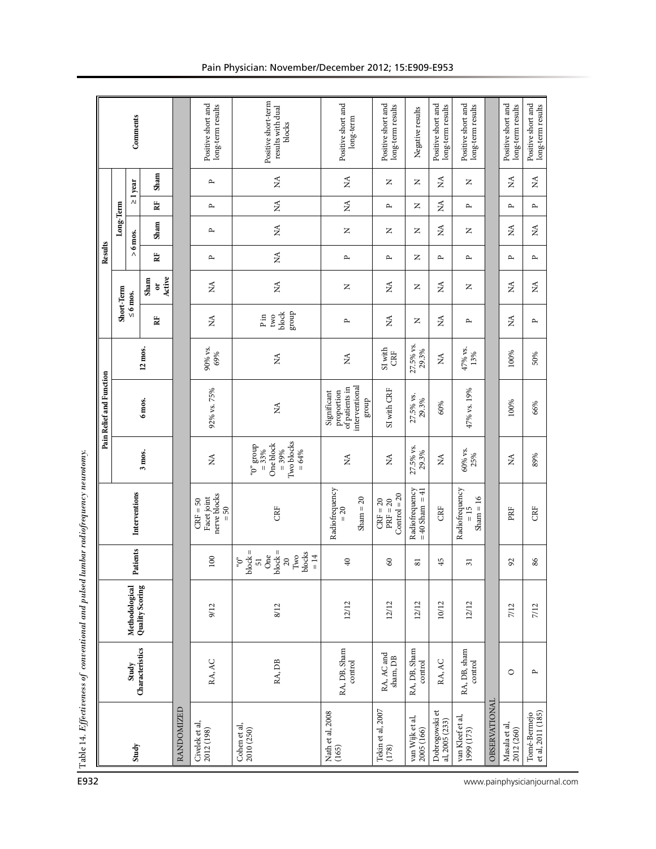|                                   |                                  |                                   |                                                                                                               |                                                                               |                                                                           | Pain Relief and Function                                               |                    |                                          |                                   | Results                        |               |               |               |                                                    |
|-----------------------------------|----------------------------------|-----------------------------------|---------------------------------------------------------------------------------------------------------------|-------------------------------------------------------------------------------|---------------------------------------------------------------------------|------------------------------------------------------------------------|--------------------|------------------------------------------|-----------------------------------|--------------------------------|---------------|---------------|---------------|----------------------------------------------------|
|                                   |                                  |                                   |                                                                                                               |                                                                               |                                                                           |                                                                        |                    | Short-Term                               |                                   |                                | Long-Term     |               |               |                                                    |
| Study                             | Characteristics<br>Study         | Methodological<br>Quality Scoring | <sup>2</sup> atients                                                                                          | Interventions                                                                 |                                                                           |                                                                        |                    | $\leq 6$ mos.                            |                                   |                                | $> 6$ mos.    | $\geq 1$ year |               | Comments                                           |
|                                   |                                  |                                   |                                                                                                               |                                                                               | 3 mos.                                                                    | 6 mos.                                                                 | 12 mos.            | 邑                                        | Active<br>Sham<br>ă               | $\mathbf{R}^{\text{I}}$        | Sham          | Ë             | Sham          |                                                    |
| RANDOMIZED                        |                                  |                                   |                                                                                                               |                                                                               |                                                                           |                                                                        |                    |                                          |                                   |                                |               |               |               |                                                    |
| Civelek et al,<br>2012 (198)      | RA, AC                           | 9/12                              | $100\,$                                                                                                       | nerve blocks<br>Facet joint<br>$CRF = 50$<br>$= 50$                           | $\lesssim$                                                                | 92% vs. 75%                                                            | 90% vs.<br>69%     | $\lessapprox$                            | $\stackrel{\blacktriangle}{\geq}$ | $\mathbf{r}$                   | д             | $\mathbf{r}$  | $\mathbf{r}$  | Positive short and<br>long-term results            |
| Cohen et al,<br>2010 (250)        | RA, DB                           | 8/12                              | $\omega_{\rm{op}}^{\rm{aO}}$ = 2popp<br>$51$<br>One<br>block =<br>blocks<br>$^{20}_{\Lambda\rm{V}}$<br>$= 14$ | CRF                                                                           | Two blocks<br>One block<br>$a_0$ and $a_0$<br>dno.f3<br>$= 39%$<br>$=64%$ | $\lessapprox$                                                          | ₹                  | group<br>block<br>two<br>$\mathbf{P}$ in | $\stackrel{\triangle}{\Sigma}$    | $\stackrel{\triangle}{\Sigma}$ | $\lessapprox$ | $\lessapprox$ | $\lessapprox$ | Positive short-term<br>results with dual<br>blocks |
| Nath et al, 2008<br>(165)         | RA, DB, Sham<br>control          | 12/12                             | $\overline{40}$                                                                                               | Radiofrequency<br>Sham $= 20$<br>$= 20$                                       | Ź                                                                         | interventional<br>of patients in<br>Significant<br>proportion<br>group | Ź                  | $\mathbf{r}$                             | $\mathsf{z}$                      | $\mathbf{r}$                   | $\simeq$      | ≸             | Ź             | Positive short and<br>long-term                    |
| Tekin et al, 2007<br>(178)        | RA, AC and<br>sham, DB           | 12/12                             | $\mbox{S}$                                                                                                    | $Control = 20$<br>$PRF = 20$<br>$CRF = 20$                                    | É                                                                         | SI with CRF                                                            | SI with<br>CRF     | Ź                                        | Ź                                 | д                              | z             | $\mathbf{r}$  | z             | Positive short and<br>long-term results            |
| van Wijk et al,<br>2005 (166)     | RA, DB, Sham<br>$\mbox{control}$ | 12/12                             | $\overline{81}$                                                                                               | Radiofrequency<br>$= 40$ Sham $= 41$                                          | 27.5% vs.<br>29.3%                                                        | 27.5% vs.<br>29.3%                                                     | 27.5% vs.<br>29.3% | $\square$                                | $\square$                         | z                              | Z             | z             | z             | Negative results                                   |
| Dobrogowski et<br>al, 2005 (233)  | RA, AC                           | 10/12                             | 45                                                                                                            | CRF                                                                           | $\stackrel{\triangle}{\Sigma}$                                            | 60%                                                                    | $\lesssim$         | Ź                                        | É                                 | д                              | Ź             | Ź             | ≸             | Positive short and<br>long-term results            |
| van Kleef et al,<br>1999 (173)    | RA, DB, sham<br>$\mbox{control}$ | 12/12                             | $\overline{31}$                                                                                               | $\begin{array}{rcl} \text{Radiofrequency} \\ = 15 \end{array}$<br>$Sham = 16$ | $60\%$ vs.<br>25%                                                         | 47% vs. 19%                                                            | 47% vs.<br>13%     | д                                        | z                                 | $\mathbf{r}$                   | z             | д             | z             | Positive short and<br>long-term results            |
| OBSERVATIONAL                     |                                  |                                   |                                                                                                               |                                                                               |                                                                           |                                                                        |                    |                                          |                                   |                                |               |               |               |                                                    |
| Masala et al,<br>2012 (260)       | $\circ$                          | 7/12                              | $\mathfrak{S}$                                                                                                | PRF                                                                           | Ź                                                                         | 100%                                                                   | 100%               | ≸                                        | Ź                                 | $\mathbf{r}$                   | ≸             | $\mathbf{r}$  | Ź             | Positive short and<br>long-term results            |
| Tomé-Bermejo<br>et al, 2011 (185) | $\mathbf{p}$                     | 7/12                              | 86                                                                                                            | CRE                                                                           | 89%                                                                       | 66%                                                                    | 50%                | $\mathbf{r}$                             | É                                 | $\mathbf{r}$                   | ₹             | $\mathbf{r}$  | Ź             | Positive short and<br>long-term results            |

# Pain Physician: November/December 2012; 15:E909-E953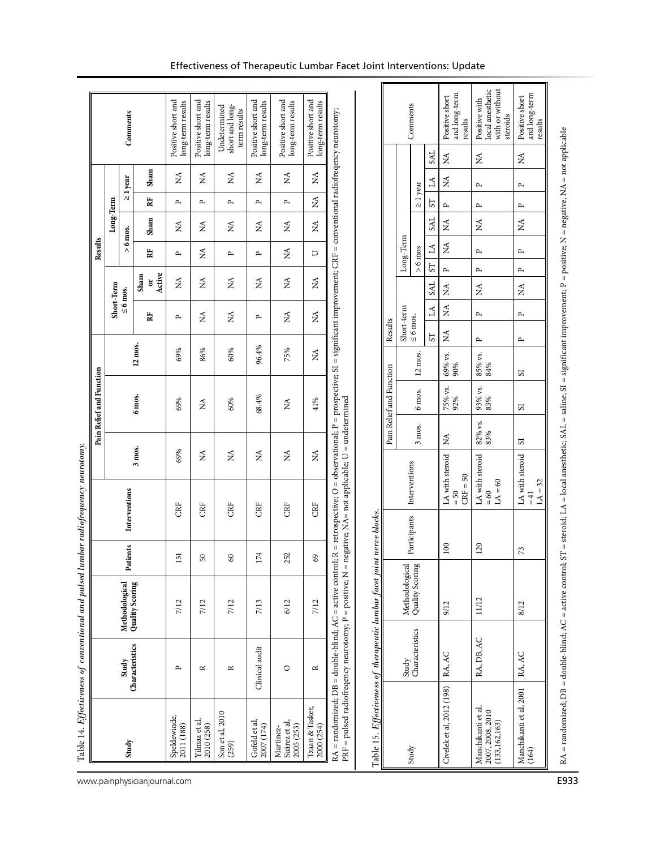| Positive short and<br>Positive short and<br>Positive short and<br>Positive short and<br>Positive short and<br>long-term results<br>long-term results<br>long-term results<br>$\log\text{-term}$ results<br>long-term results<br>Comments<br>short and long-<br>Undetermined<br>term results<br>R = retrospective; O = observational; P = prospective; SI = significant improvement; CRF = conventional radiofreqency neurotomy;<br>Comments<br>steroids<br>results<br>results<br><b>SAL</b><br>Ź<br>$\lessapprox$<br>$\tilde{z}$<br>Sham<br>$\mathbb{X}^{\mathsf{A}}$<br>Ź<br>É<br>É<br>Ź<br>₹<br>$\geq 1$ year<br>₹<br>$\Delta$<br>$\geq 1$ year<br>$\mathbf{r}$<br>$\mathbf{r}$<br>Ź<br>邑<br>Long-Term<br>$\mathbf{r}$<br>$\mathbf{r}$<br>$\mathbf{r}$<br>$\mathbf{r}$<br>д<br>57<br>$\mathbf{r}$<br>$\mathbf{r}$<br>$\mathbf{r}$<br>SAL<br>Sham<br>$\stackrel{\triangle}{\geq}$<br>Ź<br>Ź<br>Ź<br>ΧÁ<br>Ź<br>É<br>É<br>₹<br>$> 6$ mos.<br>$\rm Long\mbox{-}Term$<br>≸<br>$\Delta$<br>$> 6 \text{ m}$ os<br>$\stackrel{\triangle}{\Sigma}$<br>₹<br>$\mathbf{r}$<br>$\mathbf{r}$<br>閏<br>D<br>д<br>$\mathbf{r}$<br>$\mathbf{r}$<br>$\overline{\rm S}$<br>$\mathbf{r}$<br>$\sim$<br>$\mathbf{r}$<br>Active<br>Sham<br>$\stackrel{\triangle}{\geq}$<br>$\stackrel{\blacktriangle}{\geq}$<br>Ń<br>$\lesssim$<br>É<br>₹<br>öľ<br>Short-Term<br>SAL<br>≸<br>Ź<br>Ź<br>$\leq 6$ mos.<br>Short-term<br>₹<br>$\mathbb{M}$<br>≸<br>$\mathbf{r}$<br>$\mathbf{r}$<br>Ź<br>Ź<br>邑<br>≸<br>$\leq 6$ mos.<br>$\mathbf{r}$<br>д<br>Results<br>Ź<br>S <sub>T</sub><br>$\mathbf{r}$<br>$\mathbf{r}$<br>$12 \text{ m}$ os.<br>96.4%<br>69%<br>75%<br>60%<br>86%<br>₹<br>$69\%$ vs.<br>$90\%$<br>12 mos.<br>$85\%$ vs.<br>$84\%$<br>Pain Relief and Function<br>$\overline{\mathbf{s}}$<br>75% vs.<br>92%<br>93% vs.<br>83%<br>6 mos.<br>6 mos.<br>68.4%<br>$PRF = pulsed$ radiofreqency neurotomy; $P = positive$ ; $N = negative$ ; $NA = not$ applicable; $U = und$ etermined<br>41%<br>69%<br>60%<br>$\lessapprox$<br>Ź<br>2<br>$82\%$ vs.<br>$83\%$<br>3 mos.<br>Ź<br>$\overline{\mathbf{S}}$<br>3 mos.<br>69%<br>Ź<br>$\stackrel{\blacktriangle}{\geq}$<br>$\stackrel{\triangle}{\rm M}$<br>$\mathbb{X}^{\mathsf{A}}$<br>Ź<br>LA with steroid<br>LA with steroid<br>LA with steroid<br>Interventions<br>$CRF = 50$<br>$LA = 60$<br>$LA = 32$<br>Interventions<br>$= 60$<br>$=50$<br>$= 41$<br>CRF<br>CRF<br>CRE<br>CRF<br>CRE<br>CRF<br><u>t nerve</u> blocks.<br>Participants<br>Patients<br>$100\,$<br>120<br>73<br>174<br>151<br>252<br>69<br>$50\,$<br>$\infty$<br>$RA = randomized$ ; $DB = double-blind$ ; $AC = active control$ ;<br>Methodological<br>Quality Scoring<br>Quality Scoring<br>Methodological<br>11/12<br>7/12<br>7/13<br>7/12<br>7/12<br>6/12<br>7/12<br>8/12<br>9/12<br>Characteristics<br>RA, DB, AC<br>Characteristics<br>Clinical audit<br>RA, AC<br>RA, AC<br>Study<br>Study<br>$\circ$<br>$\simeq$<br>$\mathbf{r}$<br>$\approx$<br>$\approx$<br>Tzaan & Tasker,<br>Son et al, 2010<br>Speldewinde,<br>Yilmaz et al,<br>Gofeld et al,<br>Suárez et al,<br>2007 (174)<br>2000(254)<br>2011 (188)<br>2010 (258)<br>2005 (253)<br>Martinez-<br>Study<br>(259) |  |  |  | Pain Relief and Function |  |  | Results |  |  |                                                      |
|---------------------------------------------------------------------------------------------------------------------------------------------------------------------------------------------------------------------------------------------------------------------------------------------------------------------------------------------------------------------------------------------------------------------------------------------------------------------------------------------------------------------------------------------------------------------------------------------------------------------------------------------------------------------------------------------------------------------------------------------------------------------------------------------------------------------------------------------------------------------------------------------------------------------------------------------------------------------------------------------------------------------------------------------------------------------------------------------------------------------------------------------------------------------------------------------------------------------------------------------------------------------------------------------------------------------------------------------------------------------------------------------------------------------------------------------------------------------------------------------------------------------------------------------------------------------------------------------------------------------------------------------------------------------------------------------------------------------------------------------------------------------------------------------------------------------------------------------------------------------------------------------------------------------------------------------------------------------------------------------------------------------------------------------------------------------------------------------------------------------------------------------------------------------------------------------------------------------------------------------------------------------------------------------------------------------------------------------------------------------------------------------------------------------------------------------------------------------------------------------------------------------------------------------------------------------------------------------------------------------------------------------------------------------------------------------------------------------------------------------------------------------------------------------------------------------------------------------------------------------------------------------------------------------------------------------------------------------------------------------------------------------------------------------------------------------------------------------------------------------------------------------------------------------------|--|--|--|--------------------------|--|--|---------|--|--|------------------------------------------------------|
|                                                                                                                                                                                                                                                                                                                                                                                                                                                                                                                                                                                                                                                                                                                                                                                                                                                                                                                                                                                                                                                                                                                                                                                                                                                                                                                                                                                                                                                                                                                                                                                                                                                                                                                                                                                                                                                                                                                                                                                                                                                                                                                                                                                                                                                                                                                                                                                                                                                                                                                                                                                                                                                                                                                                                                                                                                                                                                                                                                                                                                                                                                                                                                           |  |  |  |                          |  |  |         |  |  |                                                      |
| Manchikanti et al, 2001<br>(133, 162, 163)                                                                                                                                                                                                                                                                                                                                                                                                                                                                                                                                                                                                                                                                                                                                                                                                                                                                                                                                                                                                                                                                                                                                                                                                                                                                                                                                                                                                                                                                                                                                                                                                                                                                                                                                                                                                                                                                                                                                                                                                                                                                                                                                                                                                                                                                                                                                                                                                                                                                                                                                                                                                                                                                                                                                                                                                                                                                                                                                                                                                                                                                                                                                |  |  |  |                          |  |  |         |  |  |                                                      |
| Civelek et al, 2012 (198)                                                                                                                                                                                                                                                                                                                                                                                                                                                                                                                                                                                                                                                                                                                                                                                                                                                                                                                                                                                                                                                                                                                                                                                                                                                                                                                                                                                                                                                                                                                                                                                                                                                                                                                                                                                                                                                                                                                                                                                                                                                                                                                                                                                                                                                                                                                                                                                                                                                                                                                                                                                                                                                                                                                                                                                                                                                                                                                                                                                                                                                                                                                                                 |  |  |  |                          |  |  |         |  |  |                                                      |
| Manchikanti et al,<br>2007, 2008, 2010<br>Study<br>(164)                                                                                                                                                                                                                                                                                                                                                                                                                                                                                                                                                                                                                                                                                                                                                                                                                                                                                                                                                                                                                                                                                                                                                                                                                                                                                                                                                                                                                                                                                                                                                                                                                                                                                                                                                                                                                                                                                                                                                                                                                                                                                                                                                                                                                                                                                                                                                                                                                                                                                                                                                                                                                                                                                                                                                                                                                                                                                                                                                                                                                                                                                                                  |  |  |  |                          |  |  |         |  |  |                                                      |
| Table 15. Effectiveness of therapeutic lumbar facet join                                                                                                                                                                                                                                                                                                                                                                                                                                                                                                                                                                                                                                                                                                                                                                                                                                                                                                                                                                                                                                                                                                                                                                                                                                                                                                                                                                                                                                                                                                                                                                                                                                                                                                                                                                                                                                                                                                                                                                                                                                                                                                                                                                                                                                                                                                                                                                                                                                                                                                                                                                                                                                                                                                                                                                                                                                                                                                                                                                                                                                                                                                                  |  |  |  |                          |  |  |         |  |  |                                                      |
|                                                                                                                                                                                                                                                                                                                                                                                                                                                                                                                                                                                                                                                                                                                                                                                                                                                                                                                                                                                                                                                                                                                                                                                                                                                                                                                                                                                                                                                                                                                                                                                                                                                                                                                                                                                                                                                                                                                                                                                                                                                                                                                                                                                                                                                                                                                                                                                                                                                                                                                                                                                                                                                                                                                                                                                                                                                                                                                                                                                                                                                                                                                                                                           |  |  |  |                          |  |  |         |  |  |                                                      |
|                                                                                                                                                                                                                                                                                                                                                                                                                                                                                                                                                                                                                                                                                                                                                                                                                                                                                                                                                                                                                                                                                                                                                                                                                                                                                                                                                                                                                                                                                                                                                                                                                                                                                                                                                                                                                                                                                                                                                                                                                                                                                                                                                                                                                                                                                                                                                                                                                                                                                                                                                                                                                                                                                                                                                                                                                                                                                                                                                                                                                                                                                                                                                                           |  |  |  |                          |  |  |         |  |  |                                                      |
|                                                                                                                                                                                                                                                                                                                                                                                                                                                                                                                                                                                                                                                                                                                                                                                                                                                                                                                                                                                                                                                                                                                                                                                                                                                                                                                                                                                                                                                                                                                                                                                                                                                                                                                                                                                                                                                                                                                                                                                                                                                                                                                                                                                                                                                                                                                                                                                                                                                                                                                                                                                                                                                                                                                                                                                                                                                                                                                                                                                                                                                                                                                                                                           |  |  |  |                          |  |  |         |  |  |                                                      |
|                                                                                                                                                                                                                                                                                                                                                                                                                                                                                                                                                                                                                                                                                                                                                                                                                                                                                                                                                                                                                                                                                                                                                                                                                                                                                                                                                                                                                                                                                                                                                                                                                                                                                                                                                                                                                                                                                                                                                                                                                                                                                                                                                                                                                                                                                                                                                                                                                                                                                                                                                                                                                                                                                                                                                                                                                                                                                                                                                                                                                                                                                                                                                                           |  |  |  |                          |  |  |         |  |  |                                                      |
|                                                                                                                                                                                                                                                                                                                                                                                                                                                                                                                                                                                                                                                                                                                                                                                                                                                                                                                                                                                                                                                                                                                                                                                                                                                                                                                                                                                                                                                                                                                                                                                                                                                                                                                                                                                                                                                                                                                                                                                                                                                                                                                                                                                                                                                                                                                                                                                                                                                                                                                                                                                                                                                                                                                                                                                                                                                                                                                                                                                                                                                                                                                                                                           |  |  |  |                          |  |  |         |  |  |                                                      |
|                                                                                                                                                                                                                                                                                                                                                                                                                                                                                                                                                                                                                                                                                                                                                                                                                                                                                                                                                                                                                                                                                                                                                                                                                                                                                                                                                                                                                                                                                                                                                                                                                                                                                                                                                                                                                                                                                                                                                                                                                                                                                                                                                                                                                                                                                                                                                                                                                                                                                                                                                                                                                                                                                                                                                                                                                                                                                                                                                                                                                                                                                                                                                                           |  |  |  |                          |  |  |         |  |  |                                                      |
|                                                                                                                                                                                                                                                                                                                                                                                                                                                                                                                                                                                                                                                                                                                                                                                                                                                                                                                                                                                                                                                                                                                                                                                                                                                                                                                                                                                                                                                                                                                                                                                                                                                                                                                                                                                                                                                                                                                                                                                                                                                                                                                                                                                                                                                                                                                                                                                                                                                                                                                                                                                                                                                                                                                                                                                                                                                                                                                                                                                                                                                                                                                                                                           |  |  |  |                          |  |  |         |  |  |                                                      |
|                                                                                                                                                                                                                                                                                                                                                                                                                                                                                                                                                                                                                                                                                                                                                                                                                                                                                                                                                                                                                                                                                                                                                                                                                                                                                                                                                                                                                                                                                                                                                                                                                                                                                                                                                                                                                                                                                                                                                                                                                                                                                                                                                                                                                                                                                                                                                                                                                                                                                                                                                                                                                                                                                                                                                                                                                                                                                                                                                                                                                                                                                                                                                                           |  |  |  |                          |  |  |         |  |  |                                                      |
|                                                                                                                                                                                                                                                                                                                                                                                                                                                                                                                                                                                                                                                                                                                                                                                                                                                                                                                                                                                                                                                                                                                                                                                                                                                                                                                                                                                                                                                                                                                                                                                                                                                                                                                                                                                                                                                                                                                                                                                                                                                                                                                                                                                                                                                                                                                                                                                                                                                                                                                                                                                                                                                                                                                                                                                                                                                                                                                                                                                                                                                                                                                                                                           |  |  |  |                          |  |  |         |  |  |                                                      |
|                                                                                                                                                                                                                                                                                                                                                                                                                                                                                                                                                                                                                                                                                                                                                                                                                                                                                                                                                                                                                                                                                                                                                                                                                                                                                                                                                                                                                                                                                                                                                                                                                                                                                                                                                                                                                                                                                                                                                                                                                                                                                                                                                                                                                                                                                                                                                                                                                                                                                                                                                                                                                                                                                                                                                                                                                                                                                                                                                                                                                                                                                                                                                                           |  |  |  |                          |  |  |         |  |  | and long-term<br>Positive short                      |
|                                                                                                                                                                                                                                                                                                                                                                                                                                                                                                                                                                                                                                                                                                                                                                                                                                                                                                                                                                                                                                                                                                                                                                                                                                                                                                                                                                                                                                                                                                                                                                                                                                                                                                                                                                                                                                                                                                                                                                                                                                                                                                                                                                                                                                                                                                                                                                                                                                                                                                                                                                                                                                                                                                                                                                                                                                                                                                                                                                                                                                                                                                                                                                           |  |  |  |                          |  |  |         |  |  | local anesthetic<br>with or without<br>Positive with |
|                                                                                                                                                                                                                                                                                                                                                                                                                                                                                                                                                                                                                                                                                                                                                                                                                                                                                                                                                                                                                                                                                                                                                                                                                                                                                                                                                                                                                                                                                                                                                                                                                                                                                                                                                                                                                                                                                                                                                                                                                                                                                                                                                                                                                                                                                                                                                                                                                                                                                                                                                                                                                                                                                                                                                                                                                                                                                                                                                                                                                                                                                                                                                                           |  |  |  |                          |  |  |         |  |  | and long-term<br>Positive short                      |

# Effectiveness of Therapeutic Lumbar Facet Joint Interventions: Update

www.painphysicianjournal.com **E933**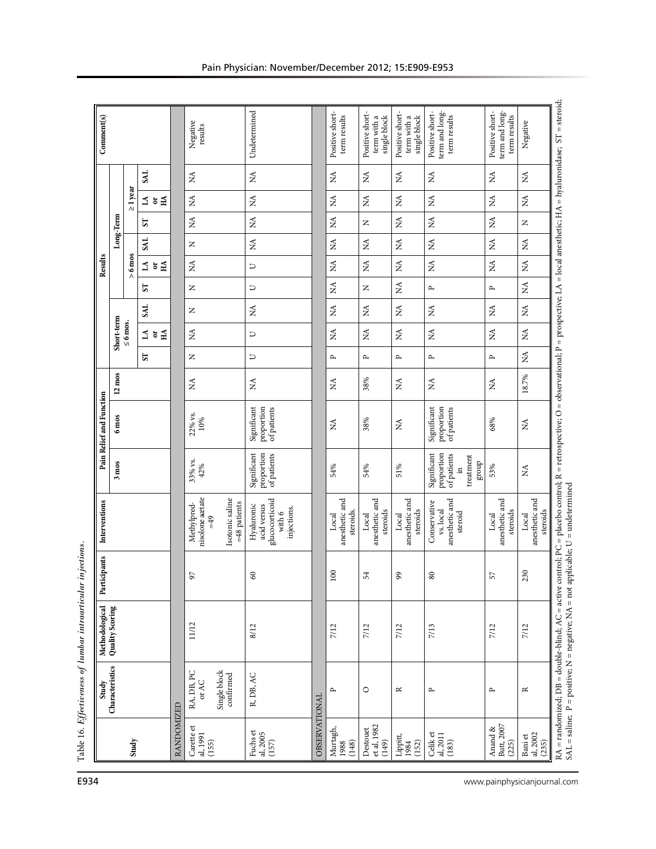|            | Characteristics<br>Study            | Quality Scoring<br>Methodological | Participants          | Interventions                                                          |                                                                                                           | Pain Relief and Function                 |                   |              |                             |                            |                                          | Results            |               |                               |                                                 | Comment(s)                                        |
|------------|-------------------------------------|-----------------------------------|-----------------------|------------------------------------------------------------------------|-----------------------------------------------------------------------------------------------------------|------------------------------------------|-------------------|--------------|-----------------------------|----------------------------|------------------------------------------|--------------------|---------------|-------------------------------|-------------------------------------------------|---------------------------------------------------|
|            |                                     |                                   |                       |                                                                        | $3 \text{ m}$ os                                                                                          | $6 \text{ m}$ os                         | $12 \text{ m}$ os |              | Short-term<br>$\leq 6$ mos. |                            |                                          |                    | Long-Term     |                               |                                                 |                                                   |
|            |                                     |                                   |                       |                                                                        |                                                                                                           |                                          |                   | 57           |                             | <b>SAL</b>                 | 25                                       | $> 6 \text{ m}$ os | <b>LKS</b>    | 57                            | <b>TKS</b><br>$\geq$ 1 year<br>$\preceq$ 5      |                                                   |
|            |                                     |                                   |                       |                                                                        |                                                                                                           |                                          |                   |              | ≦ 5 ∄                       |                            |                                          | ≦ ∍ ∄              |               |                               | $\tilde{H}$                                     |                                                   |
| RANDOMIZED |                                     |                                   |                       |                                                                        |                                                                                                           |                                          |                   |              |                             |                            |                                          |                    |               |                               |                                                 |                                                   |
|            | Single block<br>RA, DB, PC<br>or AC | 11/12                             | 97                    | nisolone axtate<br>Methylpred-<br>$=49$                                | 33% vs.<br>42%                                                                                            | 22% vs.<br>$10\%$                        | $\lesssim$        | Z            | $\lessapprox$               | z                          | Z                                        | $\lesssim$         | Z             | $\lesssim$                    | $\lesssim$<br>$\rm \stackrel{\Delta}{\Sigma}$   | Negative<br>results                               |
|            | confirmed                           |                                   |                       | Isotonic saline<br>=48 patients                                        |                                                                                                           |                                          |                   |              |                             |                            |                                          |                    |               |                               |                                                 |                                                   |
|            | R, DB, AC                           | 8/12                              | 60                    | glucocorticoid<br>Hyaluronic<br>acid versus<br>injections.<br>with $6$ | Significant<br>proportion<br>of patients                                                                  | Significant<br>proportion<br>of patients | $\lessapprox$     | $\Box$       | $\Box$                      | $\lesssim$                 | $\Box$                                   | $\Box$             | $\lesssim$    | $\lesssim$                    | $\lessapprox$<br>$\mathop{\mathsf{M}}\nolimits$ | Undetermined                                      |
|            | OBSERVATIONAL                       |                                   |                       |                                                                        |                                                                                                           |                                          |                   |              |                             |                            |                                          |                    |               |                               |                                                 |                                                   |
|            | $\mathbf{p}$                        | 7/12                              | 100                   | anesthetic and<br>steroids.<br>Local                                   | 54%                                                                                                       | $\lessapprox$                            | Ź                 | $\sim$       | ≸                           | $\mathop{\rm NA}\nolimits$ | $\lessapprox$                            | Ź                  | $\lesssim$    | $\tilde{z}$                   | Ź<br>$\lesssim$                                 | Positive short-<br>term results                   |
|            | $\circ$                             | 7/12                              | 54                    | anesthetic and<br>steroids<br>Local                                    | 54%                                                                                                       | 38%                                      | 38%               | $\mathbf{r}$ | Ź                           | É                          | $\simeq$                                 | Ź                  | É             | Z                             | Ź<br>$\lesssim$                                 | Positive short-<br>single block<br>term with a    |
|            | $\simeq$                            | 7/12                              | 99                    | anesthetic and<br>steroids<br>Local                                    | 51%                                                                                                       | $\stackrel{\triangle}{\Sigma}$           | $\lesssim$        | $\mathbf{p}$ | $\lessapprox$               | $\lessapprox$              | $\stackrel{\triangle}{\scriptstyle\sim}$ | $\lessapprox$      | $\lessapprox$ | $\lessapprox$                 | $\lessapprox$<br>$\stackrel{\triangle}{\Sigma}$ | Positive short-<br>term with a<br>single block    |
|            | $\mathbf{p}$                        | 7/13                              | $\circ$<br>$^{\circ}$ | anesthetic and<br>Conservative<br>vs. local<br>steroid                 | Significant<br>proportion<br>of patients<br>treatment<br>${\rm d} \! {\rm n} \! {\rm o} \! {\rm r}$<br>≘. | Significant<br>proportion<br>of patients | $\lessapprox$     | $\mathbf{p}$ | Ź                           | Ź                          | $\mathbf{r}$                             | Ź                  | $\lessapprox$ | $\lessapprox$                 | $\lessapprox$<br>$\lesssim$                     | term and long-<br>Positive short-<br>term results |
|            | $\mathbf{r}$                        | 7/12                              | 57                    | anesthetic and<br>steroids<br>Local                                    | 53%                                                                                                       | 68%                                      | Ń                 | $\mathbf{r}$ | $\lessapprox$               | $\lessapprox$              | д                                        | $\lessapprox$      | $\lessapprox$ | $\stackrel{\triangle}{\rm N}$ | $\lesssim$<br>$\stackrel{\triangle}{\Sigma}$    | term and long-<br>Positive short-<br>term results |
|            | $\approx$                           | 7/12                              | 230                   | anesthetic and<br>steroids<br>Local                                    | $\lesssim$                                                                                                | $\lessapprox$                            | 18.7%             | ≸            | Ź                           | Ź                          | Ź                                        | ≸                  | $\lesssim$    | Z                             | $\lesssim$<br>$\lesssim$                        | Negative                                          |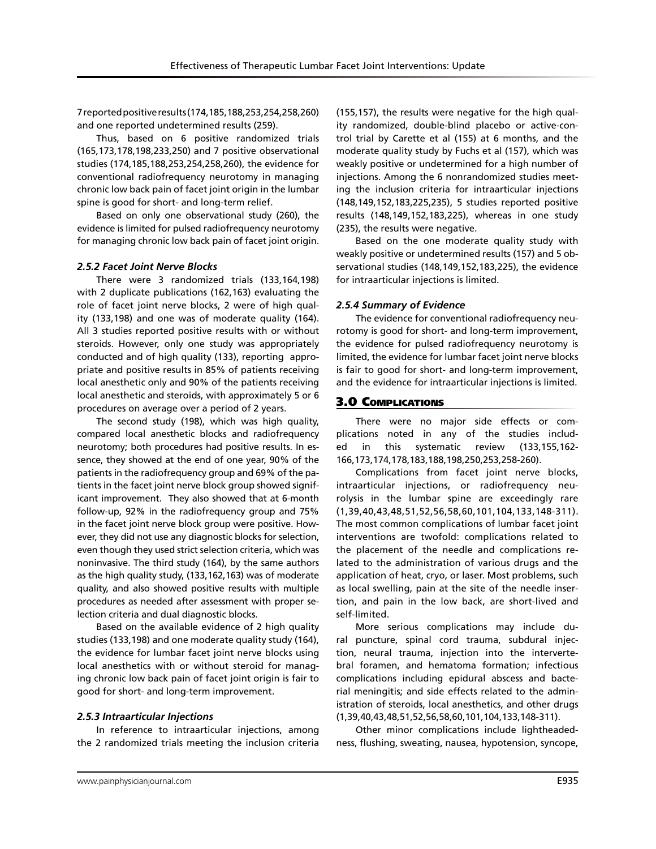7 reported positive results (174,185,188,253,254,258,260) and one reported undetermined results (259).

Thus, based on 6 positive randomized trials (165,173,178,198,233,250) and 7 positive observational studies (174,185,188,253,254,258,260), the evidence for conventional radiofrequency neurotomy in managing chronic low back pain of facet joint origin in the lumbar spine is good for short- and long-term relief.

Based on only one observational study (260), the evidence is limited for pulsed radiofrequency neurotomy for managing chronic low back pain of facet joint origin.

#### *2.5.2 Facet Joint Nerve Blocks*

There were 3 randomized trials (133,164,198) with 2 duplicate publications (162,163) evaluating the role of facet joint nerve blocks, 2 were of high quality (133,198) and one was of moderate quality (164). All 3 studies reported positive results with or without steroids. However, only one study was appropriately conducted and of high quality (133), reporting appropriate and positive results in 85% of patients receiving local anesthetic only and 90% of the patients receiving local anesthetic and steroids, with approximately 5 or 6 procedures on average over a period of 2 years.

The second study (198), which was high quality, compared local anesthetic blocks and radiofrequency neurotomy; both procedures had positive results. In essence, they showed at the end of one year, 90% of the patients in the radiofrequency group and 69% of the patients in the facet joint nerve block group showed significant improvement. They also showed that at 6-month follow-up, 92% in the radiofrequency group and 75% in the facet joint nerve block group were positive. However, they did not use any diagnostic blocks for selection, even though they used strict selection criteria, which was noninvasive. The third study (164), by the same authors as the high quality study, (133,162,163) was of moderate quality, and also showed positive results with multiple procedures as needed after assessment with proper selection criteria and dual diagnostic blocks.

Based on the available evidence of 2 high quality studies (133,198) and one moderate quality study (164), the evidence for lumbar facet joint nerve blocks using local anesthetics with or without steroid for managing chronic low back pain of facet joint origin is fair to good for short- and long-term improvement.

# *2.5.3 Intraarticular Injections*

In reference to intraarticular injections, among the 2 randomized trials meeting the inclusion criteria

(155,157), the results were negative for the high quality randomized, double-blind placebo or active-control trial by Carette et al (155) at 6 months, and the moderate quality study by Fuchs et al (157), which was weakly positive or undetermined for a high number of injections. Among the 6 nonrandomized studies meeting the inclusion criteria for intraarticular injections (148,149,152,183,225,235), 5 studies reported positive results (148,149,152,183,225), whereas in one study (235), the results were negative.

Based on the one moderate quality study with weakly positive or undetermined results (157) and 5 observational studies (148,149,152,183,225), the evidence for intraarticular injections is limited.

### *2.5.4 Summary of Evidence*

The evidence for conventional radiofrequency neurotomy is good for short- and long-term improvement, the evidence for pulsed radiofrequency neurotomy is limited, the evidence for lumbar facet joint nerve blocks is fair to good for short- and long-term improvement, and the evidence for intraarticular injections is limited.

# 3.0 COMPLICATIONS

There were no major side effects or complications noted in any of the studies included in this systematic review (133,155,162- 166,173,174,178,183,188,198,250,253,258-260).

Complications from facet joint nerve blocks, intraarticular injections, or radiofrequency neurolysis in the lumbar spine are exceedingly rare (1,39,40,43,48,51,52,56,58,60,101,104,133,148-311). The most common complications of lumbar facet joint interventions are twofold: complications related to the placement of the needle and complications related to the administration of various drugs and the application of heat, cryo, or laser. Most problems, such as local swelling, pain at the site of the needle insertion, and pain in the low back, are short-lived and self-limited.

More serious complications may include dural puncture, spinal cord trauma, subdural injection, neural trauma, injection into the intervertebral foramen, and hematoma formation; infectious complications including epidural abscess and bacterial meningitis; and side effects related to the administration of steroids, local anesthetics, and other drugs (1,39,40,43,48,51,52,56,58,60,101,104,133,148-311).

Other minor complications include lightheadedness, flushing, sweating, nausea, hypotension, syncope,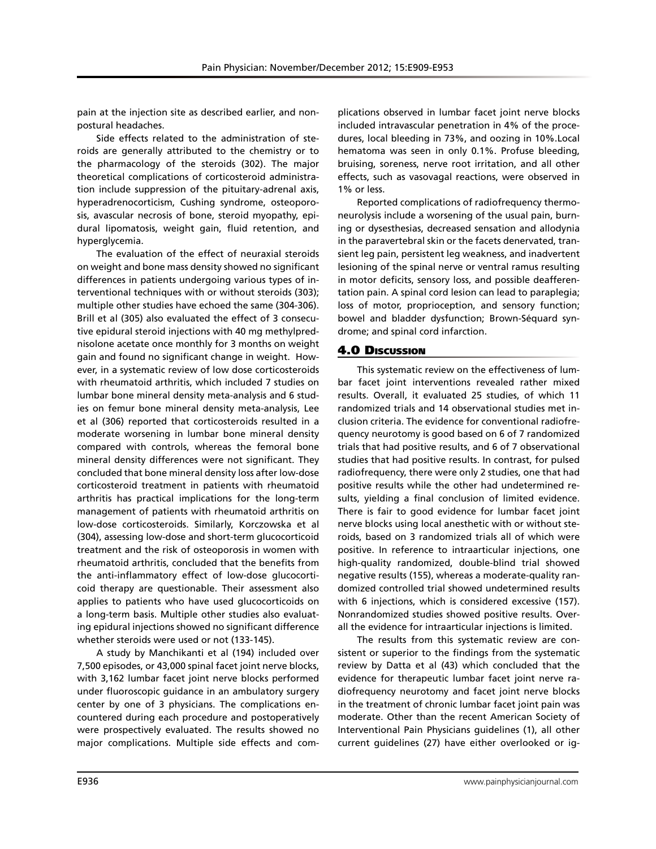pain at the injection site as described earlier, and nonpostural headaches.

Side effects related to the administration of steroids are generally attributed to the chemistry or to the pharmacology of the steroids (302). The major theoretical complications of corticosteroid administration include suppression of the pituitary-adrenal axis, hyperadrenocorticism, Cushing syndrome, osteoporosis, avascular necrosis of bone, steroid myopathy, epidural lipomatosis, weight gain, fluid retention, and hyperglycemia.

The evaluation of the effect of neuraxial steroids on weight and bone mass density showed no significant differences in patients undergoing various types of interventional techniques with or without steroids (303); multiple other studies have echoed the same (304-306). Brill et al (305) also evaluated the effect of 3 consecutive epidural steroid injections with 40 mg methylprednisolone acetate once monthly for 3 months on weight gain and found no significant change in weight. However, in a systematic review of low dose corticosteroids with rheumatoid arthritis, which included 7 studies on lumbar bone mineral density meta-analysis and 6 studies on femur bone mineral density meta-analysis, Lee et al (306) reported that corticosteroids resulted in a moderate worsening in lumbar bone mineral density compared with controls, whereas the femoral bone mineral density differences were not significant. They concluded that bone mineral density loss after low-dose corticosteroid treatment in patients with rheumatoid arthritis has practical implications for the long-term management of patients with rheumatoid arthritis on low-dose corticosteroids. Similarly, Korczowska et al (304), assessing low-dose and short-term glucocorticoid treatment and the risk of osteoporosis in women with rheumatoid arthritis, concluded that the benefits from the anti-inflammatory effect of low-dose glucocorticoid therapy are questionable. Their assessment also applies to patients who have used glucocorticoids on a long-term basis. Multiple other studies also evaluating epidural injections showed no significant difference whether steroids were used or not (133-145).

A study by Manchikanti et al (194) included over 7,500 episodes, or 43,000 spinal facet joint nerve blocks, with 3,162 lumbar facet joint nerve blocks performed under fluoroscopic guidance in an ambulatory surgery center by one of 3 physicians. The complications encountered during each procedure and postoperatively were prospectively evaluated. The results showed no major complications. Multiple side effects and com-

plications observed in lumbar facet joint nerve blocks included intravascular penetration in 4% of the procedures, local bleeding in 73%, and oozing in 10%.Local hematoma was seen in only 0.1%. Profuse bleeding, bruising, soreness, nerve root irritation, and all other effects, such as vasovagal reactions, were observed in 1% or less.

Reported complications of radiofrequency thermoneurolysis include a worsening of the usual pain, burning or dysesthesias, decreased sensation and allodynia in the paravertebral skin or the facets denervated, transient leg pain, persistent leg weakness, and inadvertent lesioning of the spinal nerve or ventral ramus resulting in motor deficits, sensory loss, and possible deafferentation pain. A spinal cord lesion can lead to paraplegia; loss of motor, proprioception, and sensory function; bowel and bladder dysfunction; Brown-Séquard syndrome; and spinal cord infarction.

#### 4.0 Discussion

This systematic review on the effectiveness of lumbar facet joint interventions revealed rather mixed results. Overall, it evaluated 25 studies, of which 11 randomized trials and 14 observational studies met inclusion criteria. The evidence for conventional radiofrequency neurotomy is good based on 6 of 7 randomized trials that had positive results, and 6 of 7 observational studies that had positive results. In contrast, for pulsed radiofrequency, there were only 2 studies, one that had positive results while the other had undetermined results, yielding a final conclusion of limited evidence. There is fair to good evidence for lumbar facet joint nerve blocks using local anesthetic with or without steroids, based on 3 randomized trials all of which were positive. In reference to intraarticular injections, one high-quality randomized, double-blind trial showed negative results (155), whereas a moderate-quality randomized controlled trial showed undetermined results with 6 injections, which is considered excessive (157). Nonrandomized studies showed positive results. Overall the evidence for intraarticular injections is limited.

The results from this systematic review are consistent or superior to the findings from the systematic review by Datta et al (43) which concluded that the evidence for therapeutic lumbar facet joint nerve radiofrequency neurotomy and facet joint nerve blocks in the treatment of chronic lumbar facet joint pain was moderate. Other than the recent American Society of Interventional Pain Physicians guidelines (1), all other current guidelines (27) have either overlooked or ig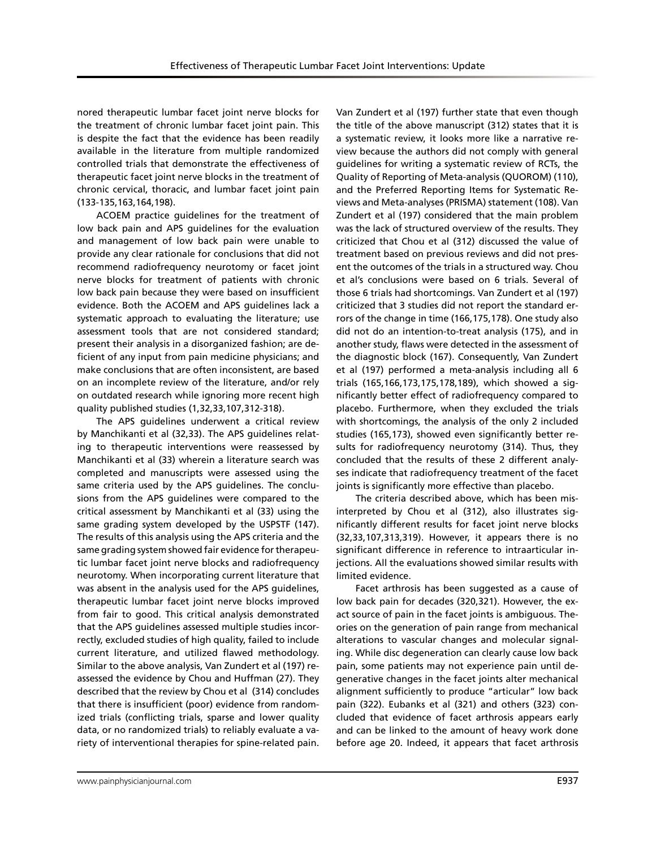nored therapeutic lumbar facet joint nerve blocks for the treatment of chronic lumbar facet joint pain. This is despite the fact that the evidence has been readily available in the literature from multiple randomized controlled trials that demonstrate the effectiveness of therapeutic facet joint nerve blocks in the treatment of chronic cervical, thoracic, and lumbar facet joint pain (133-135,163,164,198).

ACOEM practice guidelines for the treatment of low back pain and APS guidelines for the evaluation and management of low back pain were unable to provide any clear rationale for conclusions that did not recommend radiofrequency neurotomy or facet joint nerve blocks for treatment of patients with chronic low back pain because they were based on insufficient evidence. Both the ACOEM and APS guidelines lack a systematic approach to evaluating the literature; use assessment tools that are not considered standard; present their analysis in a disorganized fashion; are deficient of any input from pain medicine physicians; and make conclusions that are often inconsistent, are based on an incomplete review of the literature, and/or rely on outdated research while ignoring more recent high quality published studies (1,32,33,107,312-318).

The APS guidelines underwent a critical review by Manchikanti et al (32,33). The APS guidelines relating to therapeutic interventions were reassessed by Manchikanti et al (33) wherein a literature search was completed and manuscripts were assessed using the same criteria used by the APS guidelines. The conclusions from the APS guidelines were compared to the critical assessment by Manchikanti et al (33) using the same grading system developed by the USPSTF (147). The results of this analysis using the APS criteria and the same grading system showed fair evidence for therapeutic lumbar facet joint nerve blocks and radiofrequency neurotomy. When incorporating current literature that was absent in the analysis used for the APS guidelines, therapeutic lumbar facet joint nerve blocks improved from fair to good. This critical analysis demonstrated that the APS guidelines assessed multiple studies incorrectly, excluded studies of high quality, failed to include current literature, and utilized flawed methodology. Similar to the above analysis, Van Zundert et al (197) reassessed the evidence by Chou and Huffman (27). They described that the review by Chou et al (314) concludes that there is insufficient (poor) evidence from randomized trials (conflicting trials, sparse and lower quality data, or no randomized trials) to reliably evaluate a variety of interventional therapies for spine-related pain.

Van Zundert et al (197) further state that even though the title of the above manuscript (312) states that it is a systematic review, it looks more like a narrative review because the authors did not comply with general guidelines for writing a systematic review of RCTs, the Quality of Reporting of Meta-analysis (QUOROM) (110), and the Preferred Reporting Items for Systematic Reviews and Meta-analyses (PRISMA) statement (108). Van Zundert et al (197) considered that the main problem was the lack of structured overview of the results. They criticized that Chou et al (312) discussed the value of treatment based on previous reviews and did not present the outcomes of the trials in a structured way. Chou et al's conclusions were based on 6 trials. Several of those 6 trials had shortcomings. Van Zundert et al (197) criticized that 3 studies did not report the standard errors of the change in time (166,175,178). One study also did not do an intention-to-treat analysis (175), and in another study, flaws were detected in the assessment of the diagnostic block (167). Consequently, Van Zundert et al (197) performed a meta-analysis including all 6 trials (165,166,173,175,178,189), which showed a significantly better effect of radiofrequency compared to placebo. Furthermore, when they excluded the trials with shortcomings, the analysis of the only 2 included studies (165,173), showed even significantly better results for radiofrequency neurotomy (314). Thus, they concluded that the results of these 2 different analyses indicate that radiofrequency treatment of the facet joints is significantly more effective than placebo.

The criteria described above, which has been misinterpreted by Chou et al (312), also illustrates significantly different results for facet joint nerve blocks (32,33,107,313,319). However, it appears there is no significant difference in reference to intraarticular injections. All the evaluations showed similar results with limited evidence.

Facet arthrosis has been suggested as a cause of low back pain for decades (320,321). However, the exact source of pain in the facet joints is ambiguous. Theories on the generation of pain range from mechanical alterations to vascular changes and molecular signaling. While disc degeneration can clearly cause low back pain, some patients may not experience pain until degenerative changes in the facet joints alter mechanical alignment sufficiently to produce "articular" low back pain (322). Eubanks et al (321) and others (323) concluded that evidence of facet arthrosis appears early and can be linked to the amount of heavy work done before age 20. Indeed, it appears that facet arthrosis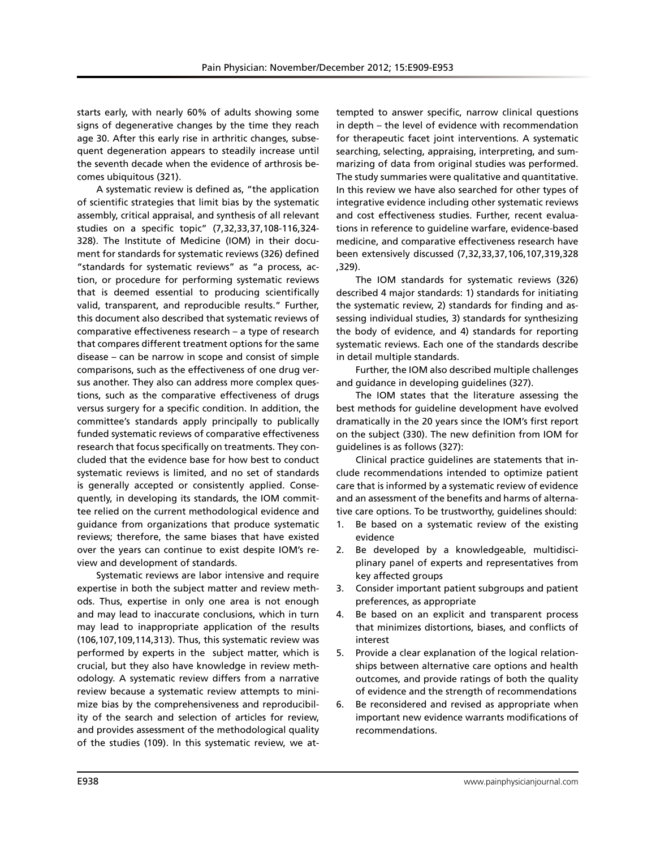starts early, with nearly 60% of adults showing some signs of degenerative changes by the time they reach age 30. After this early rise in arthritic changes, subsequent degeneration appears to steadily increase until the seventh decade when the evidence of arthrosis becomes ubiquitous (321).

A systematic review is defined as, "the application of scientific strategies that limit bias by the systematic assembly, critical appraisal, and synthesis of all relevant studies on a specific topic" (7,32,33,37,108-116,324- 328). The Institute of Medicine (IOM) in their document for standards for systematic reviews (326) defined "standards for systematic reviews" as "a process, action, or procedure for performing systematic reviews that is deemed essential to producing scientifically valid, transparent, and reproducible results." Further, this document also described that systematic reviews of comparative effectiveness research – a type of research that compares different treatment options for the same disease – can be narrow in scope and consist of simple comparisons, such as the effectiveness of one drug versus another. They also can address more complex questions, such as the comparative effectiveness of drugs versus surgery for a specific condition. In addition, the committee's standards apply principally to publically funded systematic reviews of comparative effectiveness research that focus specifically on treatments. They concluded that the evidence base for how best to conduct systematic reviews is limited, and no set of standards is generally accepted or consistently applied. Consequently, in developing its standards, the IOM committee relied on the current methodological evidence and guidance from organizations that produce systematic reviews; therefore, the same biases that have existed over the years can continue to exist despite IOM's review and development of standards.

Systematic reviews are labor intensive and require expertise in both the subject matter and review methods. Thus, expertise in only one area is not enough and may lead to inaccurate conclusions, which in turn may lead to inappropriate application of the results (106,107,109,114,313). Thus, this systematic review was performed by experts in the subject matter, which is crucial, but they also have knowledge in review methodology. A systematic review differs from a narrative review because a systematic review attempts to minimize bias by the comprehensiveness and reproducibility of the search and selection of articles for review, and provides assessment of the methodological quality of the studies (109). In this systematic review, we attempted to answer specific, narrow clinical questions in depth – the level of evidence with recommendation for therapeutic facet joint interventions. A systematic searching, selecting, appraising, interpreting, and summarizing of data from original studies was performed. The study summaries were qualitative and quantitative. In this review we have also searched for other types of integrative evidence including other systematic reviews and cost effectiveness studies. Further, recent evaluations in reference to guideline warfare, evidence-based medicine, and comparative effectiveness research have been extensively discussed (7,32,33,37,106,107,319,328 ,329).

The IOM standards for systematic reviews (326) described 4 major standards: 1) standards for initiating the systematic review, 2) standards for finding and assessing individual studies, 3) standards for synthesizing the body of evidence, and 4) standards for reporting systematic reviews. Each one of the standards describe in detail multiple standards.

Further, the IOM also described multiple challenges and guidance in developing guidelines (327).

The IOM states that the literature assessing the best methods for guideline development have evolved dramatically in the 20 years since the IOM's first report on the subject (330). The new definition from IOM for guidelines is as follows (327):

Clinical practice guidelines are statements that include recommendations intended to optimize patient care that is informed by a systematic review of evidence and an assessment of the benefits and harms of alternative care options. To be trustworthy, guidelines should:

- 1. Be based on a systematic review of the existing evidence
- 2. Be developed by a knowledgeable, multidisciplinary panel of experts and representatives from key affected groups
- 3. Consider important patient subgroups and patient preferences, as appropriate
- 4. Be based on an explicit and transparent process that minimizes distortions, biases, and conflicts of interest
- 5. Provide a clear explanation of the logical relationships between alternative care options and health outcomes, and provide ratings of both the quality of evidence and the strength of recommendations
- 6. Be reconsidered and revised as appropriate when important new evidence warrants modifications of recommendations.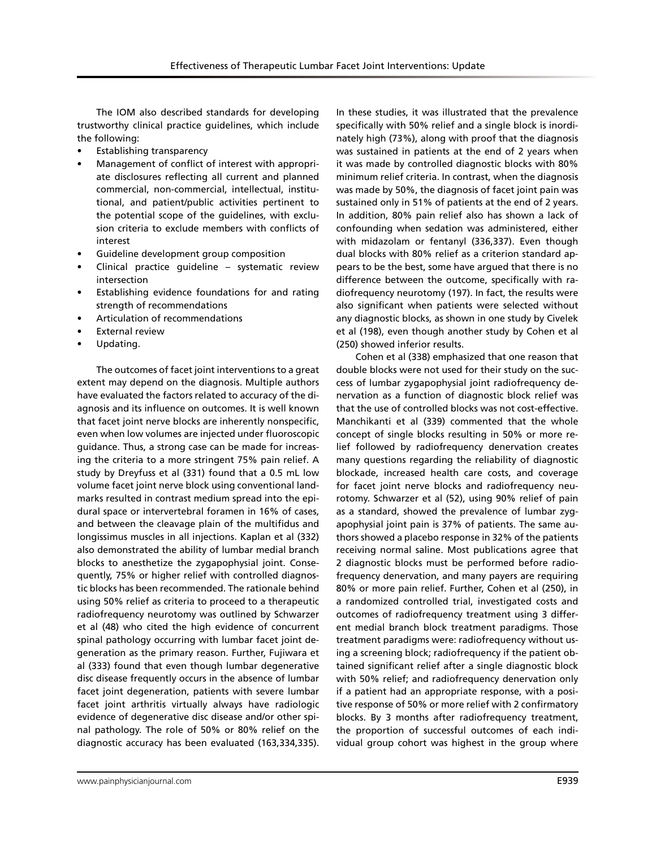The IOM also described standards for developing trustworthy clinical practice guidelines, which include the following:

- **Establishing transparency**
- Management of conflict of interest with appropriate disclosures reflecting all current and planned commercial, non-commercial, intellectual, institutional, and patient/public activities pertinent to the potential scope of the guidelines, with exclusion criteria to exclude members with conflicts of interest
- Guideline development group composition
- Clinical practice guideline systematic review intersection
- Establishing evidence foundations for and rating strength of recommendations
- Articulation of recommendations
- **External review**
- Updating.

The outcomes of facet joint interventions to a great extent may depend on the diagnosis. Multiple authors have evaluated the factors related to accuracy of the diagnosis and its influence on outcomes. It is well known that facet joint nerve blocks are inherently nonspecific, even when low volumes are injected under fluoroscopic guidance. Thus, a strong case can be made for increasing the criteria to a more stringent 75% pain relief. A study by Dreyfuss et al (331) found that a 0.5 mL low volume facet joint nerve block using conventional landmarks resulted in contrast medium spread into the epidural space or intervertebral foramen in 16% of cases, and between the cleavage plain of the multifidus and longissimus muscles in all injections. Kaplan et al (332) also demonstrated the ability of lumbar medial branch blocks to anesthetize the zygapophysial joint. Consequently, 75% or higher relief with controlled diagnostic blocks has been recommended. The rationale behind using 50% relief as criteria to proceed to a therapeutic radiofrequency neurotomy was outlined by Schwarzer et al (48) who cited the high evidence of concurrent spinal pathology occurring with lumbar facet joint degeneration as the primary reason. Further, Fujiwara et al (333) found that even though lumbar degenerative disc disease frequently occurs in the absence of lumbar facet joint degeneration, patients with severe lumbar facet joint arthritis virtually always have radiologic evidence of degenerative disc disease and/or other spinal pathology. The role of 50% or 80% relief on the diagnostic accuracy has been evaluated (163,334,335).

In these studies, it was illustrated that the prevalence specifically with 50% relief and a single block is inordinately high (73%), along with proof that the diagnosis was sustained in patients at the end of 2 years when it was made by controlled diagnostic blocks with 80% minimum relief criteria. In contrast, when the diagnosis was made by 50%, the diagnosis of facet joint pain was sustained only in 51% of patients at the end of 2 years. In addition, 80% pain relief also has shown a lack of confounding when sedation was administered, either with midazolam or fentanyl (336,337). Even though dual blocks with 80% relief as a criterion standard appears to be the best, some have argued that there is no difference between the outcome, specifically with radiofrequency neurotomy (197). In fact, the results were also significant when patients were selected without any diagnostic blocks, as shown in one study by Civelek et al (198), even though another study by Cohen et al (250) showed inferior results.

Cohen et al (338) emphasized that one reason that double blocks were not used for their study on the success of lumbar zygapophysial joint radiofrequency denervation as a function of diagnostic block relief was that the use of controlled blocks was not cost-effective. Manchikanti et al (339) commented that the whole concept of single blocks resulting in 50% or more relief followed by radiofrequency denervation creates many questions regarding the reliability of diagnostic blockade, increased health care costs, and coverage for facet joint nerve blocks and radiofrequency neurotomy. Schwarzer et al (52), using 90% relief of pain as a standard, showed the prevalence of lumbar zygapophysial joint pain is 37% of patients. The same authors showed a placebo response in 32% of the patients receiving normal saline. Most publications agree that 2 diagnostic blocks must be performed before radiofrequency denervation, and many payers are requiring 80% or more pain relief. Further, Cohen et al (250), in a randomized controlled trial, investigated costs and outcomes of radiofrequency treatment using 3 different medial branch block treatment paradigms. Those treatment paradigms were: radiofrequency without using a screening block; radiofrequency if the patient obtained significant relief after a single diagnostic block with 50% relief; and radiofrequency denervation only if a patient had an appropriate response, with a positive response of 50% or more relief with 2 confirmatory blocks. By 3 months after radiofrequency treatment, the proportion of successful outcomes of each individual group cohort was highest in the group where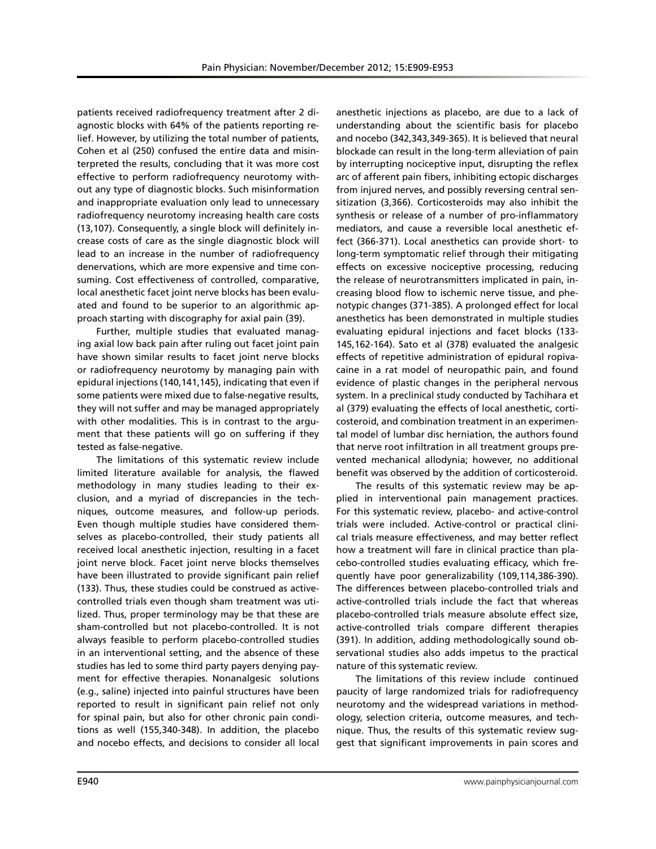patients received radiofrequency treatment after 2 diagnostic blocks with 64% of the patients reporting relief. However, by utilizing the total number of patients, Cohen et al (250) confused the entire data and misinterpreted the results, concluding that it was more cost effective to perform radiofrequency neurotomy without any type of diagnostic blocks. Such misinformation and inappropriate evaluation only lead to unnecessary radiofrequency neurotomy increasing health care costs (13,107). Consequently, a single block will definitely increase costs of care as the single diagnostic block will lead to an increase in the number of radiofrequency denervations, which are more expensive and time consuming. Cost effectiveness of controlled, comparative, local anesthetic facet joint nerve blocks has been evaluated and found to be superior to an algorithmic approach starting with discography for axial pain (39).

Further, multiple studies that evaluated managing axial low back pain after ruling out facet joint pain have shown similar results to facet joint nerve blocks or radiofrequency neurotomy by managing pain with epidural injections (140,141,145), indicating that even if some patients were mixed due to false-negative results, they will not suffer and may be managed appropriately with other modalities. This is in contrast to the argument that these patients will go on suffering if they tested as false-negative.

The limitations of this systematic review include limited literature available for analysis, the flawed methodology in many studies leading to their exclusion, and a myriad of discrepancies in the techniques, outcome measures, and follow-up periods. Even though multiple studies have considered themselves as placebo-controlled, their study patients all received local anesthetic injection, resulting in a facet joint nerve block. Facet joint nerve blocks themselves have been illustrated to provide significant pain relief (133). Thus, these studies could be construed as activecontrolled trials even though sham treatment was utilized. Thus, proper terminology may be that these are sham-controlled but not placebo-controlled. It is not always feasible to perform placebo-controlled studies in an interventional setting, and the absence of these studies has led to some third party payers denying payment for effective therapies. Nonanalgesic solutions (e.g., saline) injected into painful structures have been reported to result in significant pain relief not only for spinal pain, but also for other chronic pain conditions as well (155,340-348). In addition, the placebo and nocebo effects, and decisions to consider all local

anesthetic injections as placebo, are due to a lack of understanding about the scientific basis for placebo and nocebo (342,343,349-365). It is believed that neural blockade can result in the long-term alleviation of pain by interrupting nociceptive input, disrupting the reflex arc of afferent pain fibers, inhibiting ectopic discharges from injured nerves, and possibly reversing central sensitization (3,366). Corticosteroids may also inhibit the synthesis or release of a number of pro-inflammatory mediators, and cause a reversible local anesthetic effect (366-371). Local anesthetics can provide short- to long-term symptomatic relief through their mitigating effects on excessive nociceptive processing, reducing the release of neurotransmitters implicated in pain, increasing blood flow to ischemic nerve tissue, and phenotypic changes (371-385). A prolonged effect for local anesthetics has been demonstrated in multiple studies evaluating epidural injections and facet blocks (133- 145,162-164). Sato et al (378) evaluated the analgesic effects of repetitive administration of epidural ropivacaine in a rat model of neuropathic pain, and found evidence of plastic changes in the peripheral nervous system. In a preclinical study conducted by Tachihara et al (379) evaluating the effects of local anesthetic, corticosteroid, and combination treatment in an experimental model of lumbar disc herniation, the authors found that nerve root infiltration in all treatment groups prevented mechanical allodynia; however, no additional benefit was observed by the addition of corticosteroid.

The results of this systematic review may be applied in interventional pain management practices. For this systematic review, placebo- and active-control trials were included. Active-control or practical clinical trials measure effectiveness, and may better reflect how a treatment will fare in clinical practice than placebo-controlled studies evaluating efficacy, which frequently have poor generalizability (109,114,386-390). The differences between placebo-controlled trials and active-controlled trials include the fact that whereas placebo-controlled trials measure absolute effect size, active-controlled trials compare different therapies (391). In addition, adding methodologically sound observational studies also adds impetus to the practical nature of this systematic review.

The limitations of this review include continued paucity of large randomized trials for radiofrequency neurotomy and the widespread variations in methodology, selection criteria, outcome measures, and technique. Thus, the results of this systematic review suggest that significant improvements in pain scores and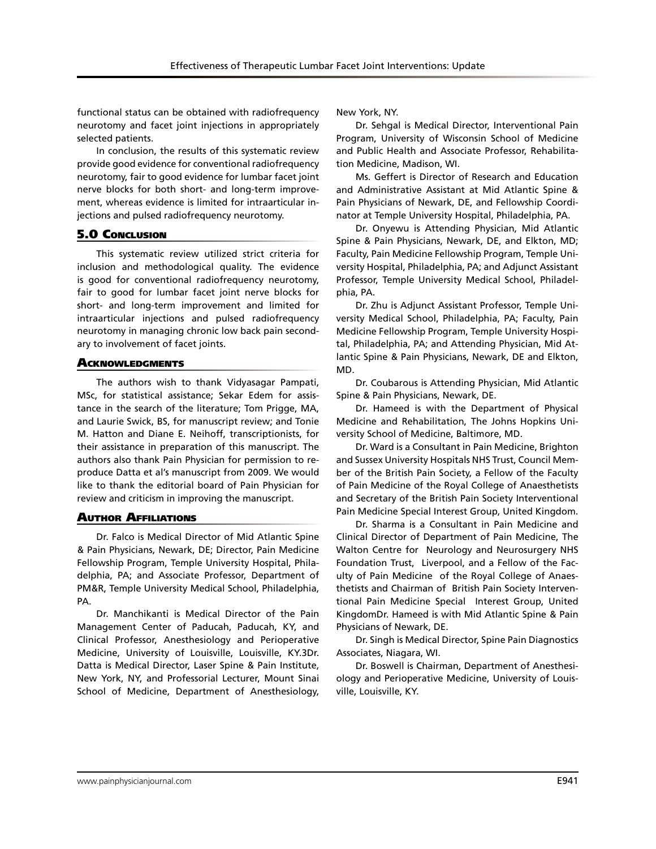functional status can be obtained with radiofrequency neurotomy and facet joint injections in appropriately selected patients.

In conclusion, the results of this systematic review provide good evidence for conventional radiofrequency neurotomy, fair to good evidence for lumbar facet joint nerve blocks for both short- and long-term improvement, whereas evidence is limited for intraarticular injections and pulsed radiofrequency neurotomy.

# 5.0 Conclusion

This systematic review utilized strict criteria for inclusion and methodological quality. The evidence is good for conventional radiofrequency neurotomy, fair to good for lumbar facet joint nerve blocks for short- and long-term improvement and limited for intraarticular injections and pulsed radiofrequency neurotomy in managing chronic low back pain secondary to involvement of facet joints.

# **ACKNOWLEDGMENTS**

The authors wish to thank Vidyasagar Pampati, MSc, for statistical assistance; Sekar Edem for assistance in the search of the literature; Tom Prigge, MA, and Laurie Swick, BS, for manuscript review; and Tonie M. Hatton and Diane E. Neihoff, transcriptionists, for their assistance in preparation of this manuscript. The authors also thank Pain Physician for permission to reproduce Datta et al's manuscript from 2009. We would like to thank the editorial board of Pain Physician for review and criticism in improving the manuscript.

# Author Affiliations

Dr. Falco is Medical Director of Mid Atlantic Spine & Pain Physicians, Newark, DE; Director, Pain Medicine Fellowship Program, Temple University Hospital, Philadelphia, PA; and Associate Professor, Department of PM&R, Temple University Medical School, Philadelphia, PA.

Dr. Manchikanti is Medical Director of the Pain Management Center of Paducah, Paducah, KY, and Clinical Professor, Anesthesiology and Perioperative Medicine, University of Louisville, Louisville, KY.3Dr. Datta is Medical Director, Laser Spine & Pain Institute, New York, NY, and Professorial Lecturer, Mount Sinai School of Medicine, Department of Anesthesiology, New York, NY.

Dr. Sehgal is Medical Director, Interventional Pain Program, University of Wisconsin School of Medicine and Public Health and Associate Professor, Rehabilitation Medicine, Madison, WI.

Ms. Geffert is Director of Research and Education and Administrative Assistant at Mid Atlantic Spine & Pain Physicians of Newark, DE, and Fellowship Coordinator at Temple University Hospital, Philadelphia, PA.

Dr. Onyewu is Attending Physician, Mid Atlantic Spine & Pain Physicians, Newark, DE, and Elkton, MD; Faculty, Pain Medicine Fellowship Program, Temple University Hospital, Philadelphia, PA; and Adjunct Assistant Professor, Temple University Medical School, Philadelphia, PA.

Dr. Zhu is Adjunct Assistant Professor, Temple University Medical School, Philadelphia, PA; Faculty, Pain Medicine Fellowship Program, Temple University Hospital, Philadelphia, PA; and Attending Physician, Mid Atlantic Spine & Pain Physicians, Newark, DE and Elkton, MD.

Dr. Coubarous is Attending Physician, Mid Atlantic Spine & Pain Physicians, Newark, DE.

Dr. Hameed is with the Department of Physical Medicine and Rehabilitation, The Johns Hopkins University School of Medicine, Baltimore, MD.

Dr. Ward is a Consultant in Pain Medicine, Brighton and Sussex University Hospitals NHS Trust, Council Member of the British Pain Society, a Fellow of the Faculty of Pain Medicine of the Royal College of Anaesthetists and Secretary of the British Pain Society Interventional Pain Medicine Special Interest Group, United Kingdom.

Dr. Sharma is a Consultant in Pain Medicine and Clinical Director of Department of Pain Medicine, The Walton Centre for Neurology and Neurosurgery NHS Foundation Trust, Liverpool, and a Fellow of the Faculty of Pain Medicine of the Royal College of Anaesthetists and Chairman of British Pain Society Interventional Pain Medicine Special Interest Group, United KingdomDr. Hameed is with Mid Atlantic Spine & Pain Physicians of Newark, DE.

Dr. Singh is Medical Director, Spine Pain Diagnostics Associates, Niagara, WI.

Dr. Boswell is Chairman, Department of Anesthesiology and Perioperative Medicine, University of Louisville, Louisville, KY.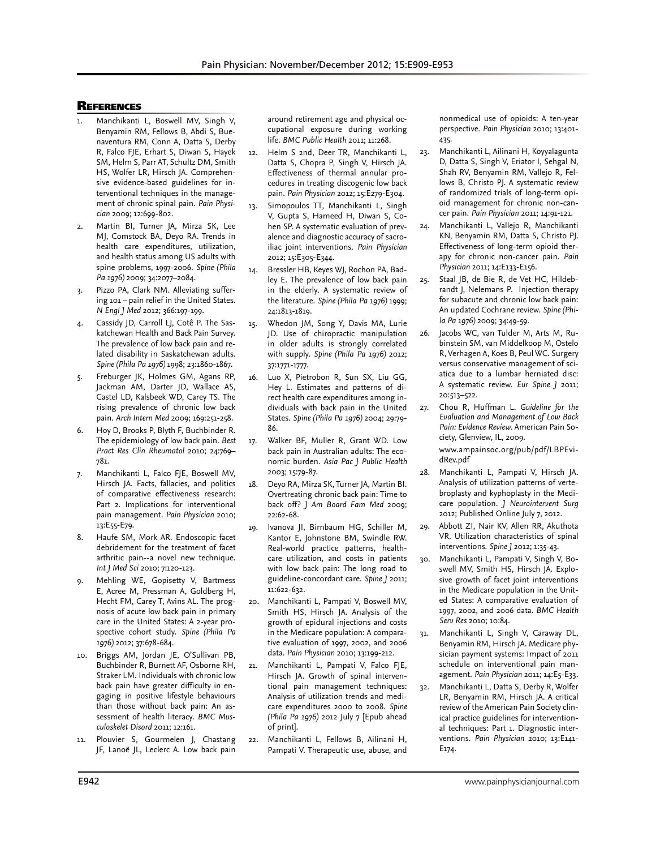### **REFERENCES**

- Manchikanti L, Boswell MV, Singh V, Benyamin RM, Fellows B, Abdi S, Buenaventura RM, Conn A, Datta S, Derby R, Falco FJE, Erhart S, Diwan S, Hayek SM, Helm S, Parr AT, Schultz DM, Smith HS, Wolfer LR, Hirsch JA. Comprehensive evidence-based guidelines for interventional techniques in the management of chronic spinal pain. *Pain Physician* 2009; 12:699-802.
- 2. Martin BI, Turner JA, Mirza SK, Lee MJ, Comstock BA, Deyo RA. Trends in health care expenditures, utilization, and health status among US adults with spine problems, 1997-2006. *Spine (Phila Pa 1976)* 2009; 34:2077–2084.
- Pizzo PA, Clark NM. Alleviating suffering 101 – pain relief in the United States. *N Engl J Med* 2012; 366:197-199.
- Cassidy JD, Carroll LJ, Cotê P. The Saskatchewan Health and Back Pain Survey. The prevalence of low back pain and related disability in Saskatchewan adults. *Spine (Phila Pa 1976)* 1998; 23:1860-1867.
- 5. Freburger JK, Holmes GM, Agans RP, Jackman AM, Darter JD, Wallace AS, Castel LD, Kalsbeek WD, Carey TS. The rising prevalence of chronic low back pain. *Arch Intern Med* 2009; 169:251-258.
- 6. Hoy D, Brooks P, Blyth F, Buchbinder R. The epidemiology of low back pain. *Best Pract Res Clin Rheumatol* 2010; 24:769– 781.
- 7. Manchikanti L, Falco FJE, Boswell MV, Hirsch JA. Facts, fallacies, and politics of comparative effectiveness research: Part 2. Implications for interventional pain management. *Pain Physician* 2010; 13:E55-E79.
- Haufe SM, Mork AR. Endoscopic facet debridement for the treatment of facet arthritic pain--a novel new technique. *Int J Med Sci* 2010; 7:120-123.
- Mehling WE, Gopisetty V, Bartmess E, Acree M, Pressman A, Goldberg H, Hecht FM, Carey T, Avins AL. The prognosis of acute low back pain in primary care in the United States: A 2-year prospective cohort study. *Spine (Phila Pa 1976)* 2012; 37:678-684.
- 10. Briggs AM, Jordan JE, O'Sullivan PB, Buchbinder R, Burnett AF, Osborne RH, Straker LM. Individuals with chronic low back pain have greater difficulty in engaging in positive lifestyle behaviours than those without back pain: An assessment of health literacy. *BMC Musculoskelet Disord* 2011; 12:161.
- 11. Plouvier S, Gourmelen J, Chastang JF, Lanoë JL, Leclerc A. Low back pain

around retirement age and physical occupational exposure during working life. *BMC Public Health* 2011; 11:268.

- 12. Helm S 2nd, Deer TR, Manchikanti L, Datta S, Chopra P, Singh V, Hirsch JA. Effectiveness of thermal annular procedures in treating discogenic low back pain. *Pain Physician* 2012; 15:E279-E304.
- 13. Simopoulos TT, Manchikanti L, Singh V, Gupta S, Hameed H, Diwan S, Cohen SP. A systematic evaluation of prevalence and diagnostic accuracy of sacroiliac joint interventions. *Pain Physician*  2012; 15:E305-E344.
- 14. Bressler HB, Keyes WJ, Rochon PA, Badley E. The prevalence of low back pain in the elderly. A systematic review of the literature. *Spine (Phila Pa 1976)* 1999; 24:1813-1819.
- 15. Whedon JM, Song Y, Davis MA, Lurie JD. Use of chiropractic manipulation in older adults is strongly correlated with supply. *Spine (Phila Pa 1976)* 2012; 37:1771-1777.
- 16. Luo X, Pietrobon R, Sun SX, Liu GG, Hey L. Estimates and patterns of direct health care expenditures among individuals with back pain in the United States. *Spine (Phila Pa 1976)* 2004; 29:79- 86.
- 17. Walker BF, Muller R, Grant WD. Low back pain in Australian adults: The economic burden. *Asia Pac J Public Health*  2003; 15:79-87.
- 18. Deyo RA, Mirza SK, Turner JA, Martin BI. Overtreating chronic back pain: Time to back off? *J Am Board Fam Med* 2009; 22:62-68.
- 19. Ivanova JI, Birnbaum HG, Schiller M, Kantor E, Johnstone BM, Swindle RW. Real-world practice patterns, healthcare utilization, and costs in patients with low back pain: The long road to guideline-concordant care. *Spine J* 2011; 11:622-632.
- 20. Manchikanti L, Pampati V, Boswell MV, Smith HS, Hirsch JA. Analysis of the growth of epidural injections and costs in the Medicare population: A comparative evaluation of 1997, 2002, and 2006 data. *Pain Physician* 2010; 13:199-212.
- 21. Manchikanti L, Pampati V, Falco FJE, Hirsch JA. Growth of spinal interventional pain management techniques: Analysis of utilization trends and medicare expenditures 2000 to 2008. *Spine (Phila Pa 1976)* 2012 July 7 [Epub ahead of print].
- 22. Manchikanti L, Fellows B, Ailinani H, Pampati V. Therapeutic use, abuse, and

nonmedical use of opioids: A ten-year perspective. *Pain Physician* 2010; 13:401- 435.

- 23. Manchikanti L, Ailinani H, Koyyalagunta D, Datta S, Singh V, Eriator I, Sehgal N, Shah RV, Benyamin RM, Vallejo R, Fellows B, Christo PJ. A systematic review of randomized trials of long-term opioid management for chronic non-cancer pain. *Pain Physician* 2011; 14:91-121.
- 24. Manchikanti L, Vallejo R, Manchikanti KN, Benyamin RM, Datta S, Christo PJ. Effectiveness of long-term opioid therapy for chronic non-cancer pain. *Pain Physician* 2011; 14:E133-E156.
- 25. Staal JB, de Bie R, de Vet HC, Hildebrandt J, Nelemans P. Injection therapy for subacute and chronic low back pain: An updated Cochrane review. *Spine (Phila Pa 1976)* 2009; 34:49-59.
- 26. Jacobs WC, van Tulder M, Arts M, Rubinstein SM, van Middelkoop M, Ostelo R, Verhagen A, Koes B, Peul WC. Surgery versus conservative management of sciatica due to a lumbar herniated disc: A systematic review. *Eur Spine J* 2011; 20:513–522.
- 27. Chou R, Huffman L. *Guideline for the Evaluation and Management of Low Back Pain: Evidence Review*. American Pain Society, Glenview, IL, 2009.

www.ampainsoc.org/pub/pdf/LBPEvidRev.pdf

- 28. Manchikanti L, Pampati V, Hirsch JA. Analysis of utilization patterns of vertebroplasty and kyphoplasty in the Medicare population. *J Neurointervent Surg* 2012; Published Online July 7, 2012.
- 29. Abbott ZI, Nair KV, Allen RR, Akuthota VR. Utilization characteristics of spinal interventions. *Spine J* 2012; 1:35-43.
- 30. Manchikanti L, Pampati V, Singh V, Boswell MV, Smith HS, Hirsch JA. Explosive growth of facet joint interventions in the Medicare population in the United States: A comparative evaluation of 1997, 2002, and 2006 data. *BMC Health Serv Res* 2010; 10:84.
- 31. Manchikanti L, Singh V, Caraway DL, Benyamin RM, Hirsch JA. Medicare physician payment systems: Impact of 2011 schedule on interventional pain management. *Pain Physician* 2011; 14:E5-E33.
- 32. Manchikanti L, Datta S, Derby R, Wolfer LR, Benyamin RM, Hirsch JA. A critical review of the American Pain Society clinical practice guidelines for interventional techniques: Part 1. Diagnostic interventions. *Pain Physician* 2010; 13:E141- E174.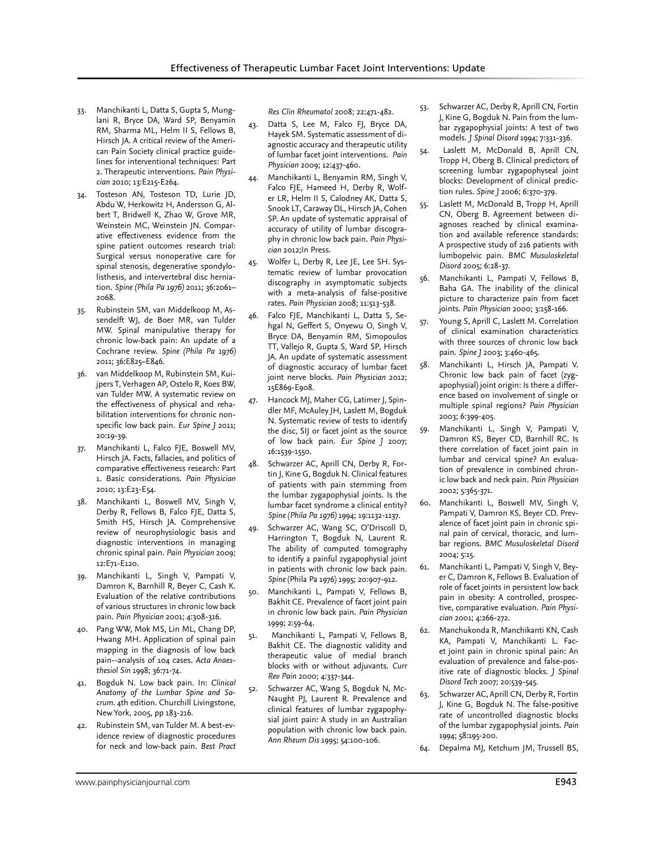- 33. Manchikanti L, Datta S, Gupta S, Munglani R, Bryce DA, Ward SP, Benyamin RM, Sharma ML, Helm II S, Fellows B, Hirsch JA. A critical review of the American Pain Society clinical practice guidelines for interventional techniques: Part 2. Therapeutic interventions. *Pain Physician* 2010; 13:E215-E264.
- 34. Tosteson AN, Tosteson TD, Lurie JD, Abdu W, Herkowitz H, Andersson G, Albert T, Bridwell K, Zhao W, Grove MR, Weinstein MC, Weinstein JN. Comparative effectiveness evidence from the spine patient outcomes research trial: Surgical versus nonoperative care for spinal stenosis, degenerative spondylolisthesis, and intervertebral disc herniation. *Spine (Phila Pa 1976)* 2011; 36:2061– 2068.
- 35. Rubinstein SM, van Middelkoop M, Assendelft WJ, de Boer MR, van Tulder MW. Spinal manipulative therapy for chronic low-back pain: An update of a Cochrane review. *Spine (Phila Pa 1976)* 2011; 36:E825–E846.
- 36. van Middelkoop M, Rubinstein SM, Kuijpers T, Verhagen AP, Ostelo R, Koes BW, van Tulder MW. A systematic review on the effectiveness of physical and rehabilitation interventions for chronic nonspecific low back pain. *Eur Spine J* 2011; 20:19-39.
- 37. Manchikanti L, Falco FJE, Boswell MV, Hirsch JA. Facts, fallacies, and politics of comparative effectiveness research: Part 1. Basic considerations. *Pain Physician* 2010; 13:E23-E54.
- 38. Manchikanti L, Boswell MV, Singh V, Derby R, Fellows B, Falco FJE, Datta S, Smith HS, Hirsch JA. Comprehensive review of neurophysiologic basis and diagnostic interventions in managing chronic spinal pain. *Pain Physician* 2009; 12:E71-E120.
- 39. Manchikanti L, Singh V, Pampati V, Damron K, Barnhill R, Beyer C, Cash K. Evaluation of the relative contributions of various structures in chronic low back pain. *Pain Physician* 2001; 4:308-316.
- 40. Pang WW, Mok MS, Lin ML, Chang DP, Hwang MH. Application of spinal pain mapping in the diagnosis of low back pain--analysis of 104 cases. *Acta Anaesthesiol Sin* 1998; 36:71-74.
- 41. Bogduk N. Low back pain. In: *Clinical Anatomy of the Lumbar Spine and Sacrum*. 4th edition. Churchill Livingstone, New York, 2005, pp 183-216.
- 42. Rubinstein SM, van Tulder M. A best-evidence review of diagnostic procedures for neck and low-back pain. *Best Pract*

*Res Clin Rheumatol* 2008; 22:471-482.

- 43. Datta S, Lee M, Falco FJ, Bryce DA, Hayek SM. Systematic assessment of diagnostic accuracy and therapeutic utility of lumbar facet joint interventions. *Pain Physician* 2009; 12:437-460.
- 44. Manchikanti L, Benyamin RM, Singh V, Falco FJE, Hameed H, Derby R, Wolfer LR, Helm II S, Calodney AK, Datta S, Snook LT, Caraway DL, Hirsch JA, Cohen SP. An update of systematic appraisal of accuracy of utility of lumbar discography in chronic low back pain. *Pain Physician* 2012;In Press.
- 45. Wolfer L, Derby R, Lee JE, Lee SH. Systematic review of lumbar provocation discography in asymptomatic subjects with a meta-analysis of false-positive rates. *Pain Physician* 2008; 11:513-538.
- 46. Falco FJE, Manchikanti L, Datta S, Sehgal N, Geffert S, Onyewu O, Singh V, Bryce DA, Benyamin RM, Simopoulos TT, Vallejo R, Gupta S, Ward SP, Hirsch JA. An update of systematic assessment of diagnostic accuracy of lumbar facet joint nerve blocks. *Pain Physician* 2012; 15E869-E908.
- 47. Hancock MJ, Maher CG, Latimer J, Spindler MF, McAuley JH, Laslett M, Bogduk N. Systematic review of tests to identify the disc, SIJ or facet joint as the source of low back pain. *Eur Spine J* 2007; 16:1539-1550.
- 48. Schwarzer AC, Aprill CN, Derby R, Fortin J, Kine G, Bogduk N. Clinical features of patients with pain stemming from the lumbar zygapophysial joints. Is the lumbar facet syndrome a clinical entity? *Spine (Phila Pa 1976)* 1994; 19:1132-1137.
- Schwarzer AC, Wang SC, O'Driscoll D, Harrington T, Bogduk N, Laurent R. The ability of computed tomography to identify a painful zygapophysial joint in patients with chronic low back pain. *Spine* (Phila Pa 1976) 1995; 20:907-912.
- 50. Manchikanti L, Pampati V, Fellows B, Bakhit CE. Prevalence of facet joint pain in chronic low back pain. *Pain Physician*  1999; 2:59-64.
- 51. Manchikanti L, Pampati V, Fellows B, Bakhit CE. The diagnostic validity and therapeutic value of medial branch blocks with or without adjuvants. *Curr Rev Pain* 2000; 4:337-344.
- 52. Schwarzer AC, Wang S, Bogduk N, Mc-Naught PJ, Laurent R. Prevalence and clinical features of lumbar zygapophysial joint pain: A study in an Australian population with chronic low back pain. *Ann Rheum Dis* 1995; 54:100-106.
- 53. Schwarzer AC, Derby R, Aprill CN, Fortin J, Kine G, Bogduk N. Pain from the lumbar zygapophysial joints: A test of two models. *J Spinal Disord* 1994; 7:331-336.
- 54. Laslett M, McDonald B, Aprill CN, Tropp H, Oberg B. Clinical predictors of screening lumbar zygapophyseal joint blocks: Development of clinical prediction rules. *Spine J* 2006; 6:370-379.
- 55. Laslett M, McDonald B, Tropp H, Aprill CN, Oberg B. Agreement between diagnoses reached by clinical examination and available reference standards: A prospective study of 216 patients with lumbopelvic pain. *BMC Musuloskeletal Disord* 2005; 6:28-37.
- 56. Manchikanti L, Pampati V, Fellows B, Baha GA. The inability of the clinical picture to characterize pain from facet joints. *Pain Physician* 2000; 3:158-166.
- 57. Young S, Aprill C, Laslett M. Correlation of clinical examination characteristics with three sources of chronic low back pain. *Spine J* 2003; 3:460-465.
- 58. Manchikanti L, Hirsch JA, Pampati V. Chronic low back pain of facet (zygapophysial) joint origin: Is there a difference based on involvement of single or multiple spinal regions? *Pain Physician* 2003; 6:399-405.
- 59. Manchikanti L, Singh V, Pampati V, Damron KS, Beyer CD, Barnhill RC. Is there correlation of facet joint pain in lumbar and cervical spine? An evaluation of prevalence in combined chronic low back and neck pain. *Pain Physician* 2002; 5:365-371.
- 60. Manchikanti L, Boswell MV, Singh V, Pampati V, Damron KS, Beyer CD. Prevalence of facet joint pain in chronic spinal pain of cervical, thoracic, and lumbar regions. *BMC Musuloskeletal Disord* 2004; 5:15.
- 61. Manchikanti L, Pampati V, Singh V, Beyer C, Damron K, Fellows B. Evaluation of role of facet joints in persistent low back pain in obesity: A controlled, prospective, comparative evaluation. *Pain Physician* 2001; 4:266-272.
- 62. Manchukonda R, Manchikanti KN, Cash KA, Pampati V, Manchikanti L. Facet joint pain in chronic spinal pain: An evaluation of prevalence and false-positive rate of diagnostic blocks. *J Spinal Disord Tech* 2007; 20:539-545.
- 63. Schwarzer AC, Aprill CN, Derby R, Fortin J, Kine G, Bogduk N. The false-positive rate of uncontrolled diagnostic blocks of the lumbar zygapophysial joints. *Pain* 1994; 58:195-200.
- 64. Depalma MJ, Ketchum JM, Trussell BS,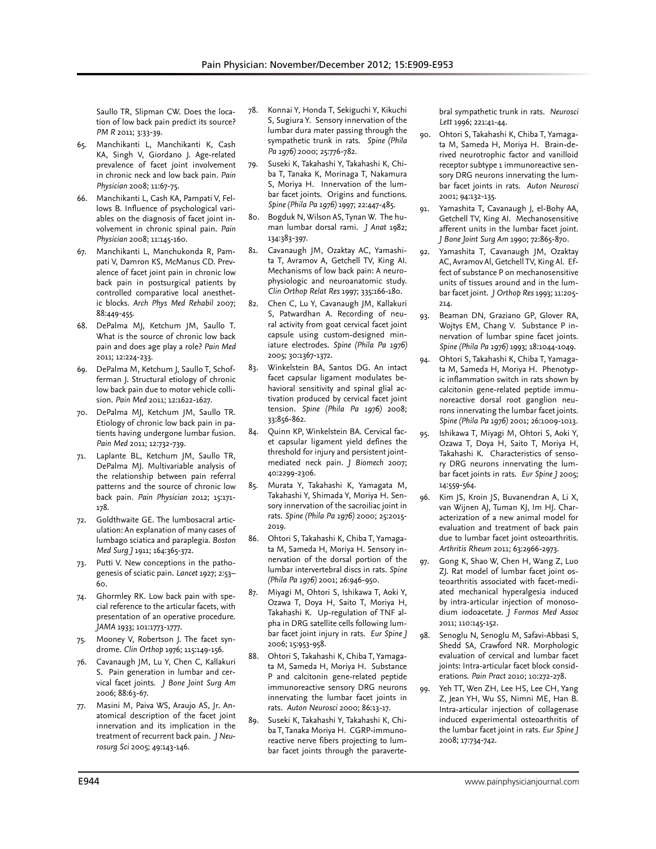Saullo TR, Slipman CW. Does the location of low back pain predict its source? *PM R* 2011; 3:33-39.

- 65. Manchikanti L, Manchikanti K, Cash KA, Singh V, Giordano J. Age-related prevalence of facet joint involvement in chronic neck and low back pain. *Pain Physician* 2008; 11:67-75.
- 66. Manchikanti L, Cash KA, Pampati V, Fellows B. Influence of psychological variables on the diagnosis of facet joint involvement in chronic spinal pain. *Pain Physician* 2008; 11:145-160.
- 67. Manchikanti L, Manchukonda R, Pampati V, Damron KS, McManus CD. Prevalence of facet joint pain in chronic low back pain in postsurgical patients by controlled comparative local anesthetic blocks. *Arch Phys Med Rehabil* 2007; 88:449-455.
- 68. DePalma MJ, Ketchum JM, Saullo T. What is the source of chronic low back pain and does age play a role? *Pain Med* 2011; 12:224-233.
- 69. DePalma M, Ketchum J, Saullo T, Schofferman J. Structural etiology of chronic low back pain due to motor vehicle collision. *Pain Med* 2011; 12:1622-1627.
- 70. DePalma MJ, Ketchum JM, Saullo TR. Etiology of chronic low back pain in patients having undergone lumbar fusion. *Pain Med* 2011; 12:732-739.
- 71. Laplante BL, Ketchum JM, Saullo TR, DePalma MJ. Multivariable analysis of the relationship between pain referral patterns and the source of chronic low back pain. *Pain Physician* 2012; 15:171- 178.
- 72. Goldthwaite GE. The lumbosacral articulation: An explanation of many cases of lumbago sciatica and paraplegia. *Boston Med Surg J* 1911; 164:365-372.
- 73. Putti V. New conceptions in the pathogenesis of sciatic pain. *Lancet* 1927; 2:53– 60.
- 74. Ghormley RK. Low back pain with special reference to the articular facets, with presentation of an operative procedure. *JAMA* 1933; 101:1773-1777.
- 75. Mooney V, Robertson J. The facet syndrome. *Clin Orthop* 1976; 115:149-156.
- 76. Cavanaugh JM, Lu Y, Chen C, Kallakuri S. Pain generation in lumbar and cervical facet joints. *J Bone Joint Surg Am*  2006; 88:63-67.
- 77. Masini M, Paiva WS, Araujo AS, Jr. Anatomical description of the facet joint innervation and its implication in the treatment of recurrent back pain. *J Neurosurg Sci* 2005; 49:143-146.
- 78. Konnai Y, Honda T, Sekiguchi Y, Kikuchi S, Sugiura Y. Sensory innervation of the lumbar dura mater passing through the sympathetic trunk in rats. *Spine (Phila Pa 1976)* 2000; 25:776-782.
- 79. Suseki K, Takahashi Y, Takahashi K, Chiba T, Tanaka K, Morinaga T, Nakamura S, Moriya H. Innervation of the lumbar facet joints. Origins and functions. *Spine (Phila Pa 1976)* 1997; 22:447-485.
- Bogduk N, Wilson AS, Tynan W. The human lumbar dorsal rami. *J Anat* 1982; 134:383-397.
- 81. Cavanaugh JM, Ozaktay AC, Yamashita T, Avramov A, Getchell TV, King AI. Mechanisms of low back pain: A neurophysiologic and neuroanatomic study. *Clin Orthop Relat Res* 1997; 335:166-180.
- 82. Chen C, Lu Y, Cavanaugh JM, Kallakuri S, Patwardhan A. Recording of neural activity from goat cervical facet joint capsule using custom-designed miniature electrodes. *Spine (Phila Pa 1976)* 2005; 30:1367-1372.
- 83. Winkelstein BA, Santos DG. An intact facet capsular ligament modulates behavioral sensitivity and spinal glial activation produced by cervical facet joint tension. *Spine (Phila Pa 1976)* 2008; 33:856-862.
- 84. Quinn KP, Winkelstein BA. Cervical facet capsular ligament yield defines the threshold for injury and persistent jointmediated neck pain. *J Biomech* 2007; 40:2299-2306.
- 85. Murata Y, Takahashi K, Yamagata M, Takahashi Y, Shimada Y, Moriya H. Sensory innervation of the sacroiliac joint in rats. *Spine (Phila Pa 1976)* 2000; 25:2015- 2019.
- 86. Ohtori S, Takahashi K, Chiba T, Yamagata M, Sameda H, Moriya H. Sensory innervation of the dorsal portion of the lumbar intervertebral discs in rats. *Spine (Phila Pa 1976)* 2001; 26:946-950.
- 87. Miyagi M, Ohtori S, Ishikawa T, Aoki Y, Ozawa T, Doya H, Saito T, Moriya H, Takahashi K. Up-regulation of TNF alpha in DRG satellite cells following lumbar facet joint injury in rats. *Eur Spine J*  2006; 15:953-958.
- 88. Ohtori S, Takahashi K, Chiba T, Yamagata M, Sameda H, Moriya H. Substance P and calcitonin gene-related peptide immunoreactive sensory DRG neurons innervating the lumbar facet joints in rats. *Auton Neurosci* 2000; 86:13-17.
- 89. Suseki K, Takahashi Y, Takahashi K, Chiba T, Tanaka Moriya H. CGRP-immunoreactive nerve fibers projecting to lumbar facet joints through the paraverte-

bral sympathetic trunk in rats. *Neurosci Lett* 1996; 221:41-44.

- 90. Ohtori S, Takahashi K, Chiba T, Yamagata M, Sameda H, Moriya H. Brain-derived neurotrophic factor and vanilloid receptor subtype 1 immunoreactive sensory DRG neurons innervating the lumbar facet joints in rats. *Auton Neurosci* 2001; 94:132-135.
- 91. Yamashita T, Cavanaugh J, el-Bohy AA, Getchell TV, King AI. Mechanosensitive afferent units in the lumbar facet joint. *J Bone Joint Surg Am* 1990; 72:865-870.
- 92. Yamashita T, Cavanaugh JM, Ozaktay AC, Avramov Al, Getchell TV, King Al. Effect of substance P on mechanosensitive units of tissues around and in the lumbar facet joint. *J Orthop Res* 1993; 11:205- 214.
- 93. Beaman DN, Graziano GP, Glover RA, Wojtys EM, Chang V. Substance P innervation of lumbar spine facet joints. *Spine (Phila Pa 1976)* 1993; 18:1044-1049.
- 94. Ohtori S, Takahashi K, Chiba T, Yamagata M, Sameda H, Moriya H. Phenotypic inflammation switch in rats shown by calcitonin gene-related peptide immunoreactive dorsal root ganglion neurons innervating the lumbar facet joints. *Spine (Phila Pa 1976)* 2001; 26:1009-1013.
- 95. Ishikawa T, Miyagi M, Ohtori S, Aoki Y, Ozawa T, Doya H, Saito T, Moriya H, Takahashi K. Characteristics of sensory DRG neurons innervating the lumbar facet joints in rats. *Eur Spine J* 2005; 14:559-564.
- 96. Kim JS, Kroin JS, Buvanendran A, Li X, van Wijnen AJ, Tuman KJ, Im HJ. Characterization of a new animal model for evaluation and treatment of back pain due to lumbar facet joint osteoarthritis. *Arthritis Rheum* 2011; 63:2966-2973.
- 97. Gong K, Shao W, Chen H, Wang Z, Luo ZJ. Rat model of lumbar facet joint osteoarthritis associated with facet-mediated mechanical hyperalgesia induced by intra-articular injection of monosodium iodoacetate. *J Formos Med Assoc* 2011; 110:145-152.
- 98. Senoglu N, Senoglu M, Safavi-Abbasi S, Shedd SA, Crawford NR. Morphologic evaluation of cervical and lumbar facet joints: Intra-articular facet block considerations. *Pain Pract* 2010; 10:272-278.
- 99. Yeh TT, Wen ZH, Lee HS, Lee CH, Yang Z, Jean YH, Wu SS, Nimni ME, Han B. Intra-articular injection of collagenase induced experimental osteoarthritis of the lumbar facet joint in rats. *Eur Spine J* 2008; 17:734-742.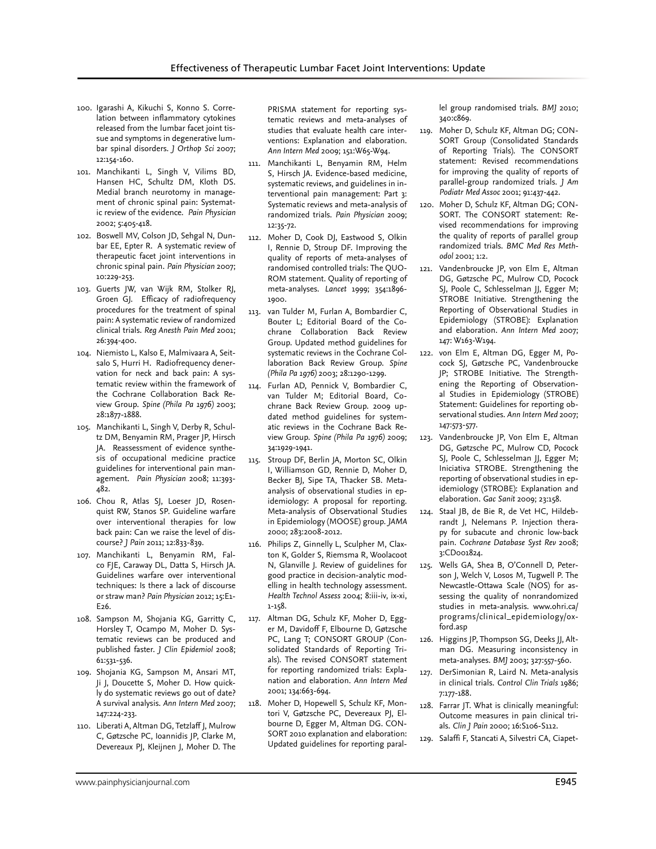- 100. Igarashi A, Kikuchi S, Konno S. Correlation between inflammatory cytokines released from the lumbar facet joint tissue and symptoms in degenerative lumbar spinal disorders. *J Orthop Sci* 2007; 12:154-160.
- 101. Manchikanti L, Singh V, Vilims BD, Hansen HC, Schultz DM, Kloth DS. Medial branch neurotomy in management of chronic spinal pain: Systematic review of the evidence. *Pain Physician* 2002; 5:405-418.
- 102. Boswell MV, Colson JD, Sehgal N, Dunbar EE, Epter R. A systematic review of therapeutic facet joint interventions in chronic spinal pain. *Pain Physician* 2007; 10:229-253.
- 103. Guerts JW, van Wijk RM, Stolker RJ, Groen GJ. Efficacy of radiofrequency procedures for the treatment of spinal pain: A systematic review of randomized clinical trials. *Reg Anesth Pain Med* 2001; 26:394-400.
- 104. Niemisto L, Kalso E, Malmivaara A, Seitsalo S, Hurri H. Radiofrequency denervation for neck and back pain: A systematic review within the framework of the Cochrane Collaboration Back Review Group. *Spine (Phila Pa 1976)* 2003; 28:1877-1888.
- 105. Manchikanti L, Singh V, Derby R, Schultz DM, Benyamin RM, Prager JP, Hirsch JA. Reassessment of evidence synthesis of occupational medicine practice guidelines for interventional pain management. *Pain Physician* 2008; 11:393- 482.
- 106. Chou R, Atlas SJ, Loeser JD, Rosenquist RW, Stanos SP. Guideline warfare over interventional therapies for low back pain: Can we raise the level of discourse? *J Pain* 2011; 12:833-839.
- 107. Manchikanti L, Benyamin RM, Falco FJE, Caraway DL, Datta S, Hirsch JA. Guidelines warfare over interventional techniques: Is there a lack of discourse or straw man? *Pain Physician* 2012; 15:E1- E26.
- 108. Sampson M, Shojania KG, Garritty C, Horsley T, Ocampo M, Moher D. Systematic reviews can be produced and published faster. *J Clin Epidemiol* 2008; 61:531-536.
- 109. Shojania KG, Sampson M, Ansari MT, Ji J, Doucette S, Moher D. How quickly do systematic reviews go out of date? A survival analysis. *Ann Intern Med* 2007; 147:224-233.
- 110. Liberati A, Altman DG, Tetzlaff J, Mulrow C, Gøtzsche PC, Ioannidis JP, Clarke M, Devereaux PJ, Kleijnen J, Moher D. The

PRISMA statement for reporting systematic reviews and meta-analyses of studies that evaluate health care interventions: Explanation and elaboration. *Ann Intern Med* 2009; 151:W65-W94.

- 111. Manchikanti L, Benyamin RM, Helm S, Hirsch JA. Evidence-based medicine, systematic reviews, and guidelines in interventional pain management: Part 3: Systematic reviews and meta-analysis of randomized trials. *Pain Physician* 2009; 12:35-72.
- 112. Moher D, Cook DJ, Eastwood S, Olkin I, Rennie D, Stroup DF. Improving the quality of reports of meta-analyses of randomised controlled trials: The QUO-ROM statement. Quality of reporting of meta-analyses. *Lancet* 1999; 354:1896- 1900.
- 113. van Tulder M, Furlan A, Bombardier C, Bouter L; Editorial Board of the Cochrane Collaboration Back Review Group. Updated method guidelines for systematic reviews in the Cochrane Collaboration Back Review Group. *Spine (Phila Pa 1976)* 2003; 28:1290-1299.
- 114. Furlan AD, Pennick V, Bombardier C, van Tulder M; Editorial Board, Cochrane Back Review Group. 2009 updated method guidelines for systematic reviews in the Cochrane Back Review Group. *Spine (Phila Pa 1976)* 2009; 34:1929-1941.
- 115. Stroup DF, Berlin JA, Morton SC, Olkin I, Williamson GD, Rennie D, Moher D, Becker BJ, Sipe TA, Thacker SB. Metaanalysis of observational studies in epidemiology: A proposal for reporting. Meta-analysis of Observational Studies in Epidemiology (MOOSE) group. *JAMA*  2000; 283:2008-2012.
- 116. Philips Z, Ginnelly L, Sculpher M, Claxton K, Golder S, Riemsma R, Woolacoot N, Glanville J. Review of guidelines for good practice in decision-analytic modelling in health technology assessment. *Health Technol Assess* 2004; 8:iii-iv, ix-xi, 1-158.
- 117. Altman DG, Schulz KF, Moher D, Egger M, Davidoff F, Elbourne D, Gøtzsche PC, Lang T; CONSORT GROUP (Consolidated Standards of Reporting Trials). The revised CONSORT statement for reporting randomized trials: Explanation and elaboration. *Ann Intern Med*  2001; 134:663-694.
- 118. Moher D, Hopewell S, Schulz KF, Montori V, Gøtzsche PC, Devereaux PJ, Elbourne D, Egger M, Altman DG. CON-SORT 2010 explanation and elaboration: Updated guidelines for reporting paral-

lel group randomised trials. *BMJ* 2010; 340:c869.

- 119. Moher D, Schulz KF, Altman DG; CON-SORT Group (Consolidated Standards of Reporting Trials). The CONSORT statement: Revised recommendations for improving the quality of reports of parallel-group randomized trials. *J Am Podiatr Med Assoc* 2001; 91:437-442.
- 120. Moher D, Schulz KF, Altman DG; CON-SORT. The CONSORT statement: Revised recommendations for improving the quality of reports of parallel group randomized trials. *BMC Med Res Methodol* 2001; 1:2.
- 121. Vandenbroucke JP, von Elm E, Altman DG, Gøtzsche PC, Mulrow CD, Pocock SJ, Poole C, Schlesselman JJ, Egger M; STROBE Initiative. Strengthening the Reporting of Observational Studies in Epidemiology (STROBE): Explanation and elaboration. *Ann Intern Med* 2007; 147: W163-W194.
- 122. von Elm E, Altman DG, Egger M, Pocock SJ, Gøtzsche PC, Vandenbroucke JP; STROBE Initiative. The Strengthening the Reporting of Observational Studies in Epidemiology (STROBE) Statement: Guidelines for reporting observational studies. *Ann Intern Med* 2007; 147:573-577.
- 123. Vandenbroucke JP, Von Elm E, Altman DG, Gøtzsche PC, Mulrow CD, Pocock SJ, Poole C, Schlesselman JJ, Egger M; Iniciativa STROBE. Strengthening the reporting of observational studies in epidemiology (STROBE): Explanation and elaboration. *Gac Sanit* 2009; 23:158.
- 124. Staal JB, de Bie R, de Vet HC, Hildebrandt J, Nelemans P. Injection therapy for subacute and chronic low-back pain. *Cochrane Database Syst Rev* 2008; 3:CD001824.
- 125. Wells GA, Shea B, O'Connell D, Peterson J, Welch V, Losos M, Tugwell P. The Newcastle-Ottawa Scale (NOS) for assessing the quality of nonrandomized studies in meta-analysis. www.ohri.ca/ programs/clinical\_epidemiology/oxford.asp
- 126. Higgins JP, Thompson SG, Deeks JJ, Altman DG. Measuring inconsistency in meta-analyses. *BMJ* 2003; 327:557-560.
- 127. DerSimonian R, Laird N. Meta-analysis in clinical trials. *Control Clin Trials* 1986; 7:177-188.
- 128. Farrar JT. What is clinically meaningful: Outcome measures in pain clinical trials. *Clin J Pain* 2000; 16:S106-S112.
- 129. Salaffi F, Stancati A, Silvestri CA, Ciapet-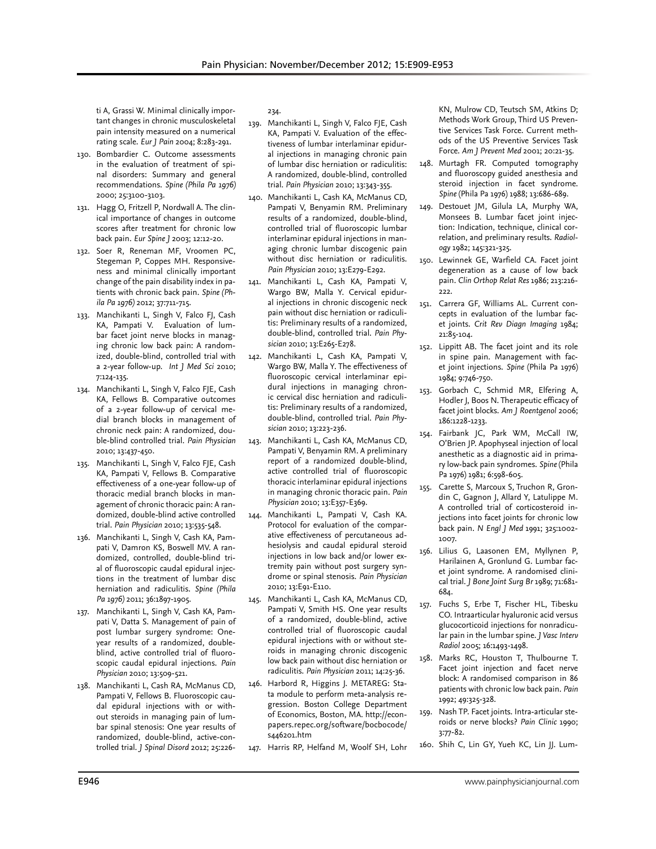ti A, Grassi W. Minimal clinically important changes in chronic musculoskeletal pain intensity measured on a numerical rating scale. *Eur J Pain* 2004; 8:283-291.

- 130. Bombardier C. Outcome assessments in the evaluation of treatment of spinal disorders: Summary and general recommendations. *Spine (Phila Pa 1976)*  2000; 25:3100-3103.
- 131. Hagg O, Fritzell P, Nordwall A. The clinical importance of changes in outcome scores after treatment for chronic low back pain. *Eur Spine J* 2003; 12:12-20.
- 132. Soer R, Reneman MF, Vroomen PC, Stegeman P, Coppes MH. Responsiveness and minimal clinically important change of the pain disability index in patients with chronic back pain. *Spine (Phila Pa 1976)* 2012; 37:711-715.
- 133. Manchikanti L, Singh V, Falco FJ, Cash KA, Pampati V. Evaluation of lumbar facet joint nerve blocks in managing chronic low back pain: A randomized, double-blind, controlled trial with a 2-year follow-up. *Int J Med Sci* 2010; 7:124-135.
- 134. Manchikanti L, Singh V, Falco FJE, Cash KA, Fellows B. Comparative outcomes of a 2-year follow-up of cervical medial branch blocks in management of chronic neck pain: A randomized, double-blind controlled trial. *Pain Physician* 2010; 13:437-450.
- 135. Manchikanti L, Singh V, Falco FJE, Cash KA, Pampati V, Fellows B. Comparative effectiveness of a one-year follow-up of thoracic medial branch blocks in management of chronic thoracic pain: A randomized, double-blind active controlled trial. *Pain Physician* 2010; 13:535-548.
- 136. Manchikanti L, Singh V, Cash KA, Pampati V, Damron KS, Boswell MV. A randomized, controlled, double-blind trial of fluoroscopic caudal epidural injections in the treatment of lumbar disc herniation and radiculitis. *Spine (Phila Pa 1976)* 2011; 36:1897-1905.
- 137. Manchikanti L, Singh V, Cash KA, Pampati V, Datta S. Management of pain of post lumbar surgery syndrome: Oneyear results of a randomized, doubleblind, active controlled trial of fluoroscopic caudal epidural injections. *Pain Physician* 2010; 13:509-521.
- 138. Manchikanti L, Cash RA, McManus CD, Pampati V, Fellows B. Fluoroscopic caudal epidural injections with or without steroids in managing pain of lumbar spinal stenosis: One year results of randomized, double-blind, active-controlled trial. *J Spinal Disord* 2012; 25:226-

234.

- 139. Manchikanti L, Singh V, Falco FJE, Cash KA, Pampati V. Evaluation of the effectiveness of lumbar interlaminar epidural injections in managing chronic pain of lumbar disc herniation or radiculitis: A randomized, double-blind, controlled trial. *Pain Physician* 2010; 13:343-355.
- 140. Manchikanti L, Cash KA, McManus CD, Pampati V, Benyamin RM. Preliminary results of a randomized, double-blind, controlled trial of fluoroscopic lumbar interlaminar epidural injections in managing chronic lumbar discogenic pain without disc herniation or radiculitis. *Pain Physician* 2010; 13:E279-E292.
- 141. Manchikanti L, Cash KA, Pampati V, Wargo BW, Malla Y. Cervical epidural injections in chronic discogenic neck pain without disc herniation or radiculitis: Preliminary results of a randomized, double-blind, controlled trial. *Pain Physician* 2010; 13:E265-E278.
- 142. Manchikanti L, Cash KA, Pampati V, Wargo BW, Malla Y. The effectiveness of fluoroscopic cervical interlaminar epidural injections in managing chronic cervical disc herniation and radiculitis: Preliminary results of a randomized, double-blind, controlled trial. *Pain Physician* 2010; 13:223-236.
- 143. Manchikanti L, Cash KA, McManus CD, Pampati V, Benyamin RM. A preliminary report of a randomized double-blind, active controlled trial of fluoroscopic thoracic interlaminar epidural injections in managing chronic thoracic pain. *Pain Physician* 2010; 13:E357-E369.
- 144. Manchikanti L, Pampati V, Cash KA. Protocol for evaluation of the comparative effectiveness of percutaneous adhesiolysis and caudal epidural steroid injections in low back and/or lower extremity pain without post surgery syndrome or spinal stenosis. *Pain Physician* 2010; 13:E91-E110.
- 145. Manchikanti L, Cash KA, McManus CD, Pampati V, Smith HS. One year results of a randomized, double-blind, active controlled trial of fluoroscopic caudal epidural injections with or without steroids in managing chronic discogenic low back pain without disc herniation or radiculitis. *Pain Physician* 2011; 14:25-36.
- 146. Harbord R, Higgins J. METAREG: Stata module to perform meta-analysis regression. Boston College Department of Economics, Boston, MA. http://econpapers.repec.org/software/bocbocode/ s446201.htm
- 147. Harris RP, Helfand M, Woolf SH, Lohr

KN, Mulrow CD, Teutsch SM, Atkins D; Methods Work Group, Third US Preventive Services Task Force. Current methods of the US Preventive Services Task Force. *Am J Prevent Med* 2001; 20:21-35.

- 148. Murtagh FR. Computed tomography and fluoroscopy guided anesthesia and steroid injection in facet syndrome. *Spine* (Phila Pa 1976) 1988; 13:686-689.
- 149. Destouet JM, Gilula LA, Murphy WA, Monsees B. Lumbar facet joint injection: Indication, technique, clinical correlation, and preliminary results. *Radiology* 1982; 145:321-325.
- 150. Lewinnek GE, Warfield CA. Facet joint degeneration as a cause of low back pain. *Clin Orthop Relat Res* 1986; 213:216- 222.
- 151. Carrera GF, Williams AL. Current concepts in evaluation of the lumbar facet joints. *Crit Rev Diagn Imaging* 1984; 21:85-104.
- 152. Lippitt AB. The facet joint and its role in spine pain. Management with facet joint injections. *Spine* (Phila Pa 1976) 1984; 9:746-750.
- 153. Gorbach C, Schmid MR, Elfering A, Hodler J, Boos N. Therapeutic efficacy of facet joint blocks. *Am J Roentgenol* 2006; 186:1228-1233.
- 154. Fairbank JC, Park WM, McCall IW, O'Brien JP. Apophyseal injection of local anesthetic as a diagnostic aid in primary low-back pain syndromes. *Spine* (Phila Pa 1976) 1981; 6:598-605.
- 155. Carette S, Marcoux S, Truchon R, Grondin C, Gagnon J, Allard Y, Latulippe M. A controlled trial of corticosteroid injections into facet joints for chronic low back pain. *N Engl J Med* 1991; 325:1002- 1007.
- 156. Lilius G, Laasonen EM, Myllynen P, Harilainen A, Gronlund G. Lumbar facet joint syndrome. A randomised clinical trial. *J Bone Joint Surg Br* 1989; 71:681- 684.
- 157. Fuchs S, Erbe T, Fischer HL, Tibesku CO. Intraarticular hyaluronic acid versus glucocorticoid injections for nonradicular pain in the lumbar spine. *J Vasc Interv Radiol* 2005; 16:1493-1498.
- 158. Marks RC, Houston T, Thulbourne T. Facet joint injection and facet nerve block: A randomised comparison in 86 patients with chronic low back pain. *Pain* 1992; 49:325-328.
- 159. Nash TP. Facet joints. Intra-articular steroids or nerve blocks? *Pain Clinic* 1990; 3:77-82.
- 160. Shih C, Lin GY, Yueh KC, Lin JJ. Lum-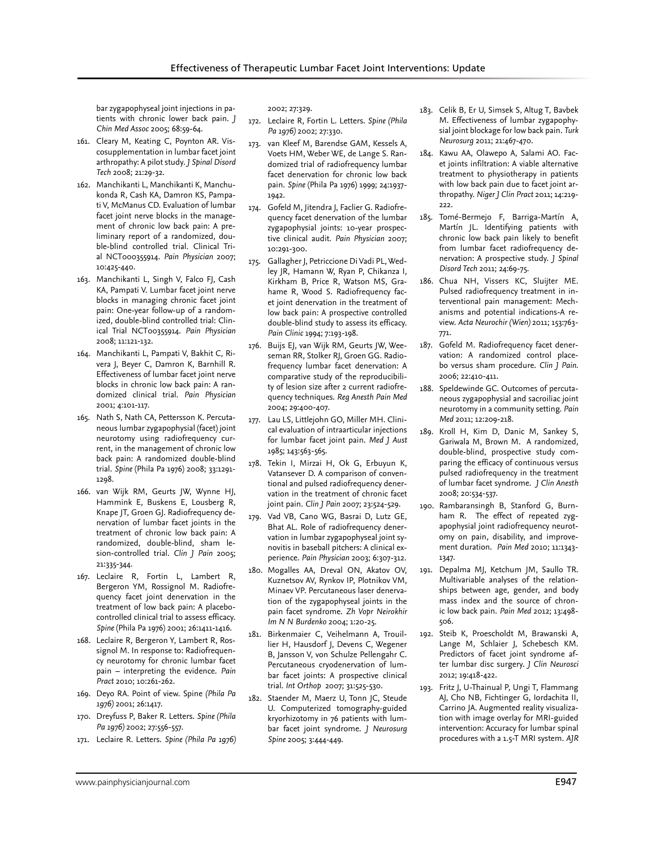bar zygapophyseal joint injections in patients with chronic lower back pain. *J Chin Med Assoc* 2005; 68:59-64.

- 161. Cleary M, Keating C, Poynton AR. Viscosupplementation in lumbar facet joint arthropathy: A pilot study. *J Spinal Disord Tech* 2008; 21:29-32.
- 162. Manchikanti L, Manchikanti K, Manchukonda R, Cash KA, Damron KS, Pampati V, McManus CD. Evaluation of lumbar facet joint nerve blocks in the management of chronic low back pain: A preliminary report of a randomized, double-blind controlled trial. Clinical Trial NCT000355914. *Pain Physician* 2007; 10:425-440.
- 163. Manchikanti L, Singh V, Falco FJ, Cash KA, Pampati V. Lumbar facet joint nerve blocks in managing chronic facet joint pain: One-year follow-up of a randomized, double-blind controlled trial: Clinical Trial NCT00355914. *Pain Physician* 2008; 11:121-132.
- 164. Manchikanti L, Pampati V, Bakhit C, Rivera J, Beyer C, Damron K, Barnhill R. Effectiveness of lumbar facet joint nerve blocks in chronic low back pain: A randomized clinical trial. *Pain Physician* 2001; 4:101-117.
- 165. Nath S, Nath CA, Pettersson K. Percutaneous lumbar zygapophysial (facet) joint neurotomy using radiofrequency current, in the management of chronic low back pain: A randomized double-blind trial. *Spine* (Phila Pa 1976) 2008; 33:1291- 1298.
- 166. van Wijk RM, Geurts JW, Wynne HJ, Hammink E, Buskens E, Lousberg R, Knape JT, Groen GJ. Radiofrequency denervation of lumbar facet joints in the treatment of chronic low back pain: A randomized, double-blind, sham lesion-controlled trial. *Clin J Pain* 2005; 21:335-344.
- 167. Leclaire R, Fortin L, Lambert R, Bergeron YM, Rossignol M. Radiofrequency facet joint denervation in the treatment of low back pain: A placebocontrolled clinical trial to assess efficacy. *Spine* (Phila Pa 1976) 2001; 26:1411-1416.
- 168. Leclaire R, Bergeron Y, Lambert R, Rossignol M. In response to: Radiofrequency neurotomy for chronic lumbar facet pain – interpreting the evidence. *Pain Pract* 2010; 10:261-262.
- 169. Deyo RA. Point of view. Spine *(Phila Pa 1976)* 2001; 26:1417.
- 170. Dreyfuss P, Baker R. Letters. *Spine (Phila Pa 1976)* 2002; 27:556-557.
- 171. Leclaire R. Letters. *Spine (Phila Pa 1976)*

2002; 27:329.

- 172. Leclaire R, Fortin L. Letters. *Spine (Phila Pa 1976)* 2002; 27:330.
- 173. van Kleef M, Barendse GAM, Kessels A, Voets HM, Weber WE, de Lange S. Randomized trial of radiofrequency lumbar facet denervation for chronic low back pain. *Spine* (Phila Pa 1976) 1999; 24:1937- 1942.
- 174. Gofeld M, Jitendra J, Faclier G. Radiofrequency facet denervation of the lumbar zygapophysial joints: 10-year prospective clinical audit. *Pain Physician* 2007; 10:291-300.
- 175. Gallagher J, Petriccione Di Vadi PL, Wedley JR, Hamann W, Ryan P, Chikanza I, Kirkham B, Price R, Watson MS, Grahame R, Wood S. Radiofrequency facet joint denervation in the treatment of low back pain: A prospective controlled double-blind study to assess its efficacy. *Pain Clinic* 1994; 7:193-198.
- 176. Buijs El, van Wijk RM, Geurts JW, Weeseman RR, Stolker RJ, Groen GG. Radiofrequency lumbar facet denervation: A comparative study of the reproducibility of lesion size after 2 current radiofrequency techniques. *Reg Anesth Pain Med* 2004; 29:400-407.
- 177. Lau LS, Littlejohn GO, Miller MH. Clinical evaluation of intraarticular injections for lumbar facet joint pain*. Med J Aust*  1985; 143:563-565.
- 178. Tekin I, Mirzai H, Ok G, Erbuyun K, Vatansever D. A comparison of conventional and pulsed radiofrequency denervation in the treatment of chronic facet joint pain. *Clin J Pain* 2007; 23:524-529.
- 179. Vad VB, Cano WG, Basrai D, Lutz GE, Bhat AL. Role of radiofrequency denervation in lumbar zygapophyseal joint synovitis in baseball pitchers: A clinical experience. *Pain Physician* 2003; 6:307-312.
- 180. Mogalles AA, Dreval ON, Akatov OV, Kuznetsov AV, Rynkov IP, Plotnikov VM, Minaev VP. Percutaneous laser denervation of the zygapophyseal joints in the pain facet syndrome. *Zh Vopr Neirokhir Im N N Burdenko* 2004; 1:20-25.
- 181. Birkenmaier C, Veihelmann A, Trouillier H, Hausdorf J, Devens C, Wegener B, Jansson V, von Schulze Pellengahr C. Percutaneous cryodenervation of lumbar facet joints: A prospective clinical trial. *Int Orthop* 2007; 31:525-530.
- 182. Staender M, Maerz U, Tonn JC, Steude U. Computerized tomography-guided kryorhizotomy in 76 patients with lumbar facet joint syndrome. *J Neurosurg Spine* 2005; 3:444-449.
- 183. Celik B, Er U, Simsek S, Altug T, Bavbek M. Effectiveness of lumbar zygapophysial joint blockage for low back pain. *Turk Neurosurg* 2011; 21:467-470.
- 184. Kawu AA, Olawepo A, Salami AO. Facet joints infiltration: A viable alternative treatment to physiotherapy in patients with low back pain due to facet joint arthropathy. *Niger J Clin Pract* 2011; 14:219-  $222.$
- 185. Tomé-Bermejo F, Barriga-Martín A, Martín JL. Identifying patients with chronic low back pain likely to benefit from lumbar facet radiofrequency denervation: A prospective study. *J Spinal Disord Tech* 2011; 24:69-75.
- 186. Chua NH, Vissers KC, Sluijter ME. Pulsed radiofrequency treatment in interventional pain management: Mechanisms and potential indications-A review. *Acta Neurochir (Wien)* 2011; 153:763- 771.
- 187. Gofeld M. Radiofrequency facet denervation: A randomized control placebo versus sham procedure. *Clin J Pain*. 2006; 22:410-411.
- 188. Speldewinde GC. Outcomes of percutaneous zygapophysial and sacroiliac joint neurotomy in a community setting. *Pain Med* 2011; 12:209-218.
- 189. Kroll H, Kim D, Danic M, Sankey S, Gariwala M, Brown M. A randomized, double-blind, prospective study comparing the efficacy of continuous versus pulsed radiofrequency in the treatment of lumbar facet syndrome. *J Clin Anesth*  2008; 20:534-537.
- 190. Rambaransingh B, Stanford G, Burnham R. The effect of repeated zygapophysial joint radiofrequency neurotomy on pain, disability, and improvement duration. *Pain Med* 2010; 11:1343- 1347.
- 191. Depalma MJ, Ketchum JM, Saullo TR. Multivariable analyses of the relationships between age, gender, and body mass index and the source of chronic low back pain. *Pain Med* 2012; 13:498- 506.
- 192. Steib K, Proescholdt M, Brawanski A, Lange M, Schlaier J, Schebesch KM. Predictors of facet joint syndrome after lumbar disc surgery. *J Clin Neurosci* 2012; 19:418-422.
- 193. Fritz J, U-Thainual P, Ungi T, Flammang AJ, Cho NB, Fichtinger G, Iordachita II, Carrino JA. Augmented reality visualization with image overlay for MRI-guided intervention: Accuracy for lumbar spinal procedures with a 1.5-T MRI system. *AJR*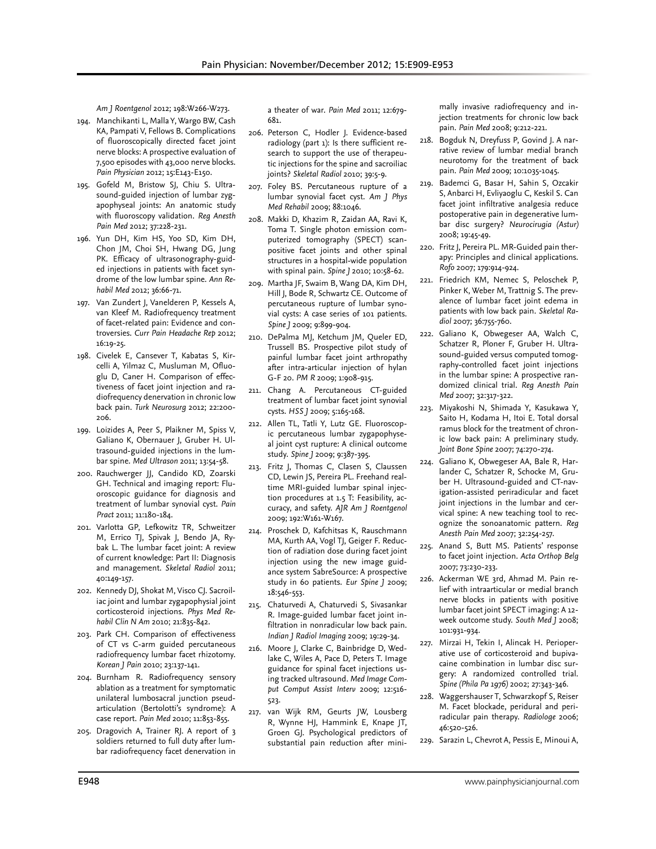*Am J Roentgenol* 2012; 198:W266-W273.

- 194. Manchikanti L, Malla Y, Wargo BW, Cash KA, Pampati V, Fellows B. Complications of fluoroscopically directed facet joint nerve blocks: A prospective evaluation of 7,500 episodes with 43,000 nerve blocks. *Pain Physician* 2012; 15:E143-E150.
- 195. Gofeld M, Bristow SJ, Chiu S. Ultrasound-guided injection of lumbar zygapophyseal joints: An anatomic study with fluoroscopy validation. *Reg Anesth Pain Med* 2012; 37:228-231.
- 196. Yun DH, Kim HS, Yoo SD, Kim DH, Chon JM, Choi SH, Hwang DG, Jung PK. Efficacy of ultrasonography-guided injections in patients with facet syndrome of the low lumbar spine. *Ann Rehabil Med* 2012; 36:66-71.
- 197. Van Zundert J, Vanelderen P, Kessels A, van Kleef M. Radiofrequency treatment of facet-related pain: Evidence and controversies. *Curr Pain Headache Rep* 2012; 16:19-25.
- 198. Civelek E, Cansever T, Kabatas S, Kircelli A, Yilmaz C, Musluman M, Ofluoglu D, Caner H. Comparison of effectiveness of facet joint injection and radiofrequency denervation in chronic low back pain. *Turk Neurosurg* 2012; 22:200- 206.
- 199. Loizides A, Peer S, Plaikner M, Spiss V, Galiano K, Obernauer J, Gruber H. Ultrasound-guided injections in the lumbar spine. *Med Ultrason* 2011; 13:54-58.
- 200. Rauchwerger JJ, Candido KD, Zoarski GH. Technical and imaging report: Fluoroscopic guidance for diagnosis and treatment of lumbar synovial cyst. *Pain Pract* 2011; 11:180-184.
- 201. Varlotta GP, Lefkowitz TR, Schweitzer M, Errico TJ, Spivak J, Bendo JA, Rybak L. The lumbar facet joint: A review of current knowledge: Part II: Diagnosis and management. *Skeletal Radiol* 2011; 40:149-157.
- 202. Kennedy DJ, Shokat M, Visco CJ. Sacroiliac joint and lumbar zygapophysial joint corticosteroid injections. *Phys Med Rehabil Clin N Am* 2010; 21:835-842.
- 203. Park CH. Comparison of effectiveness of CT vs C-arm guided percutaneous radiofrequency lumbar facet rhizotomy. *Korean J Pain* 2010; 23:137-141.
- 204. Burnham R. Radiofrequency sensory ablation as a treatment for symptomatic unilateral lumbosacral junction pseudarticulation (Bertolotti's syndrome): A case report. *Pain Med* 2010; 11:853-855.
- 205. Dragovich A, Trainer RJ. A report of 3 soldiers returned to full duty after lumbar radiofrequency facet denervation in

a theater of war. *Pain Med* 2011; 12:679- 681.

- 206. Peterson C, Hodler J. Evidence-based radiology (part 1): Is there sufficient research to support the use of therapeutic injections for the spine and sacroiliac joints? *Skeletal Radiol* 2010; 39:5-9.
- 207. Foley BS. Percutaneous rupture of a lumbar synovial facet cyst. *Am J Phys Med Rehabil* 2009; 88:1046.
- 208. Makki D, Khazim R, Zaidan AA, Ravi K, Toma T. Single photon emission computerized tomography (SPECT) scanpositive facet joints and other spinal structures in a hospital-wide population with spinal pain. *Spine J* 2010; 10:58-62.
- 209. Martha JF, Swaim B, Wang DA, Kim DH, Hill J, Bode R, Schwartz CE. Outcome of percutaneous rupture of lumbar synovial cysts: A case series of 101 patients. *Spine J* 2009; 9:899-904.
- 210. DePalma MJ, Ketchum JM, Queler ED, Trussell BS. Prospective pilot study of painful lumbar facet joint arthropathy after intra-articular injection of hylan G-F 20. *PM R* 2009; 1:908-915.
- 211. Chang A. Percutaneous CT-guided treatment of lumbar facet joint synovial cysts. *HSS J* 2009; 5:165-168.
- 212. Allen TL, Tatli Y, Lutz GE. Fluoroscopic percutaneous lumbar zygapophyseal joint cyst rupture: A clinical outcome study. *Spine J* 2009; 9:387-395.
- 213. Fritz J, Thomas C, Clasen S, Claussen CD, Lewin JS, Pereira PL. Freehand realtime MRI-guided lumbar spinal injection procedures at 1.5 T: Feasibility, accuracy, and safety. *AJR Am J Roentgenol* 2009; 192:W161-W167.
- 214. Proschek D, Kafchitsas K, Rauschmann MA, Kurth AA, Vogl TJ, Geiger F. Reduction of radiation dose during facet joint injection using the new image guidance system SabreSource: A prospective study in 60 patients. *Eur Spine J* 2009; 18:546-553.
- 215. Chaturvedi A, Chaturvedi S, Sivasankar R. Image-guided lumbar facet joint infiltration in nonradicular low back pain. *Indian J Radiol Imaging* 2009; 19:29-34.
- 216. Moore J, Clarke C, Bainbridge D, Wedlake C, Wiles A, Pace D, Peters T. Image guidance for spinal facet injections using tracked ultrasound. *Med Image Comput Comput Assist Interv* 2009; 12:516- 523.
- 217. van Wijk RM, Geurts JW, Lousberg R, Wynne HJ, Hammink E, Knape JT, Groen GJ. Psychological predictors of substantial pain reduction after mini-

mally invasive radiofrequency and injection treatments for chronic low back pain. *Pain Med* 2008; 9:212-221.

- 218. Bogduk N, Dreyfuss P, Govind J. A narrative review of lumbar medial branch neurotomy for the treatment of back pain. *Pain Med* 2009; 10:1035-1045.
- 219. Bademci G, Basar H, Sahin S, Ozcakir S, Anbarci H, Evliyaoglu C, Keskil S. Can facet joint infiltrative analgesia reduce postoperative pain in degenerative lumbar disc surgery? *Neurocirugia (Astur)* 2008; 19:45-49.
- 220. Fritz J, Pereira PL. MR-Guided pain therapy: Principles and clinical applications. *Rofo* 2007; 179:914-924.
- 221. Friedrich KM, Nemec S, Peloschek P, Pinker K, Weber M, Trattnig S. The prevalence of lumbar facet joint edema in patients with low back pain. *Skeletal Radiol* 2007; 36:755-760.
- 222. Galiano K, Obwegeser AA, Walch C, Schatzer R, Ploner F, Gruber H. Ultrasound-guided versus computed tomography-controlled facet joint injections in the lumbar spine: A prospective randomized clinical trial. *Reg Anesth Pain Med* 2007; 32:317-322.
- 223. Miyakoshi N, Shimada Y, Kasukawa Y, Saito H, Kodama H, Itoi E. Total dorsal ramus block for the treatment of chronic low back pain: A preliminary study. *Joint Bone Spine* 2007; 74:270-274.
- 224. Galiano K, Obwegeser AA, Bale R, Harlander C, Schatzer R, Schocke M, Gruber H. Ultrasound-guided and CT-navigation-assisted periradicular and facet joint injections in the lumbar and cervical spine: A new teaching tool to recognize the sonoanatomic pattern. *Reg Anesth Pain Med* 2007; 32:254-257.
- 225. Anand S, Butt MS. Patients' response to facet joint injection. *Acta Orthop Belg* 2007; 73:230-233.
- 226. Ackerman WE 3rd, Ahmad M. Pain relief with intraarticular or medial branch nerve blocks in patients with positive lumbar facet joint SPECT imaging: A 12 week outcome study. *South Med J* 2008; 101:931-934.
- 227. Mirzai H, Tekin I, Alincak H. Perioperative use of corticosteroid and bupivacaine combination in lumbar disc surgery: A randomized controlled trial. *Spine (Phila Pa 1976)* 2002; 27:343-346.
- 228. Waggershauser T, Schwarzkopf S, Reiser M. Facet blockade, peridural and periradicular pain therapy. *Radiologe* 2006; 46:520-526.
- 229. Sarazin L, Chevrot A, Pessis E, Minoui A,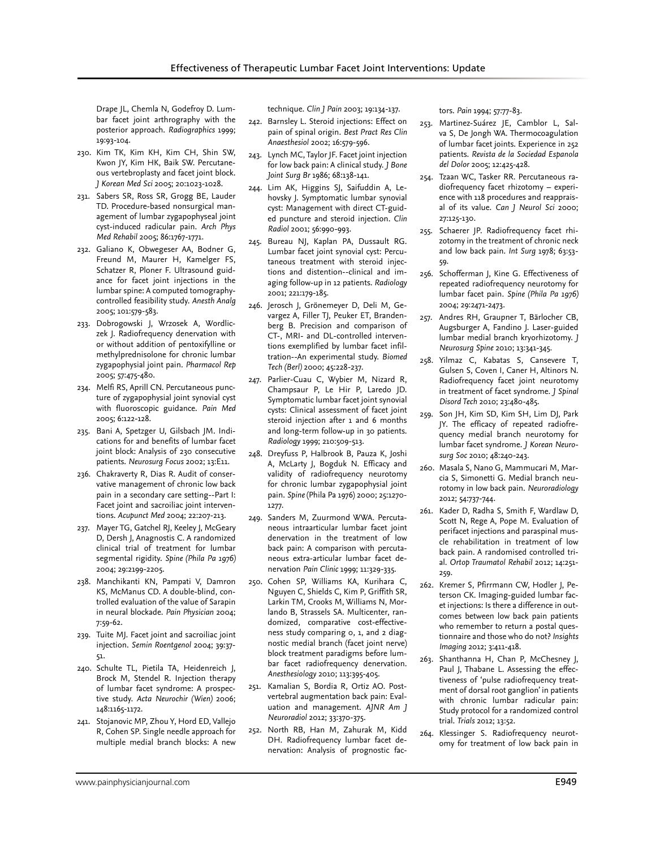Drape JL, Chemla N, Godefroy D. Lumbar facet joint arthrography with the posterior approach. *Radiographics* 1999; 19:93-104.

- 230. Kim TK, Kim KH, Kim CH, Shin SW, Kwon JY, Kim HK, Baik SW. Percutaneous vertebroplasty and facet joint block. *J Korean Med Sci* 2005; 20:1023-1028.
- 231. Sabers SR, Ross SR, Grogg BE, Lauder TD. Procedure-based nonsurgical management of lumbar zygapophyseal joint cyst-induced radicular pain. *Arch Phys Med Rehabil* 2005; 86:1767-1771.
- 232. Galiano K, Obwegeser AA, Bodner G, Freund M, Maurer H, Kamelger FS, Schatzer R, Ploner F. Ultrasound guidance for facet joint injections in the lumbar spine: A computed tomographycontrolled feasibility study. *Anesth Analg* 2005; 101:579-583.
- 233. Dobrogowski J, Wrzosek A, Wordliczek J. Radiofrequency denervation with or without addition of pentoxifylline or methylprednisolone for chronic lumbar zygapophysial joint pain. *Pharmacol Rep* 2005; 57:475-480.
- 234. Melfi RS, Aprill CN. Percutaneous puncture of zygapophysial joint synovial cyst with fluoroscopic guidance. *Pain Med* 2005; 6:122-128.
- 235. Bani A, Spetzger U, Gilsbach JM. Indications for and benefits of lumbar facet joint block: Analysis of 230 consecutive patients. *Neurosurg Focus* 2002; 13:E11.
- 236. Chakraverty R, Dias R. Audit of conservative management of chronic low back pain in a secondary care setting--Part I: Facet joint and sacroiliac joint interventions. *Acupunct Med* 2004; 22:207-213.
- 237. Mayer TG, Gatchel RJ, Keeley J, McGeary D, Dersh J, Anagnostis C. A randomized clinical trial of treatment for lumbar segmental rigidity. *Spine (Phila Pa 1976)* 2004; 29:2199-2205.
- 238. Manchikanti KN, Pampati V, Damron KS, McManus CD. A double-blind, controlled evaluation of the value of Sarapin in neural blockade. *Pain Physician* 2004; 7:59-62.
- 239. Tuite MJ. Facet joint and sacroiliac joint injection. *Semin Roentgenol* 2004; 39:37- 51.
- 240. Schulte TL, Pietila TA, Heidenreich J, Brock M, Stendel R. Injection therapy of lumbar facet syndrome: A prospective study. *Acta Neurochir (Wien)* 2006; 148:1165-1172.
- 241. Stojanovic MP, Zhou Y, Hord ED, Vallejo R, Cohen SP. Single needle approach for multiple medial branch blocks: A new

technique. *Clin J Pain* 2003; 19:134-137.

- 242. Barnsley L. Steroid injections: Effect on pain of spinal origin. *Best Pract Res Clin Anaesthesiol* 2002; 16:579-596.
- 243. Lynch MC, Taylor JF. Facet joint injection for low back pain: A clinical study. *J Bone Joint Surg Br* 1986; 68:138-141.
- 244. Lim AK, Higgins SJ, Saifuddin A, Lehovsky J. Symptomatic lumbar synovial cyst: Management with direct CT-guided puncture and steroid injection. *Clin Radiol* 2001; 56:990-993.
- 245. Bureau NJ, Kaplan PA, Dussault RG. Lumbar facet joint synovial cyst: Percutaneous treatment with steroid injections and distention--clinical and imaging follow-up in 12 patients. *Radiology* 2001; 221:179-185.
- 246. Jerosch J, Grönemeyer D, Deli M, Gevargez A, Filler TJ, Peuker ET, Brandenberg B. Precision and comparison of CT-, MRI- and DL-controlled interventions exemplified by lumbar facet infiltration--An experimental study. *Biomed Tech (Berl)* 2000; 45:228-237.
- 247. Parlier-Cuau C, Wybier M, Nizard R, Champsaur P, Le Hir P, Laredo JD. Symptomatic lumbar facet joint synovial cysts: Clinical assessment of facet joint steroid injection after 1 and 6 months and long-term follow-up in 30 patients. *Radiology* 1999; 210:509-513.
- 248. Dreyfuss P, Halbrook B, Pauza K, Joshi A, McLarty J, Bogduk N. Efficacy and validity of radiofrequency neurotomy for chronic lumbar zygapophysial joint pain. *Spine* (Phila Pa 1976) 2000; 25:1270- 1277.
- 249. Sanders M, Zuurmond WWA. Percutaneous intraarticular lumbar facet joint denervation in the treatment of low back pain: A comparison with percutaneous extra-articular lumbar facet denervation *Pain Clinic* 1999; 11:329-335.
- 250. Cohen SP, Williams KA, Kurihara C, Nguyen C, Shields C, Kim P, Griffith SR, Larkin TM, Crooks M, Williams N, Morlando B, Strassels SA. Multicenter, randomized, comparative cost-effectiveness study comparing 0, 1, and 2 diagnostic medial branch (facet joint nerve) block treatment paradigms before lumbar facet radiofrequency denervation. *Anesthesiology* 2010; 113:395-405.
- 251. Kamalian S, Bordia R, Ortiz AO. Postvertebral augmentation back pain: Evaluation and management. *AJNR Am J Neuroradiol* 2012; 33:370-375.
- 252. North RB, Han M, Zahurak M, Kidd DH. Radiofrequency lumbar facet denervation: Analysis of prognostic fac-

tors. *Pain* 1994; 57:77-83.

- 253. Martinez-Suárez JE, Camblor L, Salva S, De Jongh WA. Thermocoagulation of lumbar facet joints. Experience in 252 patients. *Revista de la Sociedad Espanola del Dolor* 2005; 12:425-428.
- 254. Tzaan WC, Tasker RR. Percutaneous radiofrequency facet rhizotomy – experience with 118 procedures and reappraisal of its value. *Can J Neurol Sci* 2000; 27:125-130.
- 255. Schaerer JP. Radiofrequency facet rhizotomy in the treatment of chronic neck and low back pain*. Int Surg* 1978; 63:53- 59.
- 256. Schofferman J, Kine G. Effectiveness of repeated radiofrequency neurotomy for lumbar facet pain. *Spine (Phila Pa 1976)* 2004; 29:2471-2473.
- 257. Andres RH, Graupner T, Bärlocher CB, Augsburger A, Fandino J. Laser-guided lumbar medial branch kryorhizotomy. *J Neurosurg Spine* 2010; 13:341-345.
- 258. Yilmaz C, Kabatas S, Cansevere T, Gulsen S, Coven I, Caner H, Altinors N. Radiofrequency facet joint neurotomy in treatment of facet syndrome. *J Spinal Disord Tech* 2010; 23:480-485.
- 259. Son JH, Kim SD, Kim SH, Lim DJ, Park JY. The efficacy of repeated radiofrequency medial branch neurotomy for lumbar facet syndrome. *J Korean Neurosurg Soc* 2010; 48:240-243.
- 260. Masala S, Nano G, Mammucari M, Marcia S, Simonetti G. Medial branch neurotomy in low back pain. *Neuroradiology* 2012; 54:737-744.
- 261. Kader D, Radha S, Smith F, Wardlaw D, Scott N, Rege A, Pope M. Evaluation of perifacet injections and paraspinal muscle rehabilitation in treatment of low back pain. A randomised controlled trial. *Ortop Traumatol Rehabil* 2012; 14:251- 259.
- 262. Kremer S, Pfirrmann CW, Hodler J, Peterson CK. Imaging-guided lumbar facet injections: Is there a difference in outcomes between low back pain patients who remember to return a postal questionnaire and those who do not? *Insights Imaging* 2012; 3:411-418.
- 263. Shanthanna H, Chan P, McChesney J, Paul J, Thabane L. Assessing the effectiveness of 'pulse radiofrequency treatment of dorsal root ganglion' in patients with chronic lumbar radicular pain: Study protocol for a randomized control trial. *Trials* 2012; 13:52.
- 264. Klessinger S. Radiofrequency neurotomy for treatment of low back pain in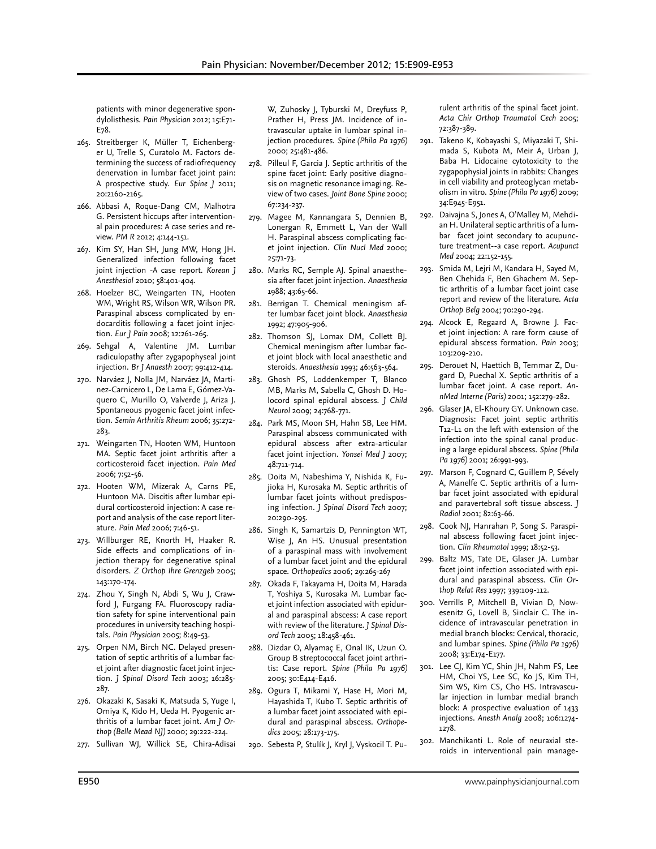patients with minor degenerative spondylolisthesis. *Pain Physician* 2012; 15:E71- E78.

- 265. Streitberger K, Müller T, Eichenberger U, Trelle S, Curatolo M. Factors determining the success of radiofrequency denervation in lumbar facet joint pain: A prospective study. *Eur Spine J* 2011; 20:2160-2165.
- 266. Abbasi A, Roque-Dang CM, Malhotra G. Persistent hiccups after interventional pain procedures: A case series and review. *PM R* 2012; 4:144-151.
- 267. Kim SY, Han SH, Jung MW, Hong JH. Generalized infection following facet joint injection -A case report. *Korean J Anesthesiol* 2010; 58:401-404.
- 268. Hoelzer BC, Weingarten TN, Hooten WM, Wright RS, Wilson WR, Wilson PR. Paraspinal abscess complicated by endocarditis following a facet joint injection. *Eur J Pain* 2008; 12:261-265.
- 269. Sehgal A, Valentine JM. Lumbar radiculopathy after zygapophyseal joint injection. *Br J Anaesth* 2007; 99:412-414.
- 270. Narváez J, Nolla JM, Narváez JA, Martinez-Carnicero L, De Lama E, Gómez-Vaquero C, Murillo O, Valverde J, Ariza J. Spontaneous pyogenic facet joint infection. *Semin Arthritis Rheum* 2006; 35:272- 283.
- 271. Weingarten TN, Hooten WM, Huntoon MA. Septic facet joint arthritis after a corticosteroid facet injection. *Pain Med* 2006; 7:52-56.
- 272. Hooten WM, Mizerak A, Carns PE, Huntoon MA. Discitis after lumbar epidural corticosteroid injection: A case report and analysis of the case report literature. *Pain Med* 2006; 7:46-51.
- 273. Willburger RE, Knorth H, Haaker R. Side effects and complications of injection therapy for degenerative spinal disorders. *Z Orthop Ihre Grenzgeb* 2005; 143:170-174.
- 274. Zhou Y, Singh N, Abdi S, Wu J, Crawford J, Furgang FA. Fluoroscopy radiation safety for spine interventional pain procedures in university teaching hospitals. *Pain Physician* 2005; 8:49-53.
- 275. Orpen NM, Birch NC. Delayed presentation of septic arthritis of a lumbar facet joint after diagnostic facet joint injection. *J Spinal Disord Tech* 2003; 16:285- 287.
- 276. Okazaki K, Sasaki K, Matsuda S, Yuge I, Omiya K, Kido H, Ueda H. Pyogenic arthritis of a lumbar facet joint. *Am J Orthop (Belle Mead NJ)* 2000; 29:222-224.
- 277. Sullivan WJ, Willick SE, Chira-Adisai

W, Zuhosky J, Tyburski M, Dreyfuss P, Prather H, Press JM. Incidence of intravascular uptake in lumbar spinal injection procedures. *Spine (Phila Pa 1976)* 2000; 25:481-486.

- 278. Pilleul F, Garcia J. Septic arthritis of the spine facet joint: Early positive diagnosis on magnetic resonance imaging. Review of two cases. *Joint Bone Spine* 2000; 67:234-237.
- 279. Magee M, Kannangara S, Dennien B, Lonergan R, Emmett L, Van der Wall H. Paraspinal abscess complicating facet joint injection. *Clin Nucl Med* 2000; 25:71-73.
- 280. Marks RC, Semple AJ. Spinal anaesthesia after facet joint injection. *Anaesthesia*  1988; 43:65-66.
- 281. Berrigan T. Chemical meningism after lumbar facet joint block. *Anaesthesia*  1992; 47:905-906.
- 282. Thomson SJ, Lomax DM, Collett BJ. Chemical meningism after lumbar facet joint block with local anaesthetic and steroids. *Anaesthesia* 1993; 46:563-564.
- 283. Ghosh PS, Loddenkemper T, Blanco MB, Marks M, Sabella C, Ghosh D. Holocord spinal epidural abscess. *J Child Neurol* 2009; 24:768-771.
- 284. Park MS, Moon SH, Hahn SB, Lee HM. Paraspinal abscess communicated with epidural abscess after extra-articular facet joint injection. *Yonsei Med J* 2007; 48:711-714.
- 285. Doita M, Nabeshima Y, Nishida K, Fujioka H, Kurosaka M. Septic arthritis of lumbar facet joints without predisposing infection. *J Spinal Disord Tech* 2007; 20:290-295.
- 286. Singh K, Samartzis D, Pennington WT, Wise J, An HS. Unusual presentation of a paraspinal mass with involvement of a lumbar facet joint and the epidural space. *Orthopedics* 2006; 29:265-267
- 287. Okada F, Takayama H, Doita M, Harada T, Yoshiya S, Kurosaka M. Lumbar facet joint infection associated with epidural and paraspinal abscess: A case report with review of the literature. *J Spinal Disord Tech* 2005; 18:458-461.
- 288. Dizdar O, Alyamaç E, Onal IK, Uzun O. Group B streptococcal facet joint arthritis: Case report. *Spine (Phila Pa 1976)*  2005; 30:E414-E416.
- 289. Ogura T, Mikami Y, Hase H, Mori M, Hayashida T, Kubo T. Septic arthritis of a lumbar facet joint associated with epidural and paraspinal abscess. *Orthopedics* 2005; 28:173-175.
- 290. Sebesta P, Stulík J, Kryl J, Vyskocil T. Pu-

rulent arthritis of the spinal facet joint. *Acta Chir Orthop Traumatol Cech* 2005; 72:387-389.

- 291. Takeno K, Kobayashi S, Miyazaki T, Shimada S, Kubota M, Meir A, Urban J, Baba H. Lidocaine cytotoxicity to the zygapophysial joints in rabbits: Changes in cell viability and proteoglycan metabolism in vitro. *Spine (Phila Pa 1976)* 2009; 34:E945-E951.
- 292. Daivajna S, Jones A, O'Malley M, Mehdian H. Unilateral septic arthritis of a lumbar facet joint secondary to acupuncture treatment--a case report. *Acupunct Med* 2004; 22:152-155.
- 293. Smida M, Lejri M, Kandara H, Sayed M, Ben Chehida F, Ben Ghachem M. Septic arthritis of a lumbar facet joint case report and review of the literature. *Acta Orthop Belg* 2004; 70:290-294.
- 294. Alcock E, Regaard A, Browne J. Facet joint injection: A rare form cause of epidural abscess formation. *Pain* 2003; 103:209-210.
- 295. Derouet N, Haettich B, Temmar Z, Dugard D, Puechal X. Septic arthritis of a lumbar facet joint. A case report. *AnnMed Interne (Paris)* 2001; 152:279-282.
- 296. Glaser JA, El-Khoury GY. Unknown case. Diagnosis: Facet joint septic arthritis T12-L1 on the left with extension of the infection into the spinal canal producing a large epidural abscess. *Spine (Phila Pa 1976)* 2001; 26:991-993.
- 297. Marson F, Cognard C, Guillem P, Sévely A, Manelfe C. Septic arthritis of a lumbar facet joint associated with epidural and paravertebral soft tissue abscess. *J Radiol* 2001; 82:63-66.
- 298. Cook NJ, Hanrahan P, Song S. Paraspinal abscess following facet joint injection. *Clin Rheumatol* 1999; 18:52-53.
- 299. Baltz MS, Tate DE, Glaser JA. Lumbar facet joint infection associated with epidural and paraspinal abscess. *Clin Orthop Relat Res* 1997; 339:109-112.
- 300. Verrills P, Mitchell B, Vivian D, Nowesenitz G, Lovell B, Sinclair C. The incidence of intravascular penetration in medial branch blocks: Cervical, thoracic, and lumbar spines. *Spine (Phila Pa 1976)*  2008; 33:E174-E177.
- 301. Lee CJ, Kim YC, Shin JH, Nahm FS, Lee HM, Choi YS, Lee SC, Ko JS, Kim TH, Sim WS, Kim CS, Cho HS. Intravascular injection in lumbar medial branch block: A prospective evaluation of 1433 injections. *Anesth Analg* 2008; 106:1274- 1278.
- 302. Manchikanti L. Role of neuraxial steroids in interventional pain manage-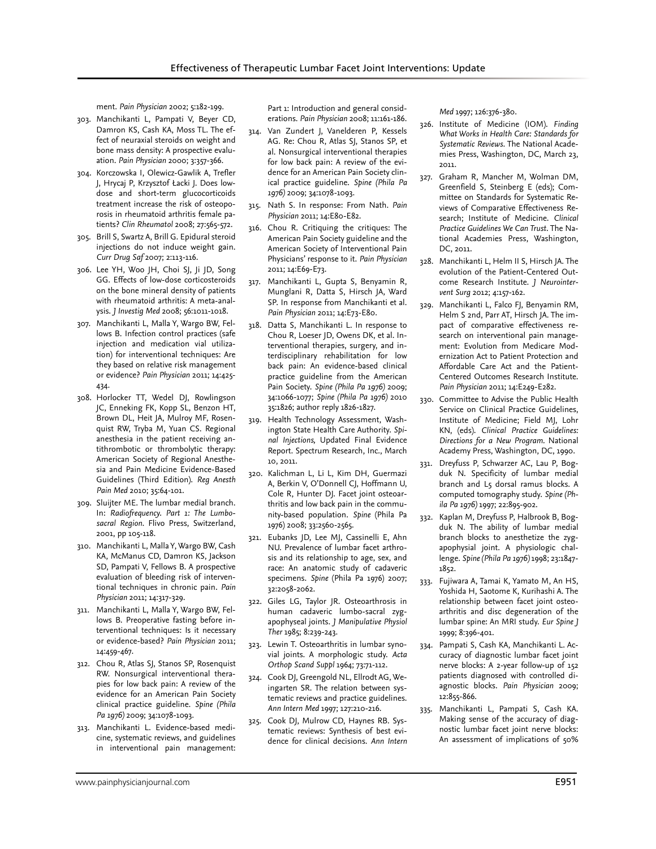ment. *Pain Physician* 2002; 5:182-199.

- 303. Manchikanti L, Pampati V, Beyer CD, Damron KS, Cash KA, Moss TL. The effect of neuraxial steroids on weight and bone mass density: A prospective evaluation. *Pain Physician* 2000; 3:357-366.
- 304. Korczowska I, Olewicz-Gawlik A, Trefler J, Hrycaj P, Krzysztof Łacki J. Does lowdose and short-term glucocorticoids treatment increase the risk of osteoporosis in rheumatoid arthritis female patients? *Clin Rheumatol* 2008; 27:565-572.
- 305. Brill S, Swartz A, Brill G. Epidural steroid injections do not induce weight gain. *Curr Drug Saf* 2007; 2:113-116.
- 306. Lee YH, Woo JH, Choi SJ, Ji JD, Song GG. Effects of low-dose corticosteroids on the bone mineral density of patients with rheumatoid arthritis: A meta-analysis. *J Investig Med* 2008; 56:1011-1018.
- 307. Manchikanti L, Malla Y, Wargo BW, Fellows B. Infection control practices (safe injection and medication vial utilization) for interventional techniques: Are they based on relative risk management or evidence? *Pain Physician* 2011; 14:425- 434.
- 308. Horlocker TT, Wedel DJ, Rowlingson JC, Enneking FK, Kopp SL, Benzon HT, Brown DL, Heit JA, Mulroy MF, Rosenquist RW, Tryba M, Yuan CS. Regional anesthesia in the patient receiving antithrombotic or thrombolytic therapy: American Society of Regional Anesthesia and Pain Medicine Evidence-Based Guidelines (Third Edition). *Reg Anesth Pain Med* 2010; 35:64-101.
- 309. Sluijter ME. The lumbar medial branch. In: *Radiofrequency. Part 1: The Lumbosacral Region*. Flivo Press, Switzerland, 2001, pp 105-118.
- 310. Manchikanti L, Malla Y, Wargo BW, Cash KA, McManus CD, Damron KS, Jackson SD, Pampati V, Fellows B. A prospective evaluation of bleeding risk of interventional techniques in chronic pain. *Pain Physician* 2011; 14:317-329.
- 311. Manchikanti L, Malla Y, Wargo BW, Fellows B. Preoperative fasting before interventional techniques: Is it necessary or evidence-based? *Pain Physician* 2011; 14:459-467.
- 312. Chou R, Atlas SJ, Stanos SP, Rosenquist RW. Nonsurgical interventional therapies for low back pain: A review of the evidence for an American Pain Society clinical practice guideline. *Spine (Phila Pa 1976)* 2009; 34:1078-1093.
- 313. Manchikanti L. Evidence-based medicine, systematic reviews, and guidelines in interventional pain management:

Part 1: Introduction and general considerations. *Pain Physician* 2008; 11:161-186.

- 314. Van Zundert J, Vanelderen P, Kessels AG. Re: Chou R, Atlas SJ, Stanos SP, et al. Nonsurgical interventional therapies for low back pain: A review of the evidence for an American Pain Society clinical practice guideline. *Spine (Phila Pa 1976)* 2009; 34:1078-1093.
- 315. Nath S. In response: From Nath. *Pain Physician* 2011; 14:E80-E82.
- 316. Chou R. Critiquing the critiques: The American Pain Society guideline and the American Society of Interventional Pain Physicians' response to it. *Pain Physician*  2011; 14:E69-E73.
- 317. Manchikanti L, Gupta S, Benyamin R, Munglani R, Datta S, Hirsch JA, Ward SP. In response from Manchikanti et al. *Pain Physician* 2011; 14:E73-E80.
- 318. Datta S, Manchikanti L. In response to Chou R, Loeser JD, Owens DK, et al. Interventional therapies, surgery, and interdisciplinary rehabilitation for low back pain: An evidence-based clinical practice guideline from the American Pain Society. *Spine (Phila Pa 1976)* 2009; 34:1066-1077; *Spine (Phila Pa 1976)* 2010 35:1826; author reply 1826-1827.
- 319. Health Technology Assessment, Washington State Health Care Authority. *Spinal Injections,* Updated Final Evidence Report. Spectrum Research, Inc., March 10, 2011.
- 320. Kalichman L, Li L, Kim DH, Guermazi A, Berkin V, O'Donnell CJ, Hoffmann U, Cole R, Hunter DJ. Facet joint osteoarthritis and low back pain in the community-based population. *Spine* (Phila Pa 1976) 2008; 33:2560-2565.
- 321. Eubanks JD, Lee MJ, Cassinelli E, Ahn NU. Prevalence of lumbar facet arthrosis and its relationship to age, sex, and race: An anatomic study of cadaveric specimens. *Spine* (Phila Pa 1976) 2007; 32:2058-2062.
- 322. Giles LG, Taylor JR. Osteoarthrosis in human cadaveric lumbo-sacral zygapophyseal joints. *J Manipulative Physiol Ther* 1985; 8:239-243.
- 323. Lewin T. Osteoarthritis in lumbar synovial joints. A morphologic study. *Acta Orthop Scand Suppl* 1964; 73:71-112.
- 324. Cook DJ, Greengold NL, Ellrodt AG, Weingarten SR. The relation between systematic reviews and practice guidelines. *Ann Intern Med* 1997; 127:210-216.
- 325. Cook DJ, Mulrow CD, Haynes RB. Systematic reviews: Synthesis of best evidence for clinical decisions. *Ann Intern*

*Med* 1997; 126:376-380.

- 326. Institute of Medicine (IOM). *Finding What Works in Health Care: Standards for Systematic Reviews*. The National Academies Press, Washington, DC, March 23, 2011.
- 327. Graham R, Mancher M, Wolman DM, Greenfield S, Steinberg E (eds); Committee on Standards for Systematic Reviews of Comparative Effectiveness Research; Institute of Medicine. *Clinical Practice Guidelines We Can Trust*. The National Academies Press, Washington, DC, 2011.
- 328. Manchikanti L, Helm II S, Hirsch JA. The evolution of the Patient-Centered Outcome Research Institute. *J Neurointervent Surg* 2012; 4:157-162.
- 329. Manchikanti L, Falco FJ, Benyamin RM, Helm S 2nd, Parr AT, Hirsch JA. The impact of comparative effectiveness research on interventional pain management: Evolution from Medicare Modernization Act to Patient Protection and Affordable Care Act and the Patient-Centered Outcomes Research Institute. *Pain Physician* 2011; 14:E249-E282.
- 330. Committee to Advise the Public Health Service on Clinical Practice Guidelines, Institute of Medicine; Field MJ, Lohr KN, (eds). *Clinical Practice Guidelines: Directions for a New Program.* National Academy Press, Washington, DC, 1990.
- 331. Dreyfuss P, Schwarzer AC, Lau P, Bogduk N. Specificity of lumbar medial branch and L5 dorsal ramus blocks. A computed tomography study. *Spine (Phila Pa 1976)* 1997; 22:895-902.
- 332. Kaplan M, Dreyfuss P, Halbrook B, Bogduk N. The ability of lumbar medial branch blocks to anesthetize the zygapophysial joint. A physiologic challenge. *Spine (Phila Pa 1976)* 1998; 23:1847- 1852.
- 333. Fujiwara A, Tamai K, Yamato M, An HS, Yoshida H, Saotome K, Kurihashi A. The relationship between facet joint osteoarthritis and disc degeneration of the lumbar spine: An MRI study. *Eur Spine J*  1999; 8:396-401.
- 334. Pampati S, Cash KA, Manchikanti L. Accuracy of diagnostic lumbar facet joint nerve blocks: A 2-year follow-up of 152 patients diagnosed with controlled diagnostic blocks. *Pain Physician* 2009; 12:855-866.
- 335. Manchikanti L, Pampati S, Cash KA. Making sense of the accuracy of diagnostic lumbar facet joint nerve blocks: An assessment of implications of 50%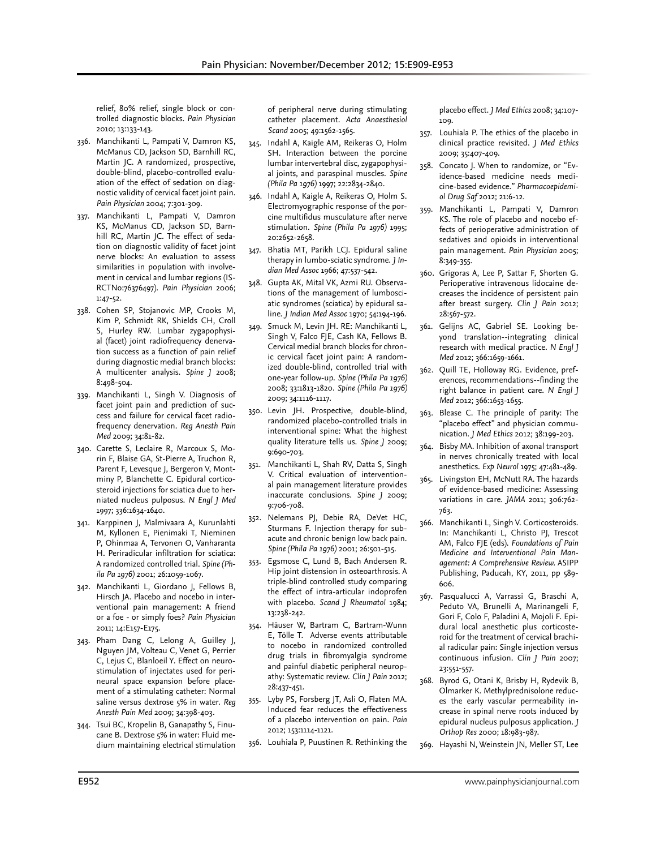relief, 80% relief, single block or controlled diagnostic blocks. *Pain Physician*  2010; 13:133-143.

- 336. Manchikanti L, Pampati V, Damron KS, McManus CD, Jackson SD, Barnhill RC, Martin JC. A randomized, prospective, double-blind, placebo-controlled evaluation of the effect of sedation on diagnostic validity of cervical facet joint pain. *Pain Physician* 2004; 7:301-309.
- 337. Manchikanti L, Pampati V, Damron KS, McManus CD, Jackson SD, Barnhill RC, Martin JC. The effect of sedation on diagnostic validity of facet joint nerve blocks: An evaluation to assess similarities in population with involvement in cervical and lumbar regions (IS-RCTNo:76376497). *Pain Physician* 2006; 1:47-52.
- 338. Cohen SP, Stojanovic MP, Crooks M, Kim P, Schmidt RK, Shields CH, Croll S, Hurley RW. Lumbar zygapophysial (facet) joint radiofrequency denervation success as a function of pain relief during diagnostic medial branch blocks: A multicenter analysis. *Spine J* 2008; 8:498-504.
- 339. Manchikanti L, Singh V. Diagnosis of facet joint pain and prediction of success and failure for cervical facet radiofrequency denervation. *Reg Anesth Pain Med* 2009; 34:81-82.
- 340. Carette S, Leclaire R, Marcoux S, Morin F, Blaise GA, St-Pierre A, Truchon R, Parent F, Levesque J, Bergeron V, Montminy P, Blanchette C. Epidural corticosteroid injections for sciatica due to herniated nucleus pulposus. *N Engl J Med*  1997; 336:1634-1640.
- 341. Karppinen J, Malmivaara A, Kurunlahti M, Kyllonen E, Pienimaki T, Nieminen P, Ohinmaa A, Tervonen O, Vanharanta H. Periradicular infiltration for sciatica: A randomized controlled trial. *Spine (Phila Pa 1976)* 2001; 26:1059-1067.
- 342. Manchikanti L, Giordano J, Fellows B, Hirsch JA. Placebo and nocebo in interventional pain management: A friend or a foe - or simply foes? *Pain Physician*  2011; 14:E157-E175.
- 343. Pham Dang C, Lelong A, Guilley J, Nguyen JM, Volteau C, Venet G, Perrier C, Lejus C, Blanloeil Y. Effect on neurostimulation of injectates used for perineural space expansion before placement of a stimulating catheter: Normal saline versus dextrose 5% in water. *Reg Anesth Pain Med* 2009; 34:398-403.
- 344. Tsui BC, Kropelin B, Ganapathy S, Finucane B. Dextrose 5% in water: Fluid medium maintaining electrical stimulation

of peripheral nerve during stimulating catheter placement. *Acta Anaesthesiol Scand* 2005; 49:1562-1565.

- 345. Indahl A, Kaigle AM, Reikeras O, Holm SH. Interaction between the porcine lumbar intervertebral disc, zygapophysial joints, and paraspinal muscles. *Spine (Phila Pa 1976)* 1997; 22:2834-2840.
- 346. Indahl A, Kaigle A, Reikeras O, Holm S. Electromyographic response of the porcine multifidus musculature after nerve stimulation. *Spine (Phila Pa 1976)* 1995; 20:2652-2658.
- 347. Bhatia MT, Parikh LCJ. Epidural saline therapy in lumbo-sciatic syndrome. *J Indian Med Assoc* 1966; 47:537-542.
- 348. Gupta AK, Mital VK, Azmi RU. Observations of the management of lumbosciatic syndromes (sciatica) by epidural saline. *J Indian Med Assoc* 1970; 54:194-196.
- 349. Smuck M, Levin JH. RE: Manchikanti L, Singh V, Falco FJE, Cash KA, Fellows B. Cervical medial branch blocks for chronic cervical facet joint pain: A randomized double-blind, controlled trial with one-year follow-up. *Spine (Phila Pa 1976)*  2008; 33:1813-1820. *Spine (Phila Pa 1976)*  2009; 34:1116-1117.
- 350. Levin JH. Prospective, double-blind, randomized placebo-controlled trials in interventional spine: What the highest quality literature tells us. *Spine J* 2009; 9:690-703.
- 351. Manchikanti L, Shah RV, Datta S, Singh V. Critical evaluation of interventional pain management literature provides inaccurate conclusions. *Spine J* 2009; 9:706-708.
- 352. Nelemans PJ, Debie RA, DeVet HC, Sturmans F. Injection therapy for subacute and chronic benign low back pain. *Spine (Phila Pa 1976)* 2001; 26:501-515.
- 353. Egsmose C, Lund B, Bach Andersen R. Hip joint distension in osteoarthrosis. A triple-blind controlled study comparing the effect of intra-articular indoprofen with placebo. *Scand J Rheumatol* 1984; 13:238-242.
- 354. Häuser W, Bartram C, Bartram-Wunn E, Tölle T. Adverse events attributable to nocebo in randomized controlled drug trials in fibromyalgia syndrome and painful diabetic peripheral neuropathy: Systematic review. *Clin J Pain* 2012; 28:437-451.
- 355. Lyby PS, Forsberg JT, Asli O, Flaten MA. Induced fear reduces the effectiveness of a placebo intervention on pain. *Pain* 2012; 153:1114-1121.
- 356. Louhiala P, Puustinen R. Rethinking the

placebo effect. *J Med Ethics* 2008; 34:107- 109.

- 357. Louhiala P. The ethics of the placebo in clinical practice revisited. *J Med Ethics* 2009; 35:407-409.
- 358. Concato J. When to randomize, or "Evidence-based medicine needs medicine-based evidence." *Pharmacoepidemiol Drug Saf* 2012; 21:6-12.
- 359. Manchikanti L, Pampati V, Damron KS. The role of placebo and nocebo effects of perioperative administration of sedatives and opioids in interventional pain management. *Pain Physician* 2005; 8:349-355.
- 360. Grigoras A, Lee P, Sattar F, Shorten G. Perioperative intravenous lidocaine decreases the incidence of persistent pain after breast surgery. *Clin J Pain* 2012; 28:567-572.
- 361. Gelijns AC, Gabriel SE. Looking beyond translation--integrating clinical research with medical practice. *N Engl J Med* 2012; 366:1659-1661.
- 362. Quill TE, Holloway RG. Evidence, preferences, recommendations--finding the right balance in patient care. *N Engl J Med* 2012; 366:1653-1655.
- 363. Blease C. The principle of parity: The "placebo effect" and physician communication. *J Med Ethics* 2012; 38:199-203.
- 364. Bisby MA. Inhibition of axonal transport in nerves chronically treated with local anesthetics. *Exp Neurol* 1975; 47:481-489.
- 365. Livingston EH, McNutt RA. The hazards of evidence-based medicine: Assessing variations in care. *JAMA* 2011; 306:762- 763.
- 366. Manchikanti L, Singh V. Corticosteroids. In: Manchikanti L, Christo PJ, Trescot AM, Falco FJE (eds). *Foundations of Pain Medicine and Interventional Pain Management: A Comprehensive Review.* ASIPP Publishing, Paducah, KY, 2011, pp 589- 606.
- 367. Pasqualucci A, Varrassi G, Braschi A, Peduto VA, Brunelli A, Marinangeli F, Gori F, Colo F, Paladini A, Mojoli F. Epidural local anesthetic plus corticosteroid for the treatment of cervical brachial radicular pain: Single injection versus continuous infusion. *Clin J Pain* 2007; 23:551-557.
- 368. Byrod G, Otani K, Brisby H, Rydevik B, Olmarker K. Methylprednisolone reduces the early vascular permeability increase in spinal nerve roots induced by epidural nucleus pulposus application. *J Orthop Res* 2000; 18:983-987.
- 369. Hayashi N, Weinstein JN, Meller ST, Lee